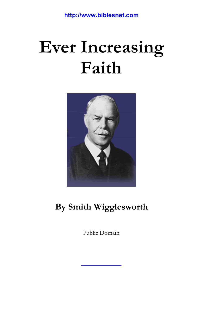# **Ever Increasing Faith**



# **By Smith Wigglesworth**

Public Domain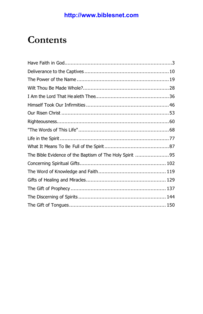# **Contents**

| The Bible Evidence of the Baptism of The Holy Spirit 95 |  |
|---------------------------------------------------------|--|
|                                                         |  |
|                                                         |  |
|                                                         |  |
|                                                         |  |
|                                                         |  |
|                                                         |  |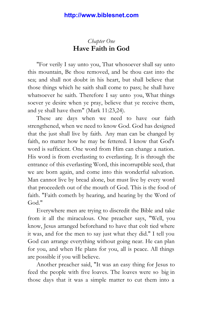# *Chapter One* **Have Faith in God**

<span id="page-2-0"></span>"For verily I say unto you, That whosoever shall say unto this mountain, Be thou removed, and be thou cast into the sea; and shall not doubt in his heart, but shall believe that those things which he saith shall come to pass; he shall have whatsoever he saith. Therefore I say unto you, What things soever ye desire when ye pray, believe that ye receive them, and ye shall have them" (Mark 11:23,24).

These are days when we need to have our faith strengthened, when we need to know God. God has designed that the just shall live by faith. Any man can be changed by faith, no matter how he may be fettered. I know that God's word is sufficient. One word from Him can change a nation. His word is from everlasting to everlasting. It is through the entrance of this everlasting Word, this incorruptible seed, that we are born again, and come into this wonderful salvation. Man cannot live by bread alone, but must live by every word that proceedeth out of the mouth of God. This is the food of faith. "Faith cometh by hearing, and hearing by the Word of God."

Everywhere men are trying to discredit the Bible and take from it all the miraculous. One preacher says, "Well, you know, Jesus arranged beforehand to have that colt tied where it was, and for the men to say just what they did." I tell you God can arrange everything without going near. He can plan for you, and when He plans for you, all is peace. All things are possible if you will believe.

Another preacher said, "It was an easy thing for Jesus to feed the people with five loaves. The loaves were so big in those days that it was a simple matter to cut them into a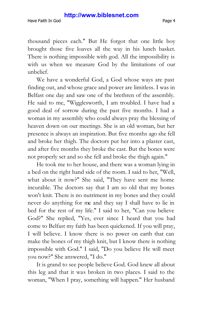thousand pieces each." But He forgot that one little boy brought those five loaves all the way in his lunch basket. There is nothing impossible with god. All the impossibility is with us when we measure God by the limitations of our unbelief.

We have a wonderful God, a God whose ways are past finding out, and whose grace and power are limitless. I was in Belfast one day and saw one of the brethren of the assembly. He said to me, "Wigglesworth, I am troubled. I have had a good deal of sorrow during the past five months. I had a woman in my assembly who could always pray the blessing of heaven down on our meetings. She is an old woman, but her presence is always an inspiration. But five months ago she fell and broke her thigh. The doctors put her into a plaster cast, and after five months they broke the cast. But the bones were not properly set and so she fell and broke the thigh again."

He took me to her house, and there was a woman lying in a bed on the right hand side of the room. I said to her, "Well, what about it now?" She said, "They have sent me home incurable. The doctors say that I am so old that my bones won't knit. There is no nutriment in my bones and they could never do anything for me and they say I shall have to lie in bed for the rest of my life." I said to her, "Can you believe God?" She replied, "Yes, ever since I heard that you had come to Belfast my faith has been quickened. If you will pray, I will believe. I know there is no power on earth that can make the bones of my thigh knit, but I know there is nothing impossible with God." I said, "Do you believe He will meet you now?" She answered, "I do."

It is grand to see people believe God. God knew all about this leg and that it was broken in two places. I said to the woman, "When I pray, something will happen." Her husband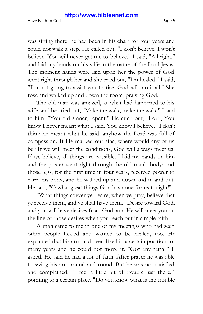was sitting there; he had been in his chair for four years and could not walk a step. He called out, "I don't believe. I won't believe. You will never get me to believe." I said, "All right," and laid my hands on his wife in the name of the Lord Jesus. The moment hands were laid upon her the power of God went right through her and she cried out, "I'm healed." I said, "I'm not going to assist you to rise. God will do it all." She rose and walked up and down the room, praising God.

The old man was amazed, at what had happened to his wife, and he cried out, "Make me walk, make me walk." I said to him, "You old sinner, repent." He cried out, "Lord, You know I never meant what I said. You know I believe." I don't think he meant what he said; anyhow the Lord was full of compassion. If He marked our sins, where would any of us be? If we will meet the conditions, God will always meet us. If we believe, all things are possible. I laid my hands on him and the power went right through the old man's body; and those legs, for the first time in four years, received power to carry his body, and he walked up and down and in and out. He said, "O what great things God has done for us tonight!"

"What things soever ye desire, when ye pray, believe that ye receive them, and ye shall have them." Desire toward God, and you will have desires from God; and He will meet you on the line of those desires when you reach out in simple faith.

A man came to me in one of my meetings who had seen other people healed and wanted to be healed, too. He explained that his arm had been fixed in a certain position for many years and he could not move it. "Got any faith?" I asked. He said he had a lot of faith. After prayer he was able to swing his arm round and round. But he was not satisfied and complained, "I feel a little bit of trouble just there," pointing to a certain place. "Do you know what is the trouble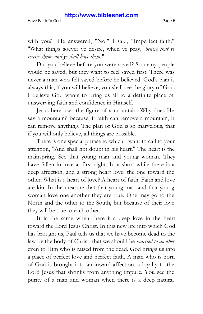with you?" He answered, "No." I said, "Imperfect faith." "What things soever ye desire, when ye pray, *believe that ye receive them, and ye shall have them.*"

Did you believe before you were saved? So many people would be saved, but they want to feel saved first. There was never a man who felt saved before he believed. God's plan is always this, if you will believe, you shall see the glory of God. I believe God wants to bring us all to a definite place of unswerving faith and confidence in Himself.

Jesus here uses the figure of a mountain. Why does He say a mountain? Because, if faith can remove a mountain, it can remove anything. The plan of God is so marvelous, that if you will only believe, all things are possible.

There is one special phrase to which I want to call to your attention, "And shall not doubt in his heart." The heart is the mainspring. See that young man and young woman. They have fallen in love at first sight. In a short while there is a deep affection, and a strong heart love, the one toward the other. What is a heart of love? A heart of faith. Faith and love are kin. In the measure that that young man and that young woman love one another they are true. One may go to the North and the other to the South, but because of their love they will be true to each other.

It is the same when there is a deep love in the heart toward the Lord Jesus Christ. In this new life into which God has brought us, Paul tells us that we have become dead to the law by the body of Christ, that we should be *married to another*, even to Him who is raised from the dead. God brings us into a place of perfect love and perfect faith. A man who is born of God is brought into an inward affection, a loyalty to the Lord Jesus that shrinks from anything impure. You see the purity of a man and woman when there is a deep natural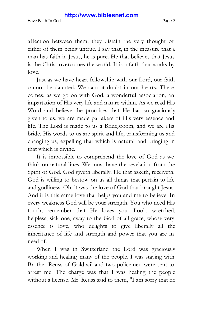affection between them; they distain the very thought of either of them being untrue. I say that, in the measure that a man has faith in Jesus, he is pure. He that believes that Jesus is the Christ overcomes the world. It is a faith that works by love.

Just as we have heart fellowship with our Lord, our faith cannot be daunted. We cannot doubt in our hearts. There comes, as we go on with God, a wonderful association, an impartation of His very life and nature within. As we read His Word and believe the promises that He has so graciously given to us, we are made partakers of His very essence and life. The Lord is made to us a Bridegroom, and we are His bride. His words to us are spirit and life, transforming us and changing us, expelling that which is natural and bringing in that which is divine.

It is impossible to comprehend the love of God as we think on natural lines. We must have the revelation from the Spirit of God. God giveth liberally. He that asketh, receiveth. God is willing to bestow on us all things that pertain to life and godliness. Oh, it was the love of God that brought Jesus. And it is this same love that helps you and me to believe. In every weakness God will be your strength. You who need His touch, remember that He loves you. Look, wretched, helpless, sick one, away to the God of all grace, whose very essence is love, who delights to give liberally all the inheritance of life and strength and power that you are in need of.

When I was in Switzerland the Lord was graciously working and healing many of the people. I was staying with Brother Reuss of Goldiwil and two policemen were sent to arrest me. The charge was that I was healing the people without a license. Mr. Reuss said to them, "I am sorry that he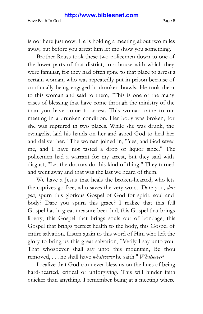is not here just now. He is holding a meeting about two miles away, but before you arrest him let me show you something."

Brother Reuss took these two policemen down to one of the lower parts of that district, to a house with which they were familiar, for they had often gone to that place to arrest a certain woman, who was repeatedly put in prison because of continually being engaged in drunken brawls. He took them to this woman and said to them, "This is one of the many cases of blessing that have come through the ministry of the man you have come to arrest. This woman came to our meeting in a drunken condition. Her body was broken, for she was ruptured in two places. While she was drunk, the evangelist laid his hands on her and asked God to heal her and deliver her." The woman joined in, "Yes, and God saved me, and I have not tasted a drop of liquor since." The policemen had a warrant for my arrest, but they said with disgust, "Let the doctors do this kind of thing." They turned and went away and that was the last we heard of them.

We have a Jesus that heals the broken-hearted, who lets the captives go free, who saves the very worst. Dare you, *dare you*, spurn this glorious Gospel of God for spirit, soul and body? Dare you spurn this grace? I realize that this full Gospel has in great measure been hid, this Gospel that brings liberty, this Gospel that brings souls out of bondage, this Gospel that brings perfect health to the body, this Gospel of entire salvation. Listen again to this word of Him who left the glory to bring us this great salvation, "Verily I say unto you, That whosoever shall say unto this mountain, Be thou removed, . . . he shall have *whatsoever* he saith." *Whatsoever!*

I realize that God can never bless us on the lines of being hard-hearted, critical or unforgiving. This will hinder faith quicker than anything. I remember being at a meeting where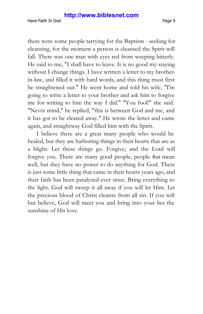there were some people tarrying for the Baptism - seeking for cleansing, for the moment a person is cleansed the Spirit will fall. There was one man with eyes red from weeping bitterly. He said to me, "I shall have to leave. It is no good my staying without I change things. I have written a letter to my brotherin-law, and filled it with hard words, and this thing must first be straightened out." He went home and told his wife, "I'm going to write a letter to your brother and ask him to forgive me for writing to him the way I did." "You fool!" she said. "Never mind," he replied, "this is between God and me, and it has got to be cleared away." He wrote the letter and came again, and straightway God filled him with the Spirit.

I believe there are a great many people who would be healed, but they are harboring things in their hearts that are as a blight. Let these things go. Forgive, and the Lord will forgive you. There are many good people, people that mean well, but they have no power to do anything for God. There is just some little thing that came in their hearts years ago, and their faith has been paralyzed ever since. Bring everything to the light. God will sweep it all away if you will let Him. Let the precious blood of Christ cleanse from all sin. If you will but believe, God will meet you and bring into your lies the sunshine of His love.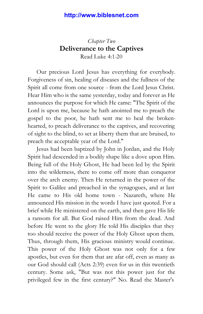## <span id="page-9-0"></span>*Chapter Two* **Deliverance to the Captives** Read Luke 4:1-20

Our precious Lord Jesus has everything for everybody. Forgiveness of sin, healing of diseases and the fullness of the Spirit all come from one source - from the Lord Jesus Christ. Hear Him who is the same yesterday, today and forever as He announces the purpose for which He came: "The Spirit of the Lord is upon me, because he hath anointed me to preach the gospel to the poor, he hath sent me to heal the brokenhearted, to preach deliverance to the captives, and recovering of sight to the blind, to set at liberty them that are bruised, to preach the acceptable year of the Lord."

Jesus had been baptized by John in Jordan, and the Holy Spirit had descended in a bodily shape like a dove upon Him. Being full of the Holy Ghost, He had been led by the Spirit into the wilderness, there to come off more than conqueror over the arch enemy. Then He returned in the power of the Spirit to Galilee and preached in the synagogues, and at last He came to His old home town - Nazareth, where He announced His mission in the words I have just quoted. For a brief while He ministered on the earth, and then gave His life a ransom for all. But God raised Him from the dead. And before He went to the glory He told His disciples that they too should receive the power of the Holy Ghost upon them. Thus, through them, His gracious ministry would continue. This power of the Holy Ghost was not only for a few apostles, but even for them that are afar off, even as many as our God should call (Acts 2:39) even for us in this twentieth century. Some ask, "But was not this power just for the privileged few in the first century?" No. Read the Master's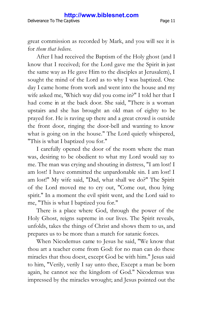great commission as recorded by Mark, and you will see it is for *them that believe.*

After I had received the Baptism of the Holy ghost (and I know that I received; for the Lord gave me the Spirit in just the same way as He gave Him to the disciples at Jerusalem), I sought the mind of the Lord as to why I was baptized. One day I came home from work and went into the house and my wife asked me, 'Which way did you come in?" I told her that I had come in at the back door. She said, "There is a woman upstairs and she has brought an old man of eighty to be prayed for. He is raving up there and a great crowd is outside the front door, ringing the door-bell and wanting to know what is going on in the house." The Lord quietly whispered, "This is what I baptized you for."

I carefully opened the door of the room where the man was, desiring to be obedient to what my Lord would say to me. The man was crying and shouting in distress, "I am lost! I am lost! I have committed the unpardonable sin. I am lost! I am lost!" My wife said, "Dad, what shall we do?" The Spirit of the Lord moved me to cry out, "Come out, thou lying spirit." In a moment the evil spirit went, and the Lord said to me, "This is what I baptized you for."

There is a place where God, through the power of the Holy Ghost, reigns supreme in our lives. The Spirit reveals, unfolds, takes the things of Christ and shows them to us, and prepares us to be more than a match for satanic forces.

When Nicodemus came to Jesus he said, "We know that thou art a teacher come from God: for no man can do these miracles that thou doest, except God be with him." Jesus said to him, "Verily, verily I say unto thee, Except a man be born again, he cannot see the kingdom of God." Nicodemus was impressed by the miracles wrought; and Jesus pointed out the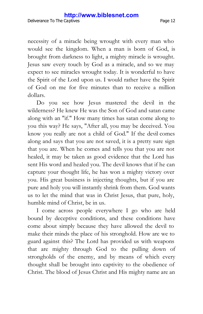necessity of a miracle being wrought with every man who would see the kingdom. When a man is born of God, is brought from darkness to light, a mighty miracle is wrought. Jesus saw every touch by God as a miracle, and so we may expect to see miracles wrought today. It is wonderful to have the Spirit of the Lord upon us. I would rather have the Spirit of God on me for five minutes than to receive a million dollars.

Do you see how Jesus mastered the devil in the wilderness? He knew He was the Son of God and satan came along with an "if." How many times has satan come along to you this way? He says, "After all, you may be deceived. You know you really are not a child of God." If the devil comes along and says that you are not saved, it is a pretty sure sign that you are. When he comes and tells you that you are not healed, it may be taken as good evidence that the Lord has sent His word and healed you. The devil knows that if he can capture your thought life, he has won a mighty victory over you. His great business is injecting thoughts, but if you are pure and holy you will instantly shrink from them. God wants us to let the mind that was in Christ Jesus, that pure, holy, humble mind of Christ, be in us.

I come across people everywhere I go who are held bound by deceptive conditions, and these conditions have come about simply because they have allowed the devil to make their minds the place of his stronghold. How are we to guard against this? The Lord has provided us with weapons that are mighty through God to the pulling down of strongholds of the enemy, and by means of which every thought shall be brought into captivity to the obedience of Christ. The blood of Jesus Christ and His mighty name are an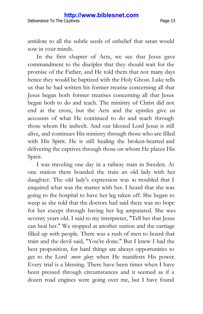antidote to all the subtle seeds of unbelief that satan would sow in your minds.

In the first chapter of Acts, we see that Jesus gave commandment to the disciples that they should wait for the promise of the Father, and He told them that not many days hence they would be baptized with the Holy Ghost. Luke tells us that he had written his former treatise concerning all that Jesus began both former treatises concerning all that Jesus began both to do and teach. The ministry of Christ did not end at the cross, but the Acts and the epistles give us accounts of what He continued to do and teach through those whom He indwelt. And our blessed Lord Jesus is still alive, and continues His ministry through those who are filled with His Spirit. He is still healing the broken-hearted and delivering the captives through those on whom He places His Spirit.

I was traveling one day in a railway train in Sweden. At one station there boarded the train an old lady with her daughter. The old lady's expression was so troubled that I enquired what was the matter with her. I heard that she was going to the hospital to have her leg taken off. She began to weep as she told that the doctors had said there was no hope for her except through having her leg amputated. She was seventy years old. I said to my interpreter, "Tell her that Jesus can heal her." We stopped at another station and the carriage filled up with people. There was a rush of men to board that train and the devil said, "You're done." But I knew I had the best proposition, for hard things are always opportunities to get to the Lord *more glory* when He manifests His power. Every trial is a blessing. There have been times when I have been pressed through circumstances and it seemed as if a dozen road engines were going over me, but I have found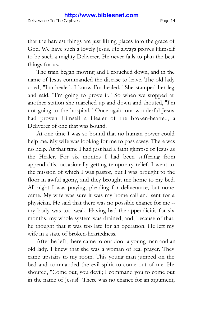#### Deliverance To The Captives **Page 14 http://www.biblesnet.com**

that the hardest things are just lifting places into the grace of God. We have such a lovely Jesus. He always proves Himself to be such a mighty Deliverer. He never fails to plan the best things for us.

The train began moving and I crouched down, and in the name of Jesus commanded the disease to leave. The old lady cried, "I'm healed. I know I'm healed." She stamped her leg and said, "I'm going to prove it." So when we stopped at another station she marched up and down and shouted, "I'm not going to the hospital." Once again our wonderful Jesus had proven Himself a Healer of the broken-hearted, a Deliverer of one that was bound.

At one time I was so bound that no human power could help me. My wife was looking for me to pass away. There was no help. At that time I had just had a faint glimpse of Jesus as the Healer. For six months I had been suffering from appendicitis, occasionally getting temporary relief. I went to the mission of which I was pastor, but I was brought to the floor in awful agony, and they brought me home to my bed. All night I was praying, pleading for deliverance, but none came. My wife was sure it was my home call and sent for a physician. He said that there was no possible chance for me - my body was too weak. Having had the appendicitis for six months, my whole system was drained, and, because of that, he thought that it was too late for an operation. He left my wife in a state of broken-heartedness.

After he left, there came to our door a young man and an old lady. I knew that she was a woman of real prayer. They came upstairs to my room. This young man jumped on the bed and commanded the evil spirit to come out of me. He shouted, "Come out, you devil; I command you to come out in the name of Jesus!" There was no chance for an argument,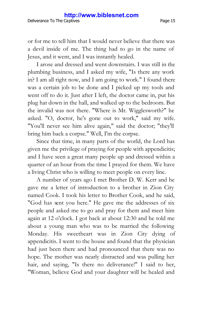or for me to tell him that I would never believe that there was a devil inside of me. The thing had to go in the name of Jesus, and it went, and I was instantly healed.

I arose and dressed and went downstairs. I was still in the plumbing business, and I asked my wife, "Is there any work in? I am all right now, and I am going to work." I found there was a certain job to be done and I picked up my tools and went off to do it. Just after I left, the doctor came in, put his plug hat down in the hall, and walked up to the bedroom. But the invalid was not there. "Where is Mr. Wigglesworth?" he asked. "O, doctor, he's gone out to work," said my wife. "You'll never see him alive again," said the doctor; "they'll bring him back a corpse." Well, I'm the corpse.

Since that time, in many parts of the world, the Lord has given me the privilege of praying for people with appendicitis; and I have seen a great many people up and dressed within a quarter of an hour from the time I prayed for them. We have a living Christ who is willing to meet people on every line.

A number of years ago I met Brother D. W. Kerr and he gave me a letter of introduction to a brother in Zion City named Cook. I took his letter to Brother Cook, and he said, "God has sent you here." He gave me the addresses of six people and asked me to go and pray for them and meet him again at 12 o'clock. I got back at about 12:30 and he told me about a young man who was to be married the following Monday. His sweetheart was in Zion City dying of appendicitis. I went to the house and found that the physician had just been there and had pronounced that there was no hope. The mother was nearly distracted and was pulling her hair, and saying, "Is there no deliverance!" I said to her, "Woman, believe God and your daughter will be healed and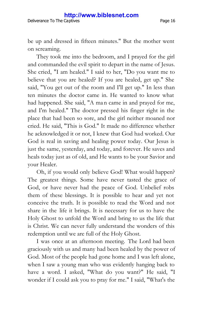be up and dressed in fifteen minutes." But the mother went on screaming.

They took me into the bedroom, and I prayed for the girl and commanded the evil spirit to depart in the name of Jesus. She cried, "I am healed." I said to her, "Do you want me to believe that you are healed? If you are healed, get up." She said, "You get out of the room and I'll get up." In less than ten minutes the doctor came in. He wanted to know what had happened. She said, "A man came in and prayed for me, and I'm healed." The doctor pressed his finger right in the place that had been so sore, and the girl neither moaned nor cried. He said, "This is God." It made no difference whether he acknowledged it or not, I knew that God had worked. Our God is real in saving and healing power today. Our Jesus is just the same, yesterday, and today, and forever. He saves and heals today just as of old, and He wants to be your Savior and your Healer.

Oh, if you would only believe God! What would happen? The greatest things. Some have never tasted the grace of God, or have never had the peace of God. Unbelief robs them of these blessings. It is possible to hear and yet not conceive the truth. It is possible to read the Word and not share in the life it brings. It is necessary for us to have the Holy Ghost to unfold the Word and bring to us the life that is Christ. We can never fully understand the wonders of this redemption until we are full of the Holy Ghost.

I was once at an afternoon meeting. The Lord had been graciously with us and many had been healed by the power of God. Most of the people had gone home and I was left alone, when I saw a young man who was evidently hanging back to have a word. I asked, "What do you want?" He said, "I wonder if I could ask you to pray for me." I said, "What's the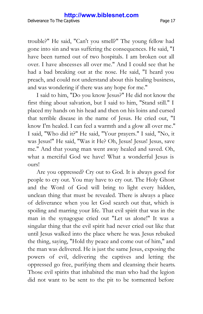trouble?" He said, "Can't you smell?" The young fellow had gone into sin and was suffering the consequences. He said, "I have been turned out of two hospitals. I am broken out all over. I have abscesses all over me." And I could see that he had a bad breaking out at the nose. He said, "I heard you preach, and could not understand about this healing business, and was wondering if there was any hope for me."

I said to him, "Do you know Jesus?" He did not know the first thing about salvation, but I said to him, "Stand still." I placed my hands on his head and then on his loins and cursed that terrible disease in the name of Jesus. He cried out, "I know I'm healed. I can feel a warmth and a glow all over me." I said, "Who did it?" He said, "Your prayers." I said, "No, it was Jesus!" He said, "Was it He? Oh, Jesus! Jesus! Jesus, save me." And that young man went away healed and saved. Oh, what a merciful God we have! What a wonderful Jesus is ours!

Are you oppressed? Cry out to God. It is always good for people to cry out. You may have to cry out. The Holy Ghost and the Word of God will bring to light every hidden, unclean thing that must be revealed. There is always a place of deliverance when you let God search out that, which is spoiling and marring your life. That evil spirit that was in the man in the synagogue cried out "Let us alone!" It was a singular thing that the evil spirit had never cried out like that until Jesus walked into the place where he was. Jesus rebuked the thing, saying, "Hold thy peace and come out of him," and the man was delivered. He is just the same Jesus, exposing the powers of evil, delivering the captives and letting the oppressed go free, purifying them and cleansing their hearts. Those evil spirits that inhabited the man who had the legion did not want to be sent to the pit to be tormented before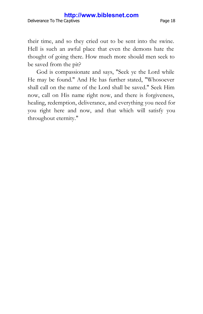#### Deliverance To The Captives **Page 18 http://www.biblesnet.com**

their time, and so they cried out to be sent into the swine. Hell is such an awful place that even the demons hate the thought of going there. How much more should men seek to be saved from the pit?

God is compassionate and says, "Seek ye the Lord while He may be found." And He has further stated, "Whosoever shall call on the name of the Lord shall be saved." Seek Him now, call on His name right now, and there is forgiveness, healing, redemption, deliverance, and everything you need for you right here and now, and that which will satisfy you throughout eternity."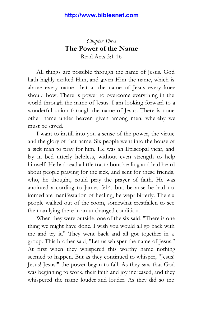# *Chapter Three* **The Power of the Name** Read Acts 3:1-16

<span id="page-18-0"></span>All things are possible through the name of Jesus. God hath highly exalted Him, and given Him the name, which is above every name, that at the name of Jesus every knee should bow. There is power to overcome everything in the world through the name of Jesus. I am looking forward to a wonderful union through the name of Jesus. There is none other name under heaven given among men, whereby we must be saved.

I want to instill into you a sense of the power, the virtue and the glory of that name. Six people went into the house of a sick man to pray for him. He was an Episcopal vicar, and lay in bed utterly helpless, without even strength to help himself. He had read a little tract about healing and had heard about people praying for the sick, and sent for these friends, who, he thought, could pray the prayer of faith. He was anointed according to James 5:14, but, because he had no immediate manifestation of healing, he wept bitterly. The six people walked out of the room, somewhat crestfallen to see the man lying there in an unchanged condition.

When they were outside, one of the six said, "There is one thing we might have done. I wish you would all go back with me and try it." They went back and all got together in a group. This brother said, "Let us whisper the name of Jesus." At first when they whispered this worthy name nothing seemed to happen. But as they continued to whisper, "Jesus! Jesus! Jesus!" the power began to fall. As they saw that God was beginning to work, their faith and joy increased, and they whispered the name louder and louder. As they did so the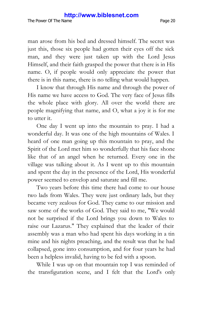man arose from his bed and dressed himself. The secret was just this, those six people had gotten their eyes off the sick man, and they were just taken up with the Lord Jesus Himself, and their faith grasped the power that there is in His name. O, if people would only appreciate the power that there is in this name, there is no telling what would happen.

I know that through His name and through the power of His name we have access to God. The very face of Jesus fills the whole place with glory. All over the world there are people magnifying that name, and O, what a joy it is for me to utter it.

One day I went up into the mountain to pray. I had a wonderful day. It was one of the high mountains of Wales. I heard of one man going up this mountain to pray, and the Spirit of the Lord met him so wonderfully that his face shone like that of an angel when he returned. Every one in the village was talking about it. As I went up to this mountain and spent the day in the presence of the Lord, His wonderful power seemed to envelop and saturate and fill me.

Two years before this time there had come to our house two lads from Wales. They were just ordinary lads, but they became very zealous for God. They came to our mission and saw some of the works of God. They said to me, "We would not be surprised if the Lord brings you down to Wales to raise our Lazarus." They explained that the leader of their assembly was a man who had spent his days working in a tin mine and his nights preaching, and the result was that he had collapsed, gone into consumption, and for four years he had been a helpless invalid, having to be fed with a spoon.

While I was up on that mountain top I was reminded of the transfiguration scene, and I felt that the Lord's only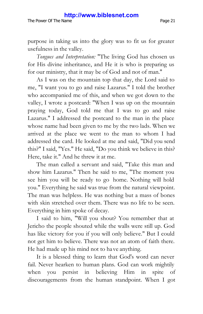purpose in taking us into the glory was to fit us for greater usefulness in the valley.

*Tongues and Interpretation:* "The living God has chosen us for His divine inheritance, and He it is who is preparing us for our ministry, that it may be of God and not of man."

As I was on the mountain top that day, the Lord said to me, "I want you to go and raise Lazarus." I told the brother who accompanied me of this, and when we got down to the valley, I wrote a postcard: "When I was up on the mountain praying today, God told me that I was to go and raise Lazarus." I addressed the postcard to the man in the place whose name had been given to me by the two lads. When we arrived at the place we went to the man to whom I had addressed the card. He looked at me and said, "Did you send this?" I said, "Yes." He said, "Do you think we believe in this? Here, take it." And he threw it at me.

The man called a servant and said, "Take this man and show him Lazarus." Then he said to me, "The moment you see him you will be ready to go home. Nothing will hold you." Everything he said was true from the natural viewpoint. The man was helpless. He was nothing but a mass of bones with skin stretched over them. There was no life to be seen. Everything in him spoke of decay.

I said to him, "Will you shout? You remember that at Jericho the people shouted while the walls were still up. God has like victory for you if you will only believe." But I could not get him to believe. There was not an atom of faith there. He had made up his mind not to ha ve anything.

It is a blessed thing to learn that God's word can never fail. Never hearken to human plans. God can work mightily when you persist in believing Him in spite of discouragements from the human standpoint. When I got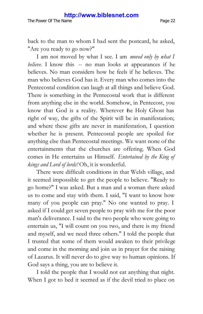back to the man to whom I had sent the postcard, he asked, "Are you ready to go now?"

I am not moved by what I see. I am *moved only by what I believe.* I know this -- no man looks at appearances if he believes. No man considers how he feels if he believes. The man who believes God has it. Every man who comes into the Pentecostal condition can laugh at all things and believe God. There is something in the Pentecostal work that is different from anything else in the world. Somehow, in Pentecost, you know that God is a reality. Wherever the Holy Ghost has right of way, the gifts of the Spirit will be in manifestation; and where these gifts are never in manifestation, I question whether he is present. Pentecostal people are spoiled for anything else than Pentecostal meetings. We want none of the entertainments that the churches are offering. When God comes in He entertains us Himself. *Entertained by the King of kings and Lord of lords!* Oh, it is wonderful.

There were difficult conditions in that Welsh village, and it seemed impossible to get the people to believe. "Ready to go home?" I was asked. But a man and a woman there asked us to come and stay with them. I said, "I want to know how many of you people can pray." No one wanted to pray. I asked if I could get seven people to pray with me for the poor man's deliverance. I said to the two people who were going to entertain us, "I will count on you two, and there is my friend and myself, and we need three others." I told the people that I trusted that some of them would awaken to their privilege and come in the morning and join us in prayer for the raising of Lazarus. It will never do to give way to human opinions. If God says a thing, you are to believe it.

I told the people that I would not eat anything that night. When I got to bed it seemed as if the devil tried to place on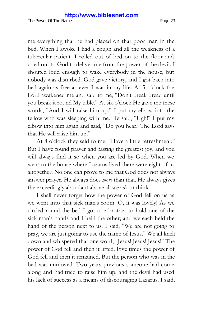me everything that he had placed on that poor man in the bed. When I awoke I had a cough and all the weakness of a tubercular patient. I rolled out of bed on to the floor and cried out to God to deliver me from the power of the devil. I shouted loud enough to wake everybody in the house, but nobody was disturbed. God gave victory, and I got back into bed again as free as ever I was in my life. At 5 o'clock the Lord awakened me and said to me, "Don't break bread until you break it round My table." At six o'clock He gave me these words, "And I will raise him up." I put my elbow into the fellow who was sleeping with me. He said, "Ugh!" I put my elbow into him again and said, "Do you hear? The Lord says that He will raise him up."

At 8 o'clock they said to me, "Have a little refreshment." But I have found prayer and fasting the greatest joy, and you will always find it so when you are led by God. When we went to the house where Lazarus lived there were eight of us altogether. No one can prove to me that God does not always answer prayer. He always does *more* than that. He always gives the exceedingly abundant above all we ask or think.

I shall never forget how the power of God fell on us as we went into that sick man's room. O, it was lovely! As we circled round the bed I got one brother to hold one of the sick man's hands and I held the other; and we each held the hand of the person next to us. I said, "We are not going to pray, we are just going to use the name of Jesus." We all knelt down and whispered that one word, "Jesus! Jesus! Jesus!" The power of God fell and then it lifted. Five times the power of God fell and then it remained. But the person who was in the bed was unmoved. Two years previous someone had come along and had tried to raise him up, and the devil had used his lack of success as a means of discouraging Lazarus. I said,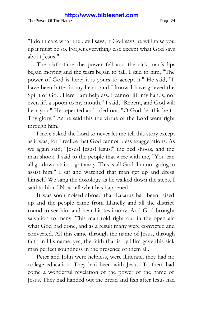The Power Of The Name **Page 24** 

"I don't care what the devil says; if God says he will raise you up it must be so. Forget everything else except what God says about Jesus."

The sixth time the power fell and the sick man's lips began moving and the tears began to fall. I said to him, "The power of God is here; it is yours to accept it." He said, "I have been bitter in my heart, and I know I have grieved the Spirit of God. Here I am helpless. I cannot lift my hands, nor even lift a spoon to my mouth." I said, "Repent, and God will hear you." He repented and cried out, "O God, let this be to Thy glory." As he said this the virtue of the Lord went right through him.

I have asked the Lord to never let me tell this story except as it was, for I realize that God cannot bless exaggerations. As we again said, "Jesus! Jesus! Jesus!" the bed shook, and the man shook. I said to the people that were with me, "You can all go down stairs right away. This is all God. I'm not going to assist him." I sat and watched that man get up and dress himself. We sang the doxology as he walked down the steps. I said to him, "Now tell what has happened."

It was soon noised abroad that Lazarus had been raised up and the people came from Llanelly and all the district round to see him and hear his testimony. And God brought salvation to many. This man told right out in the open air what God had done, and as a result many were convicted and converted. All this came through the name of Jesus, through faith in His name, yea, the faith that is by Him gave this sick man perfect soundness in the presence of them all.

Peter and John were helpless, were illiterate, they had no college education. They had been with Jesus. To them had come a wonderful revelation of the power of the name of Jesus. They had handed out the bread and fish after Jesus had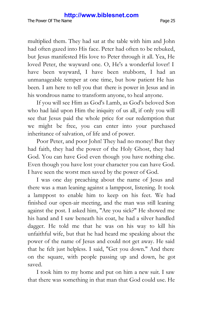multiplied them. They had sat at the table with him and John had often gazed into His face. Peter had often to be rebuked, but Jesus manifested His love to Peter through it all. Yea, He loved Peter, the wayward one. O, He's a wonderful lover! I have been wayward, I have been stubborn, I had an unmanageable temper at one time, but how patient He has been. I am here to tell you that there is power in Jesus and in his wondrous name to transform anyone, to heal anyone.

If you will see Him as God's Lamb, as God's beloved Son who had laid upon Him the iniquity of us all, if only you will see that Jesus paid the whole price for our redemption that we might be free, you can enter into your purchased inheritance of salvation, of life and of power.

Poor Peter, and poor John! They had no money! But they had faith, they had the power of the Holy Ghost, they had God. You can have God even though you have nothing else. Even though you have lost your character you can have God. I have seen the worst men saved by the power of God.

I was one day preaching about the name of Jesus and there was a man leaning against a lamppost, listening. It took a lamppost to enable him to keep on his feet. We had finished our open-air meeting, and the man was still leaning against the post. I asked him, "Are you sick?" He showed me his hand and I saw beneath his coat, he had a silver handled dagger. He told me that he was on his way to kill his unfaithful wife, but that he had heard me speaking about the power of the name of Jesus and could not get away. He said that he felt just helpless. I said, "Get you down." And there on the square, with people passing up and down, he got saved.

I took him to my home and put on him a new suit. I saw that there was something in that man that God could use. He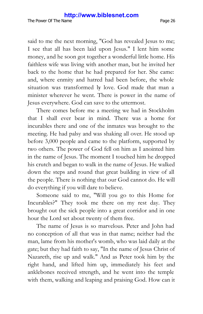said to me the next morning, "God has revealed Jesus to me; I see that all has been laid upon Jesus." I lent him some money, and he soon got together a wonderful little home. His faithless wife was living with another man, but he invited her back to the home that he had prepared for her. She came: and, where enmity and hatred had been before, the whole situation was transformed by love. God made that man a minister wherever he went. There is power in the name of Jesus everywhere. God can save to the uttermost.

There comes before me a meeting we had in Stockholm that I shall ever bear in mind. There was a home for incurables there and one of the inmates was brought to the meeting. He had palsy and was shaking all over. He stood up before 3,000 people and came to the platform, supported by two others. The power of God fell on him as I anointed him in the name of Jesus. The moment I touched him he dropped his crutch and began to walk in the name of Jesus. He walked down the steps and round that great building in view of all the people. There is nothing that our God cannot do. He will do everything if you will dare to believe.

Someone said to me, "Will you go to this Home for Incurables?" They took me there on my rest day. They brought out the sick people into a great corridor and in one hour the Lord set about twenty of them free.

The name of Jesus is so marvelous. Peter and John had no conception of all that was in that name; neither had the man, lame from his mother's womb, who was laid daily at the gate; but they had faith to say, "In the name of Jesus Christ of Nazareth, rise up and walk." And as Peter took him by the right hand, and lifted him up, immediately his feet and anklebones received strength, and he went into the temple with them, walking and leaping and praising God. How can it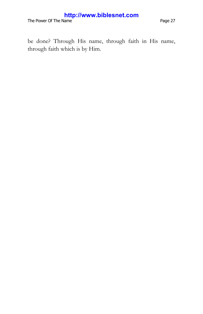The Power Of The Name **Page 27 Page 27** 

be done? Through His name, through faith in His name, through faith which is by Him.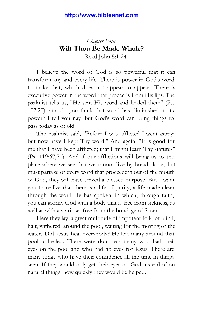# <span id="page-27-0"></span>*Chapter Four* **Wilt Thou Be Made Whole?** Read John 5:1-24

I believe the word of God is so powerful that it can transform any and every life. There is power in God's word to make that, which does not appear to appear. There is executive power in the word that proceeds from His lips. The psalmist tells us, "He sent His word and healed them" (Ps. 107:20); and do you think that word has diminished in its power? I tell you nay, but God's word can bring things to pass today as of old.

The psalmist said, "Before I was afflicted I went astray; but now have I kept Thy word." And again, "It is good for me that I have been afflicted; that I might learn Thy statutes" (Ps. 119:67,71). And if our afflictions will bring us to the place where we see that we cannot live by bread alone, but must partake of every word that proceedeth out of the mouth of God, they will have served a blessed purpose. But I want you to realize that there is a life of purity, a life made clean through the word He has spoken, in which, through faith, you can glorify God with a body that is free from sickness, as well as with a spirit set free from the bondage of Satan.

Here they lay, a great multitude of impotent folk, of blind, halt, withered, around the pool, waiting for the moving of the water. Did Jesus heal everybody? He left many around that pool unhealed. There were doubtless many who had their eyes on the pool and who had no eyes for Jesus. There are many today who have their confidence all the time in things seen. If they would only get their eyes on God instead of on natural things, how quickly they would be helped.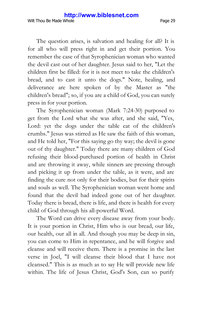Wilt Thou Be Made Whole **Page 29** 

The question arises, is salvation and healing for all? It is for all who will press right in and get their portion. You remember the case of that Syrophenician woman who wanted the devil cast out of her daughter. Jesus said to her, "Let the children first be filled: for it is not meet to take the children's bread, and to cast it unto the dogs." Note, healing, and deliverance are here spoken of by the Master as "the children's bread"; so, if you are a child of God, you can surely press in for your portion.

The Syrophenician woman (Mark 7:24-30) purposed to get from the Lord what she was after, and she said, "Yes, Lord: yet the dogs under the table eat of the children's crumbs." Jesus was stirred as He saw the faith of this woman, and He told her, "For this saying go thy way; the devil is gone out of thy daughter." Today there are many children of God refusing their blood-purchased portion of health in Christ and are throwing it away, while sinners are pressing through and picking it up from under the table, as it were, and are finding the cure not only for their bodies, but for their spirits and souls as well. The Syrophenician woman went home and found that the devil had indeed gone out of her daughter. Today there is bread, there is life, and there is health for every child of God through his all-powerful Word.

The Word can drive every disease away from your body. It is your portion in Christ, Him who is our bread, our life, our health, our all in all. And though you may be deep in sin, you can come to Him in repentance, and he will forgive and cleanse and will receive them. There is a promise in the last verse in Joel, "I will cleanse their blood that I have not cleansed." This is as much as to say He will provide new life within. The life of Jesus Christ, God's Son, can so purify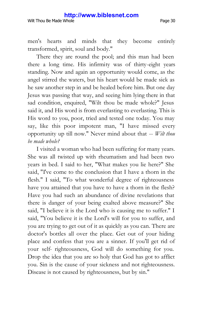men's hearts and minds that they become entirely transformed, spirit, soul and body."

There they are round the pool; and this man had been there a long time. His infirmity was of thirty-eight years standing. Now and again an opportunity would come, as the angel stirred the waters, but his heart would be made sick as he saw another step in and be healed before him. But one day Jesus was passing that way, and seeing him lying there in that sad condition, enquired, "Wilt thou be made whole?" Jesus said it, and His word is from everlasting to everlasting. This is His word to you, poor, tried and tested one today. You may say, like this poor impotent man, "I have missed every opportunity up till now." Never mind about that -- *Wilt thou be made whole?*

I visited a woman who had been suffering for many years. She was all twisted up with rheumatism and had been two years in bed. I said to her, "What makes you lie here?" She said, "I've come to the conclusion that I have a thorn in the flesh." I said, "To what wonderful degree of righteousness have you attained that you have to have a thorn in the flesh? Have you had such an abundance of divine revelations that there is danger of your being exalted above measure?" She said, "I believe it is the Lord who is causing me to suffer." I said, "You believe it is the Lord's will for you to suffer, and you are trying to get out of it as quickly as you can. There are doctor's bottles all over the place. Get out of your hiding place and confess that you are a sinner. If you'll get rid of your self- righteousness, God will do something for you. Drop the idea that you are so holy that God has got to afflict you. Sin is the cause of your sickness and not righteousness. Disease is not caused by righteousness, but by sin."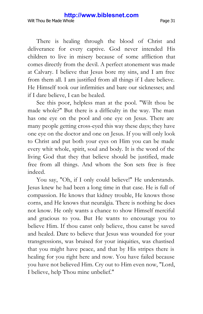Wilt Thou Be Made Whole **Page 31** 

There is healing through the blood of Christ and deliverance for every captive. God never intended His children to live in misery because of some affliction that comes directly from the devil. A perfect atonement was made at Calvary. I believe that Jesus bore my sins, and I am free from them all. I am justified from all things if I dare believe. He Himself took our infirmities and bare our sicknesses; and if I dare believe, I can be healed.

See this poor, helpless man at the pool. "Wilt thou be made whole?" But there is a difficulty in the way. The man has one eye on the pool and one eye on Jesus. There are many people getting cross-eyed this way these days; they have one eye on the doctor and one on Jesus. If you will only look to Christ and put both your eyes on Him you can be made every whit whole, spirit, soul and body. It is the word of the living God that they that believe should be justified, made free from all things. And whom the Son sets free is free indeed.

You say, "Oh, if I only could believe!" He understands. Jesus knew he had been a long time in that case. He is full of compassion. He knows that kidney trouble, He knows those corns, and He knows that neuralgia. There is nothing he does not know. He only wants a chance to show Himself merciful and gracious to you. But He wants to encourage you to believe Him. If thou canst only believe, thou canst be saved and healed. Dare to believe that Jesus was wounded for your transgressions, was bruised for your iniquities, was chastised that you might have peace, and that by His stripes there is healing for you right here and now. You have failed because you have not believed Him. Cry out to Him even now, "Lord, I believe, help Thou mine unbelief."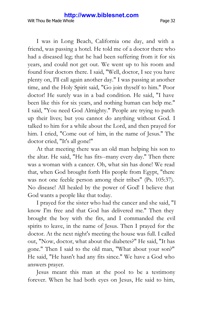I was in Long Beach, California one day, and with a friend, was passing a hotel. He told me of a doctor there who had a diseased leg; that he had been suffering from it for six years, and could not get out. We went up to his room and found four doctors there. I said, "Well, doctor, I see you have plenty on, I'll call again another day." I was passing at another time, and the Holy Spirit said, "Go join thyself to him." Poor doctor! He surely was in a bad condition. He said, "I have been like this for six years, and nothing human can help me." I said, "You need God Almighty." People are trying to patch up their lives; but you cannot do anything without God. I talked to him for a while about the Lord, and then prayed for him. I cried, "Come out of him, in the name of Jesus." The doctor cried, "It's all gone!"

At that meeting there was an old man helping his son to the altar. He said, "He has fits--many every day." Then there was a woman with a cancer. Oh, what sin has done! We read that, when God brought forth His people from Egypt, "there was not one feeble person among their tribes" (Ps. 105:37). No disease! All healed by the power of God! I believe that God wants a people like that today.

I prayed for the sister who had the cancer and she said, "I know I'm free and that God has delivered me." Then they brought the boy with the fits, and I commanded the evil spirits to leave, in the name of Jesus. Then I prayed for the doctor. At the next night's meeting the house was full. I called out, "Now, doctor, what about the diabetes?" He said, "It has gone." Then I said to the old man, "What about your son?" He said, "He hasn't had any fits since." We have a God who answers prayer.

Jesus meant this man at the pool to be a testimony forever. When he had both eyes on Jesus, He said to him,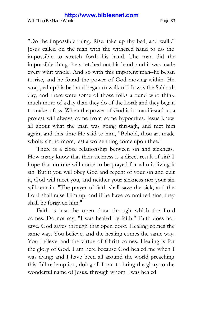"Do the impossible thing. Rise, take up thy bed, and walk." Jesus called on the man with the withered hand to do the impossible--to stretch forth his hand. The man did the impossible thing--he stretched out his hand, and it was made every whit whole. And so with this impotent man--he began to rise, and he found the power of God moving within. He wrapped up his bed and began to walk off. It was the Sabbath day, and there were some of those folks around who think much more of a day than they do of the Lord; and they began to make a fuss. When the power of God is in manifestation, a protest will always come from some hypocrites. Jesus knew all about what the man was going through, and met him again; and this time He said to him, "Behold, thou art made whole: sin no more, lest a worse thing come upon thee."

There is a close relationship between sin and sickness. How many know that their sickness is a direct result of sin? I hope that no one will come to be prayed for who is living in sin. But if you will obey God and repent of your sin and quit it, God will meet you, and neither your sickness nor your sin will remain. "The prayer of faith shall save the sick, and the Lord shall raise Him up; and if he have committed sins, they shall be forgiven him."

Faith is just the open door through which the Lord comes. Do not say, "I was healed by faith." Faith does not save. God saves through that open door. Healing comes the same way. You believe, and the healing comes the same way. You believe, and the virtue of Christ comes. Healing is for the glory of God. I am here because God healed me when I was dying; and I have been all around the world preaching this full redemption, doing all I can to bring the glory to the wonderful name of Jesus, through whom I was healed.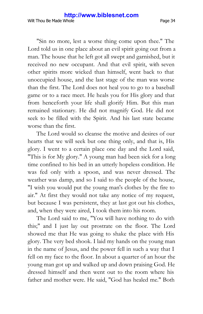Wilt Thou Be Made Whole **Page 34** 

"Sin no more, lest a worse thing come upon thee." The Lord told us in one place about an evil spirit going out from a man. The house that he left got all swept and garnished, but it received no new occupant. And that evil spirit, with seven other spirits more wicked than himself, went back to that unoccupied house, and the last stage of the man was worse than the first. The Lord does not heal you to go to a baseball game or to a race meet. He heals you for His glory and that from henceforth your life shall glorify Him. But this man remained stationary. He did not magnify God. He did not seek to be filled with the Spirit. And his last state became worse than the first.

The Lord would so cleanse the motive and desires of our hearts that we will seek but one thing only, and that is, His glory. I went to a certain place one day and the Lord said, "This is for My glory." A young man had been sick for a long time confined to his bed in an utterly hopeless condition. He was fed only with a spoon, and was never dressed. The weather was damp, and so I said to the people of the house, "I wish you would put the young man's clothes by the fire to air." At first they would not take any notice of my request, but because I was persistent, they at last got out his clothes, and, when they were aired, I took them into his room.

The Lord said to me, "You will have nothing to do with this;" and I just lay out prostrate on the floor. The Lord showed me that He was going to shake the place with His glory. The very bed shook. I laid my hands on the young man in the name of Jesus, and the power fell in such a way that I fell on my face to the floor. In about a quarter of an hour the young man got up and walked up and down praising God. He dressed himself and then went out to the room where his father and mother were. He said, "God has healed me." Both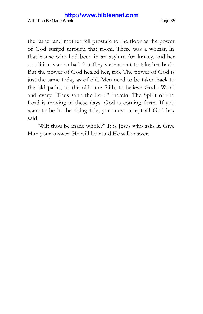the father and mother fell prostate to the floor as the power of God surged through that room. There was a woman in that house who had been in an asylum for lunacy, and her condition was so bad that they were about to take her back. But the power of God healed her, too. The power of God is just the same today as of old. Men need to be taken back to the old paths, to the old-time faith, to believe God's Word and every "Thus saith the Lord" therein. The Spirit of the Lord is moving in these days. God is coming forth. If you want to be in the rising tide, you must accept all God has said.

"Wilt thou be made whole?" It is Jesus who asks it. Give Him your answer. He will hear and He will answer.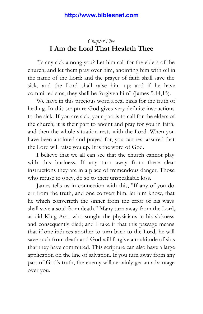## <span id="page-35-0"></span>*Chapter Five* **I Am the Lord That Healeth Thee**

"Is any sick among you? Let him call for the elders of the church; and let them pray over him, anointing him with oil in the name of the Lord: and the prayer of faith shall save the sick, and the Lord shall raise him up; and if he have committed sins, they shall be forgiven him" (James 5:14,15).

We have in this precious word a real basis for the truth of healing. In this scripture God gives very definite instructions to the sick. If you are sick, your part is to call for the elders of the church; it is their part to anoint and pray for you in faith, and then the whole situation rests with the Lord. When you have been anointed and prayed for, you can rest assured that the Lord will raise you up. It is the word of God.

I believe that we all can see that the church cannot play with this business. If any turn away from these clear instructions they are in a place of tremendous danger. Those who refuse to obey, do so to their unspeakable loss.

James tells us in connection with this, "If any of you do err from the truth, and one convert him, let him know, that he which converteth the sinner from the error of his ways shall save a soul from death." Many turn away from the Lord, as did King Asa, who sought the physicians in his sickness and consequently died; and I take it that this passage means that if one induces another to turn back to the Lord, he will save such from death and God will forgive a multitude of sins that they have committed. This scripture can also have a large application on the line of salvation. If you turn away from any part of God's truth, the enemy will certainly get an advantage over you.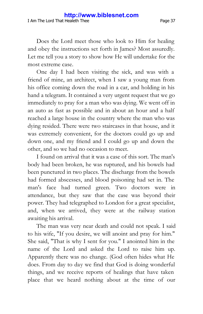Does the Lord meet those who look to Him for healing and obey the instructions set forth in James? Most assuredly. Let me tell you a story to show how He will undertake for the most extreme case.

One day I had been visiting the sick, and was with a friend of mine, an architect, when I saw a young man from his office coming down the road in a car, and holding in his hand a telegram. It contained a very urgent request that we go immediately to pray for a man who was dying. We went off in an auto as fast as possible and in about an hour and a half reached a large house in the country where the man who was dying resided. There were two staircases in that house, and it was extremely convenient, for the doctors could go up and down one, and my friend and I could go up and down the other, and so we had no occasion to meet.

I found on arrival that it was a case of this sort. The man's body had been broken, he was ruptured, and his bowels had been punctured in two places. The discharge from the bowels had formed abscesses, and blood poisoning had set in. The man's face had turned green. Two doctors were in attendance, but they saw that the case was beyond their power. They had telegraphed to London for a great specialist, and, when we arrived, they were at the railway station awaiting his arrival.

The man was very near death and could not speak. I said to his wife, "If you desire, we will anoint and pray for him." She said, "That is why I sent for you." I anointed him in the name of the Lord and asked the Lord to raise him up. Apparently there was no change. (God often hides what He does. From day to day we find that God is doing wonderful things, and we receive reports of healings that have taken place that we heard nothing about at the time of our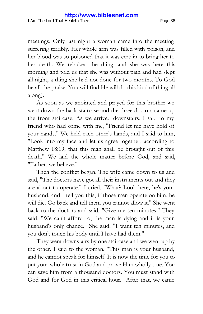meetings. Only last night a woman came into the meeting suffering terribly. Her whole arm was filled with poison, and her blood was so poisoned that it was certain to bring her to her death. We rebuked the thing, and she was here this morning and told us that she was without pain and had slept all night, a thing she had not done for two months. To God be all the praise. You will find He will do this kind of thing all along).

As soon as we anointed and prayed for this brother we went down the back staircase and the three doctors came up the front staircase. As we arrived downstairs, I said to my friend who had come with me, "Friend let me have hold of your hands." We held each other's hands, and I said to him, "Look into my face and let us agree together, according to Matthew 18:19, that this man shall be brought out of this death." We laid the whole matter before God, and said, "Father, we believe."

Then the conflict began. The wife came down to us and said, "The doctors have got all their instruments out and they are about to operate." I cried, "What? Look here, he's your husband, and I tell you this, if those men operate on him, he will die. Go back and tell them you cannot allow it." She went back to the doctors and said, "Give me ten minutes." They said, "We can't afford to, the man is dying and it is your husband's only chance." She said, "I want ten minutes, and you don't touch his body until I have had them."

They went downstairs by one staircase and we went up by the other. I said to the woman, "This man is your husband, and he cannot speak for himself. It is now the time for you to put your whole trust in God and prove Him wholly true. You can save him from a thousand doctors. You must stand with God and for God in this critical hour." After that, we came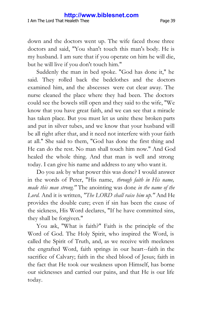down and the doctors went up. The wife faced those three

doctors and said, "You shan't touch this man's body. He is my husband. I am sure that if you operate on him he will die, but he will live if you don't touch him."

Suddenly the man in bed spoke. "God has done it," he said. They rolled back the bedclothes and the doctors examined him, and the abscesses were cut clear away. The nurse cleaned the place where they had been. The doctors could see the bowels still open and they said to the wife, "We know that you have great faith, and we can see that a miracle has taken place. But you must let us unite these broken parts and put in silver tubes, and we know that your husband will be all right after that, and it need not interfere with your faith at all." She said to them, "God has done the first thing and He can do the rest. No man shall touch him now." And God healed the whole thing. And that man is well and strong today. I can give his name and address to any who want it.

Do you ask by what power this was done? I would answer in the words of Peter, "His name, *through faith in His name, made this man strong."* The anointing was done *in the name of the Lord.* And it is written, *"The LORD shall raise him up."* And He provides the double cure; even if sin has been the cause of the sickness, His Word declares, "If he have committed sins, they shall be forgiven."

You ask, "What is faith?" Faith is the principle of the Word of God. The Holy Spirit, who inspired the Word, is called the Spirit of Truth, and, as we receive with meekness the engrafted Word, faith springs in our heart--faith in the sacrifice of Calvary; faith in the shed blood of Jesus; faith in the fact that He took our weakness upon Himself, has borne our sicknesses and carried our pains, and that He is our life today.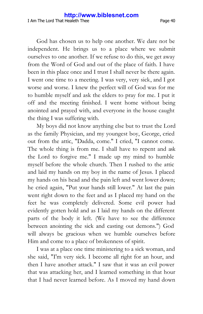God has chosen us to help one another. We dare not be independent. He brings us to a place where we submit ourselves to one another. If we refuse to do this, we get away from the Word of God and out of the place of faith. I have been in this place once and I trust I shall never be there again. I went one time to a meeting. I was very, very sick, and I got worse and worse. I knew the perfect will of God was for me to humble myself and ask the elders to pray for me. I put it off and the meeting finished. I went home without being anointed and prayed with, and everyone in the house caught the thing I was suffering with.

My boys did not know anything else but to trust the Lord as the family Physician, and my youngest boy, George, cried out from the attic, "Dadda, come." I cried, "I cannot come. The whole thing is from me. I shall have to repent and ask the Lord to forgive me." I made up my mind to humble myself before the whole church. Then I rushed to the attic and laid my hands on my boy in the name of Jesus. I placed my hands on his head and the pain left and went lower down; he cried again, "Put your hands still lower." At last the pain went right down to the feet and as I placed my hand on the feet he was completely delivered. Some evil power had evidently gotten hold and as I laid my hands on the different parts of the body it left. (We have to see the difference between anointing the sick and casting out demons.") God will always be gracious when we humble ourselves before Him and come to a place of brokenness of spirit.

I was at a place one time ministering to a sick woman, and she said, "I'm very sick. I become all right for an hour, and then I have another attack." I saw that it was an evil power that was attacking her, and I learned something in that hour that I had never learned before. As I moved my hand down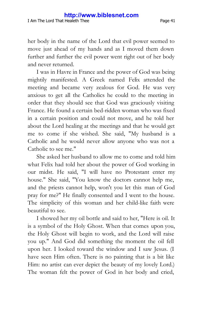her body in the name of the Lord that evil power seemed to move just ahead of my hands and as I moved them down further and further the evil power went right out of her body and never returned.

I was in Havre in France and the power of God was being mightily manifested. A Greek named Felix attended the meeting and became very zealous for God. He was very anxious to get all the Catholics he could to the meeting in order that they should see that God was graciously visiting France. He found a certain bed-ridden woman who was fixed in a certain position and could not move, and he told her about the Lord healing at the meetings and that he would get me to come if she wished. She said, "My husband is a Catholic and he would never allow anyone who was not a Catholic to see me."

She asked her husband to allow me to come and told him what Felix had told her about the power of God working in our midst. He said, "I will have no Protestant enter my house." She said, "You know the doctors cannot help me, and the priests cannot help, won't you let this man of God pray for me?" He finally consented and I went to the house. The simplicity of this woman and her child-like faith were beautiful to see.

I showed her my oil bottle and said to her, "Here is oil. It is a symbol of the Holy Ghost. When that comes upon you, the Holy Ghost will begin to work, and the Lord will raise you up." And God did something the moment the oil fell upon her. I looked toward the window and I saw Jesus. (I have seen Him often. There is no painting that is a bit like Him: no artist can ever depict the beauty of my lovely Lord.) The woman felt the power of God in her body and cried,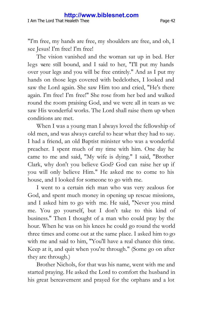"I'm free, my hands are free, my shoulders are free, and oh, I see Jesus! I'm free! I'm free!

The vision vanished and the woman sat up in bed. Her legs were still bound, and I said to her, "I'll put my hands over your legs and you will be free entirely." And as I put my hands on those legs covered with bedclothes, I looked and saw the Lord again. She saw Him too and cried, "He's there again. I'm free! I'm free!" She rose from her bed and walked round the room praising God, and we were all in tears as we saw His wonderful works. The Lord shall raise them up when conditions are met.

When I was a young man I always loved the fellowship of old men, and was always careful to hear what they had to say. I had a friend, an old Baptist minister who was a wonderful preacher. I spent much of my time with him. One day he came to me and said, "My wife is dying." I said, "Brother Clark, why don't you believe God? God can raise her up if you will only believe Him." He asked me to come to his house, and I looked for someone to go with me.

I went to a certain rich man who was very zealous for God, and spent much money in opening up rescue missions, and I asked him to go with me. He said, "Never you mind me. You go yourself, but I don't take to this kind of business." Then I thought of a man who could pray by the hour. When he was on his knees he could go round the world three times and come out at the same place. I asked him to go with me and said to him, "You'll have a real chance this time. Keep at it, and quit when you're through." (Some go on after they are through.)

Brother Nichols, for that was his name, went with me and started praying. He asked the Lord to comfort the husband in his great bereavement and prayed for the orphans and a lot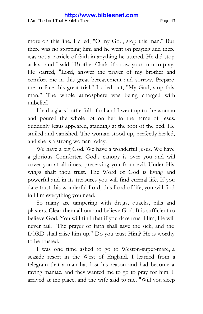more on this line. I cried, "O my God, stop this man." But there was no stopping him and he went on praying and there was not a particle of faith in anything he uttered. He did stop at last, and I said, "Brother Clark, it's now your turn to pray. He started, "Lord, answer the prayer of my brother and comfort me in this great bereavement and sorrow. Prepare me to face this great trial." I cried out, "My God, stop this man." The whole atmosphere was being charged with unbelief.

I had a glass bottle full of oil and I went up to the woman and poured the whole lot on her in the name of Jesus. Suddenly Jesus appeared, standing at the foot of the bed. He smiled and vanished. The woman stood up, perfectly healed, and she is a strong woman today.

We have a big God. We have a wonderful Jesus. We have a glorious Comforter. God's canopy is over you and will cover you at all times, preserving you from evil. Under His wings shalt thou trust. The Word of God is living and powerful and in its treasures you will find eternal life. If you dare trust this wonderful Lord, this Lord of life, you will find in Him everything you need.

So many are tampering with drugs, quacks, pills and plasters. Clear them all out and believe God. It is sufficient to believe God. You will find that if you dare trust Him, He will never fail. "The prayer of faith shall save the sick, and the LORD shall raise him up." Do you trust Him? He is worthy to be trusted.

I was one time asked to go to Weston-super-mare, a seaside resort in the West of England. I learned from a telegram that a man has lost his reason and had become a raving maniac, and they wanted me to go to pray for him. I arrived at the place, and the wife said to me, "Will you sleep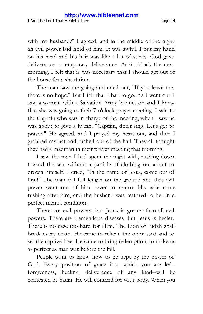with my husband?" I agreed, and in the middle of the night an evil power laid hold of him. It was awful. I put my hand on his head and his hair was like a lot of sticks. God gave deliverance--a temporary deliverance. At 6 o'clock the next morning, I felt that is was necessary that I should get out of the house for a short time.

The man saw me going and cried out, "If you leave me, there is no hope." But I felt that I had to go. As I went out I saw a woman with a Salvation Army bonnet on and I knew that she was going to their 7 o'clock prayer meeting. I said to the Captain who was in charge of the meeting, when I saw he was about to give a hymn, "Captain, don't sing. Let's get to prayer." He agreed, and I prayed my heart out, and then I grabbed my hat and rushed out of the hall. They all thought they had a madman in their prayer meeting that morning.

I saw the man I had spent the night with, rushing down toward the sea, without a particle of clothing on, about to drown himself. I cried, "In the name of Jesus, come out of him!" The man fell full length on the ground and that evil power went out of him never to return. His wife came rushing after him, and the husband was restored to her in a perfect mental condition.

There are evil powers, but Jesus is greater than all evil powers. There are tremendous diseases, but Jesus is healer. There is no case too hard for Him. The Lion of Judah shall break every chain. He came to relieve the oppressed and to set the captive free. He came to bring redemption, to make us as perfect as man was before the fall.

People want to know how to be kept by the power of God. Every position of grace into which you are led- forgiveness, healing, deliverance of any kind--will be contested by Satan. He will contend for your body. When you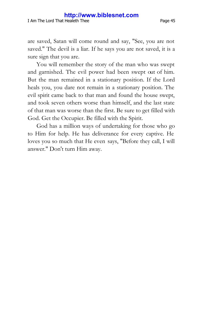are saved, Satan will come round and say, "See, you are not saved." The devil is a liar. If he says you are not saved, it is a sure sign that you are.

You will remember the story of the man who was swept and garnished. The evil power had been swept out of him. But the man remained in a stationary position. If the Lord heals you, you dare not remain in a stationary position. The evil spirit came back to that man and found the house swept, and took seven others worse than himself, and the last state of that man was worse than the first. Be sure to get filled with God. Get the Occupier. Be filled with the Spirit.

God has a million ways of undertaking for those who go to Him for help. He has deliverance for every captive. He loves you so much that He even says, "Before they call, I will answer." Don't turn Him away.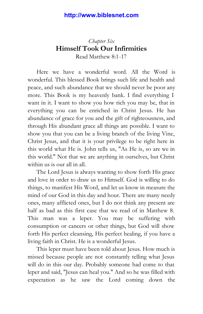# *Chapter Six* **Himself Took Our Infirmities** Read Matthew 8:1-17

Here we have a wonderful word. All the Word is wonderful. This blessed Book brings such life and health and peace, and such abundance that we should never be poor any more. This Book is my heavenly bank. I find everything I want in it. I want to show you how rich you may be, that in everything you can be enriched in Christ Jesus. He has abundance of grace for you and the gift of righteousness, and through His abundant grace all things are possible. I want to show you that you can be a living branch of the living Vine, Christ Jesus, and that it is your privilege to be right here in this world what He is. John tells us, "As He is, so are we in this world." Not that we are anything in ourselves, but Christ within us is our all in all.

The Lord Jesus is always wanting to show forth His grace and love in order to draw us to Himself. God is willing to do things, to manifest His Word, and let us know in measure the mind of our God in this day and hour. There are many needy ones, many afflicted ones, but I do not think any present are half as bad as this first case that we read of in Matthew 8. This man was a leper. You may be suffering with consumption or cancers or other things, but God will show forth His perfect cleansing, His perfect healing, if you have a living faith in Christ. He is a wonderful Jesus.

This leper must have been told about Jesus. How much is missed because people are not constantly telling what Jesus will do in this our day. Probably someone had come to that leper and said, "Jesus can heal you." And so he was filled with expectation as he saw the Lord coming down the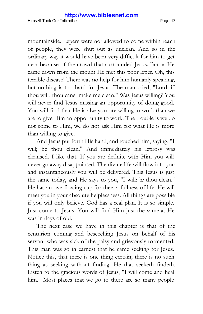mountainside. Lepers were not allowed to come within reach of people, they were shut out as unclean. And so in the ordinary way it would have been very difficult for him to get near because of the crowd that surrounded Jesus. But as He came down from the mount He met this poor leper. Oh, this terrible disease! There was no help for him humanly speaking, but nothing is too hard for Jesus. The man cried, "Lord, if thou wilt, thou canst make me clean." Was Jesus willing? You will never find Jesus missing an opportunity of doing good. You will find that He is always more willing to work than we are to give Him an opportunity to work. The trouble is we do not come to Him, we do not ask Him for what He is more than willing to give.

And Jesus put forth His hand, and touched him, saying, "I will; be thou clean." And immediately his leprosy was cleansed. I like that. If you are definite with Him you will never go away disappointed. The divine life will flow into you and instantaneously you will be delivered. This Jesus is just the same today, and He says to you, "I will; be thou clean." He has an overflowing cup for thee, a fullness of life. He will meet you in your absolute helplessness. All things are possible if you will only believe. God has a real plan. It is so simple. Just come to Jesus. You will find Him just the same as He was in days of old.

The next case we have in this chapter is that of the centurion coming and beseeching Jesus on behalf of his servant who was sick of the palsy and grievously tormented. This man was so in earnest that he came seeking for Jesus. Notice this, that there is one thing certain; there is no such thing as seeking without finding. He that seeketh findeth. Listen to the gracious words of Jesus, "I will come and heal him." Most places that we go to there are so many people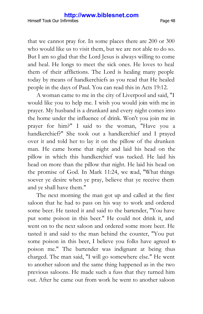that we cannot pray for. In some places there are 200 or 300 who would like us to visit them, but we are not able to do so. But I am so glad that the Lord Jesus is always willing to come and heal. He longs to meet the sick ones. He loves to heal them of their afflictions. The Lord is healing many people today by means of handkerchiefs as you read that He healed people in the days of Paul. You can read this in Acts 19:12.

A woman came to me in the city of Liverpool and said, "I would like you to help me. I wish you would join with me in prayer. My husband is a drunkard and every night comes into the home under the influence of drink. Won't you join me in prayer for him?" I said to the woman, "Have you a handkerchief?" She took out a handkerchief and I prayed over it and told her to lay it on the pillow of the drunken man. He came home that night and laid his head on the pillow in which this handkerchief was tucked. He laid his head on more than the pillow that night. He laid his head on the promise of God. In Mark 11:24, we read, "What things soever ye desire when ye pray, believe that ye receive them and ye shall have them."

The next morning the man got up and called at the first saloon that he had to pass on his way to work and ordered some beer. He tasted it and said to the bartender, "You have put some poison in this beer." He could not drink it, and went on to the next saloon and ordered some more beer. He tasted it and said to the man behind the counter, "You put some poison in this beer, I believe you folks have agreed to poison me." The bartender was indignant at being thus charged. The man said, "I will go somewhere else." He went to another saloon and the same thing happened as in the two previous saloons. He made such a fuss that they turned him out. After he came out from work he went to another saloon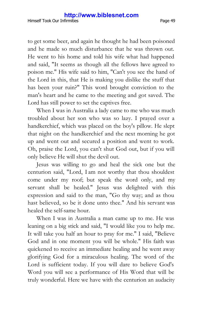Lord has still power to set the captives free.

to get some beer, and again he thought he had been poisoned and he made so much disturbance that he was thrown out. He went to his home and told his wife what had happened and said, "It seems as though all the fellows have agreed to poison me." His wife said to him, "Can't you see the hand of the Lord in this, that He is making you dislike the stuff that has been your ruin?" This word brought conviction to the man's heart and he came to the meeting and got saved. The

When I was in Australia a lady came to me who was much troubled about her son who was so lazy. I prayed over a handkerchief, which was placed on the boy's pillow. He slept that night on the handkerchief and the next morning he got up and went out and secured a position and went to work. Oh, praise the Lord, you can't shut God out, but if you will only believe He will shut the devil out.

Jesus was willing to go and heal the sick one but the centurion said, "Lord, I am not worthy that thou shouldest come under my roof; but speak the word only, and my servant shall be healed." Jesus was delighted with this expression and said to the man, "Go thy way; and as thou hast believed, so be it done unto thee." And his servant was healed the self-same hour.

When I was in Australia a man came up to me. He was leaning on a big stick and said, "I would like you to help me. It will take you half an hour to pray for me." I said, "Believe God and in one moment you will be whole." His faith was quickened to receive an immediate healing and he went away glorifying God for a miraculous healing. The word of the Lord is sufficient today. If you will dare to believe God's Word you will see a performance of His Word that will be truly wonderful. Here we have with the centurion an audacity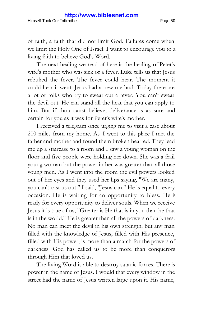of faith, a faith that did not limit God. Failures come when we limit the Holy One of Israel. I want to encourage you to a living faith to believe God's Word.

The next healing we read of here is the healing of Peter's wife's mother who was sick of a fever. Luke tells us that Jesus rebuked the fever. The fever could hear. The moment it could hear it went. Jesus had a new method. Today there are a lot of folks who try to sweat out a fever. You can't sweat the devil out. He can stand all the heat that you can apply to him. But if thou canst believe, deliverance is as sure and certain for you as it was for Peter's wife's mother.

I received a telegram once urging me to visit a case about 200 miles from my home. As I went to this place I met the father and mother and found them broken hearted. They lead me up a staircase to a room and I saw a young woman on the floor and five people were holding her down. She was a frail young woman but the power in her was greater than all those young men. As I went into the room the evil powers looked out of her eyes and they used her lips saying, "We are many, you can't cast us out." I said, "Jesus can." He is equal to every occasion. He is waiting for an opportunity to bless. He is ready for every opportunity to deliver souls. When we receive Jesus it is true of us, "Greater is He that is in you than he that is in the world." He is greater than all the powers of darkness. No man can meet the devil in his own strength, but any man filled with the knowledge of Jesus, filled with His presence, filled with His power, is more than a match for the powers of darkness. God has called us to be more than conquerors through Him that loved us.

The living Word is able to destroy satanic forces. There is power in the name of Jesus. I would that every window in the street had the name of Jesus written large upon it. His name,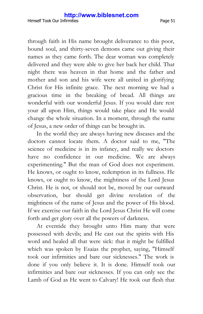through faith in His name brought deliverance to this poor, bound soul, and thirty-seven demons came out giving their names as they came forth. The dear woman was completely delivered and they were able to give her back her child. That night there was heaven in that home and the father and mother and son and his wife were all united in glorifying Christ for His infinite grace. The next morning we had a gracious time in the breaking of bread. All things are wonderful with our wonderful Jesus. If you would dare rest your all upon Him, things would take place and He would change the whole situation. In a moment, through the name of Jesus, a new order of things can be brought in.

In the world they are always having new diseases and the doctors cannot locate them. A doctor said to me, "The science of medicine is in its infancy, and really we doctors have no confidence in our medicine. We are always experimenting." But the man of God does not experiment. He knows, or ought to know, redemption in its fullness. He knows, or ought to know, the mightiness of the Lord Jesus Christ. He is not, or should not be, moved by our outward observation, but should get divine revelation of the mightiness of the name of Jesus and the power of His blood. If we exercise our faith in the Lord Jesus Christ He will come forth and get glory over all the powers of darkness.

At eventide they brought unto Him many that were possessed with devils; and He cast out the spirits with His word and healed all that were sick: that it might be fulfilled which was spoken by Esaias the prophet, saying, "Himself took our infirmities and bare our sicknesses." The work is done if you only believe it. It is done. Himself took our infirmities and bare our sicknesses. If you can only see the Lamb of God as He went to Calvary! He took our flesh that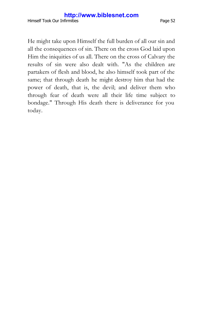He might take upon Himself the full burden of all our sin and all the consequences of sin. There on the cross God laid upon Him the iniquities of us all. There on the cross of Calvary the results of sin were also dealt with. "As the children are partakers of flesh and blood, he also himself took part of the same; that through death he might destroy him that had the power of death, that is, the devil; and deliver them who through fear of death were all their life time subject to bondage." Through His death there is deliverance for you today.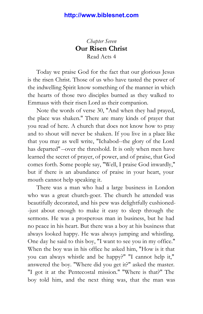*Chapter Seven* **Our Risen Christ** Read Acts 4

Today we praise God for the fact that our glorious Jesus is the risen Christ. Those of us who have tasted the power of the indwelling Spirit know something of the manner in which the hearts of those two disciples burned as they walked to Emmaus with their risen Lord as their companion.

Note the words of verse 30, "And when they had prayed, the place was shaken." There are many kinds of prayer that you read of here. A church that does not know how to pray and to shout will never be shaken. If you live in a place like that you may as well write, "Ichabod--the glory of the Lord has departed" --over the threshold. It is only when men have learned the secret of prayer, of power, and of praise, that God comes forth. Some people say, "Well, I praise God inwardly," but if there is an abundance of praise in your heart, your mouth cannot help speaking it.

There was a man who had a large business in London who was a great church-goer. The church he attended was beautifully decorated, and his pew was delightfully cushioned- -just about enough to make it easy to sleep through the sermons. He was a prosperous man in business, but he had no peace in his heart. But there was a boy at his business that always looked happy. He was always jumping and whistling. One day he said to this boy, "I want to see you in my office." When the boy was in his office he asked him, "How is it that you can always whistle and be happy?" "I cannot help it," answered the boy. "Where did you get it?" asked the master. "I got it at the Pentecostal mission." "Where is that?" The boy told him, and the next thing was, that the man was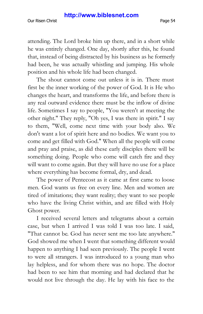attending. The Lord broke him up there, and in a short while he was entirely changed. One day, shortly after this, he found that, instead of being distracted by his business as he formerly had been, he was actually whistling and jumping. His whole position and his whole life had been changed.

The shout cannot come out unless it is in. There must first be the inner working of the power of God. It is He who changes the heart, and transforms the life, and before there is any real outward evidence there must be the inflow of divine life. Sometimes I say to people, "You weren't at meeting the other night." They reply, "Oh yes, I was there in spirit." I say to them, "Well, come next time with your body also. We don't want a lot of spirit here and no bodies. We want you to come and get filled with God." When all the people will come and pray and praise, as did these early disciples there will be something doing. People who come will catch fire and they will want to come again. But they will have no use for a place where everything has become formal, dry, and dead.

The power of Pentecost as it came at first came to loose men. God wants us free on every line. Men and women are tired of imitations; they want reality; they want to see people who have the living Christ within, and are filled with Holy Ghost power.

I received several letters and telegrams about a certain case, but when I arrived I was told I was too late. I said, "That cannot be. God has never sent me too late anywhere." God showed me when I went that something different would happen to anything I had seen previously. The people I went to were all strangers. I was introduced to a young man who lay helpless, and for whom there was no hope. The doctor had been to see him that morning and had declared that he would not live through the day. He lay with his face to the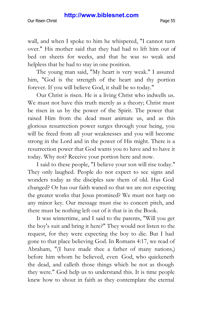wall, and when I spoke to him he whispered, "I cannot turn over." His mother said that they had had to lift him out of bed on sheets for weeks, and that he was so weak and helpless that he had to stay in one position.

The young man said, "My heart is very weak." I assured him, "God is the strength of the heart and thy portion forever. If you will believe God, it shall be so today."

Our Christ is risen. He is a living Christ who indwells us. We must not have this truth merely as a theory; Christ must be risen in us by the power of the Spirit. The power that raised Him from the dead must animate us, and as this glorious resurrection power surges through your being, you will be freed from all your weaknesses and you will become strong in the Lord and in the power of His might. There is a resurrection power that God wants you to have and to have it today. Why not? Receive your portion here and now.

I said to these people, "I believe your son will rise today." They only laughed. People do not expect to see signs and wonders today as the disciples saw them of old. Has God changed? Or has our faith waned so that we are not expecting the greater works that Jesus promised? We must not harp on any minor key. Our message must rise to concert pitch, and there must be nothing left out of it that is in the Book.

It was wintertime, and I said to the parents, "Will you get the boy's suit and bring it here?" They would not listen to the request, for they were expecting the boy to die. But I had gone to that place believing God. In Romans 4:17, we read of Abraham, "(I have made thee a father of many nations,) before him whom he believed, even God, who quickeneth the dead, and calleth those things which be not as though they were." God help us to understand this. It is time people knew how to shout in faith as they contemplate the eternal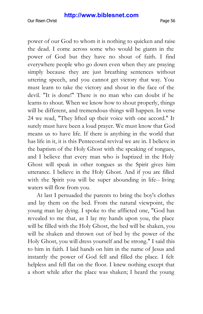power of our God to whom it is nothing to quicken and raise the dead. I come across some who would be giants in the power of God but they have no shout of faith. I find everywhere people who go down even when they are praying simply because they are just breathing sentences without uttering speech, and you cannot get victory that way. You must learn to take the victory and shout in the face of the devil. "It is done!" There is no man who can doubt if he learns to shout. When we know how to shout properly, things will be different, and tremendous things will happen. In verse 24 we read, "They lifted up their voice with one accord." It surely must have been a loud prayer. We must know that God means us to have life. If there is anything in the world that has life in it, it is this Pentecostal revival we are in. I believe in the baptism of the Holy Ghost with the speaking of tongues, and I believe that every man who is baptized in the Holy Ghost will speak in other tongues as the Spirit gives him utterance. I believe in the Holy Ghost. And if you are filled with the Spirit you will be super abounding in life-- living waters will flow from you.

At last I persuaded the parents to bring the boy's clothes and lay them on the bed. From the natural viewpoint, the young man lay dying. I spoke to the afflicted one, "God has revealed to me that, as I lay my hands upon you, the place will be filled with the Holy Ghost, the bed will be shaken, you will be shaken and thrown out of bed by the power of the Holy Ghost, you will dress yourself and be strong." I said this to him in faith. I laid hands on him in the name of Jesus and instantly the power of God fell and filled the place. I felt helpless and fell flat on the floor. I knew nothing except that a short while after the place was shaken; I heard the young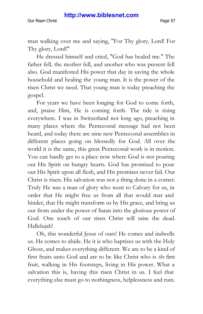man walking over me and saying, "For Thy glory, Lord! For Thy glory, Lord!"

He dressed himself and cried, "God has healed me." The father fell, the mother fell, and another who was present fell also. God manifested His power that day in saving the whole household and healing the young man. It is the power of the risen Christ we need. That young man is today preaching the gospel.

For years we have been longing for God to come forth, and, praise Him, He is coming forth. The tide is rising everywhere. I was in Switzerland not long ago, preaching in many places where the Pentecostal message had not been heard, and today there are nine new Pentecostal assemblies in different places going on blessedly for God. All over the world it is the same, this great Pentecostal work is in motion. You can hardly get to a place now where God is not pouring out His Spirit on hungry hearts. God has promised to pour out His Spirit upon all flesh, and His promises never fail. Our Christ is risen. His salvation was not a thing done in a corner. Truly He was a man of glory who went to Calvary for us, in order that He might free us from all that would mar and hinder, that He might transform us by His grace, and bring us out from under the power of Satan into the glorious power of God. One touch of our risen Christ will raise the dead. Hallelujah!

Oh, this wonderful Jesus of ours! He comes and indwells us. He comes to abide. He it is who baptizes us with the Holy Ghost, and makes everything different. We are to be a kind of first fruits unto God and are to be like Christ who is *the* first fruit, walking in His footsteps, living in His power. What a salvation this is, having this risen Christ in us. I feel that everything else must go to nothingness, helplessness and ruin.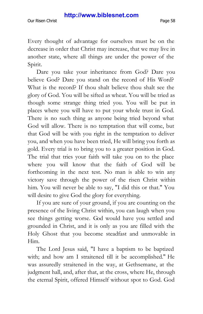Every thought of advantage for ourselves must be on the decrease in order that Christ may increase, that we may live in another state, where all things are under the power of the Spirit.

Dare you take your inheritance from God? Dare you believe God? Dare you stand on the record of His Word? What is the record? If thou shalt believe thou shalt see the glory of God. You will be sifted as wheat. You will be tried as though some strange thing tried you. You will be put in places where you will have to put your whole trust in God. There is no such thing as anyone being tried beyond what God will allow. There is no temptation that will come, but that God will be with you right in the temptation to deliver you, and when you have been tried, He will bring you forth as gold. Every trial is to bring you to a greater position in God. The trial that tries your faith will take you on to the place where you will know that the faith of God will be forthcoming in the next test. No man is able to win any victory save through the power of the risen Christ within him. You will never be able to say, "I did this or that." You will desire to give God the glory for everything.

If you are sure of your ground, if you are counting on the presence of the living Christ within, you can laugh when you see things getting worse. God would have you settled and grounded in Christ, and it is only as you are filled with the Holy Ghost that you become steadfast and unmovable in Him.

The Lord Jesus said, "I have a baptism to be baptized with; and how am I straitened till it be accomplished." He was assuredly straitened in the way, at Gethsemane, at the judgment hall, and, after that, at the cross, where He, through the eternal Spirit, offered Himself without spot to God. God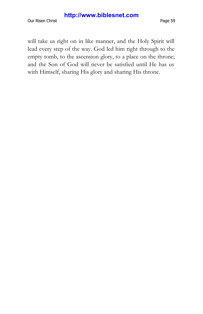Our Risen Christ **Page 59** 

will take us right on in like manner, and the Holy Spirit will lead every step of the way. God led him right through to the empty tomb, to the ascension glory, to a place on the throne; and the Son of God will never be satisfied until He has us with Himself, sharing His glory and sharing His throne.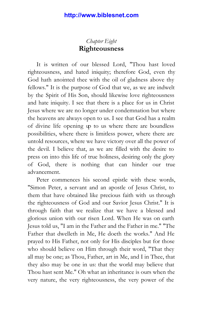## *Chapter Eight* **Righteousness**

It is written of our blessed Lord, "Thou hast loved righteousness, and hated iniquity; therefore God, even thy God hath anointed thee with the oil of gladness above thy fellows." It is the purpose of God that we, as we are indwelt by the Spirit of His Son, should likewise love righteousness and hate iniquity. I see that there is a place for us in Christ Jesus where we are no longer under condemnation but where the heavens are always open to us. I see that God has a realm of divine life opening up to us where there are boundless possibilities, where there is limitless power, where there are untold resources, where we have victory over all the power of the devil. I believe that, as we are filled with the desire to press on into this life of true holiness, desiring only the glory of God, there is nothing that can hinder our true advancement.

Peter commences his second epistle with these words, "Simon Peter, a servant and an apostle of Jesus Christ, to them that have obtained like precious faith with us through the righteousness of God and our Savior Jesus Christ." It is through faith that we realize that we have a blessed and glorious union with our risen Lord. When He was on earth Jesus told us, "I am in the Father and the Father in me." "The Father that dwelleth in Me, He doeth the works." And He prayed to His Father, not only for His disciples but for those who should believe on Him through their word, "That they all may be one; as Thou, Father, art in Me, and I in Thee, that they also may be one in us: that the world may believe that Thou hast sent Me." Oh what an inheritance is ours when the very nature, the very righteousness, the very power of the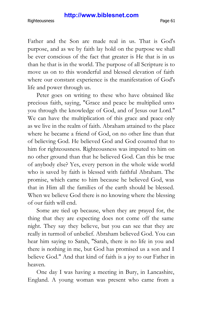Father and the Son are made real in us. That is God's purpose, and as we by faith lay hold on the purpose we shall be ever conscious of the fact that greater is He that is in us than he that is in the world. The purpose of all Scripture is to move us on to this wonderful and blessed elevation of faith where our constant experience is the manifestation of God's life and power through us.

Peter goes on writing to these who have obtained like precious faith, saying, "Grace and peace be multiplied unto you through the knowledge of God, and of Jesus our Lord." We can have the multiplication of this grace and peace only as we live in the realm of faith. Abraham attained to the place where he became a friend of God, on no other line than that of believing God. He believed God and God counted that to him for righteousness. Righteousness was imputed to him on no other ground than that he believed God. Can this be true of anybody else? Yes, every person in the whole wide world who is saved by faith is blessed with faithful Abraham. The promise, which came to him because he believed God, was that in Him all the families of the earth should be blessed. When we believe God there is no knowing where the blessing of our faith will end.

Some are tied up because, when they are prayed for, the thing that they are expecting does not come off the same night. They say they believe, but you can see that they are really in turmoil of unbelief. Abraham believed God. You can hear him saying to Sarah, "Sarah, there is no life in you and there is nothing in me, but God has promised us a son and I believe God." And that kind of faith is a joy to our Father in heaven.

One day I was having a meeting in Bury, in Lancashire, England. A young woman was present who came from a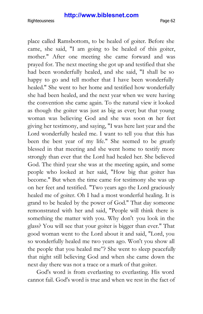place called Ramsbottom, to be healed of goiter. Before she came, she said, "I am going to be healed of this goiter, mother." After one meeting she came forward and was prayed for. The next meeting she got up and testified that she had been wonderfully healed, and she said, "I shall be so happy to go and tell mother that I have been wonderfully healed." She went to her home and testified how wonderfully she had been healed, and the next year when we were having the convention she came again. To the natural view it looked as though the goiter was just as big as ever; but that young woman was believing God and she was soon on her feet giving her testimony, and saying, "I was here last year and the Lord wonderfully healed me. I want to tell you that this has been the best year of my life." She seemed to be greatly blessed in that meeting and she went home to testify more strongly than ever that the Lord had healed her. She believed God. The third year she was at the meeting again, and some people who looked at her said, "How big that goiter has become." But when the time came for testimony she was up on her feet and testified. "Two years ago the Lord graciously healed me of goiter. Oh I had a most wonderful healing. It is grand to be healed by the power of God." That day someone remonstrated with her and said, "People will think there is something the matter with you. Why don't you look in the glass? You will see that your goiter is bigger than ever." That good woman went to the Lord about it and said, "Lord, you so wonderfully healed me two years ago. Won't you show all the people that you healed me"? She went to sleep peacefully that night still believing God and when she came down the next day there was not a trace or a mark of that goiter.

God's word is from everlasting to everlasting. His word cannot fail. God's word is true and when we rest in the fact of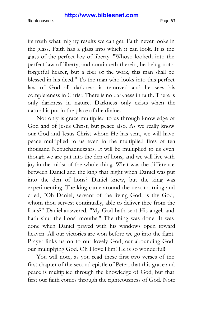its truth what mighty results we can get. Faith never looks in the glass. Faith has a glass into which it can look. It is the glass of the perfect law of liberty. "Whoso looketh into the perfect law of liberty, and continueth therein, he being not a forgetful hearer, but a doer of the work, this man shall be blessed in his deed." To the man who looks into this perfect law of God all darkness is removed and he sees his completeness in Christ. There is no darkness in faith. There is only darkness in nature. Darkness only exists when the natural is put in the place of the divine.

Not only is grace multiplied to us through knowledge of God and of Jesus Christ, but peace also. As we really know our God and Jesus Christ whom He has sent, we will have peace multiplied to us even in the multiplied fires of ten thousand Nebuchadnezzars. It will be multiplied to us even though we are put into the den of lions, and we will live with joy in the midst of the whole thing. What was the difference between Daniel and the king that night when Daniel was put into the den of lions? Daniel knew, but the king was experimenting. The king came around the next morning and cried, "Oh Daniel, servant of the living God, is thy God, whom thou servest continually, able to deliver thee from the lions?" Daniel answered, "My God hath sent His angel, and hath shut the lions' mouths." The thing was done. It was done when Daniel prayed with his windows open toward heaven. All our victories are won before we go into the fight. Prayer links us on to our lovely God, our abounding God, our multiplying God. Oh I love Him! He is so wonderful!

You will note, as you read these first two verses of the first chapter of the second epistle of Peter, that this grace and peace is multiplied through the knowledge of God, but that first our faith comes through the righteousness of God. Note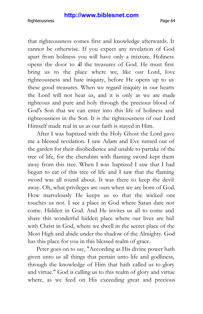that righteousness comes first and knowledge afterwards. It cannot be otherwise. If you expect any revelation of God apart from holiness you will have only a mixture. Holiness opens the door to all the treasures of God. He must first bring us to the place where we, like our Lord, love righteousness and hate iniquity, before He opens up to us these good treasures. When we regard iniquity in our hearts the Lord will not hear us, and it is only as we are made righteous and pure and holy through the precious blood of God's Son that we can enter into this life of holiness and righteousness in the Son. It is the righteousness of our Lord Himself made real in us as our faith is stayed in Him.

After I was baptized with the Holy Ghost the Lord gave me a blessed revelation. I saw Adam and Eve turned out of the garden for their disobedience and unable to partake of the tree of life, for the cherubim with flaming sword kept them away from this tree. When I was baptized I saw that I had begun to eat of this tree of life and I saw that the flaming sword was all round about. It was there to keep the devil away. Oh, what privileges are ours when we are born of God. How marvelously He keeps us so that the wicked one touches us not. I see a place in God where Satan dare not come. Hidden in God. And He invites us all to come and share this wonderful hidden place where our lives are hid with Christ in God, where we dwell in the secret place of the Most High and abide under the shadow of the Almighty. God has this place for you in this blessed realm of grace.

Peter goes on to say, "According as His divine power hath given unto us all things that pertain unto life and godliness, through the knowledge of Him that hath called us to glory and virtue." God is calling us to this realm of glory and virtue where, as we feed on His exceeding great and precious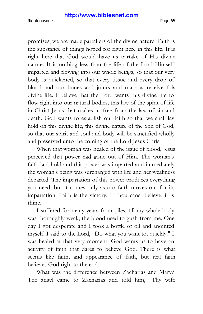promises, we are made partakers of the divine nature. Faith is the substance of things hoped for right here in this life. It is right here that God would have us partake of His divine nature. It is nothing less than the life of the Lord Himself imparted and flowing into our whole beings, so that our very body is quickened, so that every tissue and every drop of blood and our bones and joints and marrow receive this divine life. I believe that the Lord wants this divine life to flow right into our natural bodies, this law of the spirit of life in Christ Jesus that makes us free from the law of sin and death. God wants to establish our faith so that we shall lay hold on this divine life, this divine nature of the Son of God, so that our spirit and soul and body will be sanctified wholly and preserved unto the coming of the Lord Jesus Christ.

When that woman was healed of the issue of blood, Jesus perceived that power had gone out of Him. The woman's faith laid hold and this power was imparted and immediately the woman's being was surcharged with life and her weakness departed. The impartation of this power produces everything you need; but it comes only as our faith moves out for its impartation. Faith is the victory. If thou canst believe, it is thine.

I suffered for many years from piles, till my whole body was thoroughly weak; the blood used to gush from me. One day I got desperate and I took a bottle of oil and anointed myself. I said to the Lord, "Do what you want to, quickly." I was healed at that very moment. God wants us to have an activity of faith that dares to believe God. There is what seems like faith, and appearance of faith, but real faith believes God right to the end.

What was the difference between Zacharias and Mary? The angel came to Zacharias and told him, "Thy wife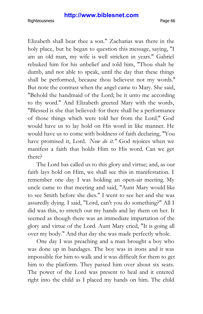Elizabeth shall bear thee a son." Zacharias was there in the holy place, but he began to question this message, saying, "I am an old man, my wife is well stricken in years." Gabriel rebuked him for his unbelief and told him, "Thou shalt be dumb, and not able to speak, until the day that these things shall be performed, because thou believest not my words." But note the contrast when the angel came to Mary. She said, "Behold the handmaid of the Lord; be it unto me according to thy word." And Elizabeth greeted Mary with the words, "Blessed is she that believed: for there shall be a performance of those things which were told her from the Lord." God would have us to lay hold on His word in like manner. He would have us to come with boldness of faith declaring, "You have promised it, Lord. *Now do it."* God rejoices when we manifest a faith that holds Him to His word. Can we get there?

The Lord has called us to this glory and virtue; and, as our faith lays hold on Him, we shall see this in manifestation. I remember one day I was holding an open-air meeting. My uncle came to that meeting and said, "Aunt Mary would like to see Smith before she dies." I went to see her and she was assuredly dying. I said, "Lord, can't you do something?" All I did was this, to stretch out my hands and lay them on her. It seemed as though there was an immediate impartation of the glory and virtue of the Lord. Aunt Mary cried, "It is going all over my body." And that day she was made perfectly whole.

One day I was preaching and a man brought a boy who was done up in bandages. The boy was in irons and it was impossible for him to walk and it was difficult for them to get him to the platform. They passed him over about six seats. The power of the Lord was present to heal and it entered right into the child as I placed my hands on him. The child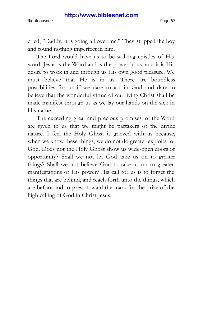cried, "Daddy, it is going all over me." They stripped the boy and found nothing imperfect in him.

The Lord would have us to be walking epistles of His word. Jesus is the Word and is the power in us, and it is His desire to work in and through us His own good pleasure. We must believe that He is in us. There are boundless possibilities for us if we dare to act in God and dare to believe that the wonderful virtue of our living Christ shall be made manifest through us as we lay our hands on the sick in His name.

The exceeding great and precious promises of the Word are given to us that we might be partakers of the divine nature. I feel the Holy Ghost is grieved with us because, when we know these things, we do not do greater exploits for God. Does not the Holy Ghost show us wide-open doors of opportunity? Shall we not let God take us on to greater things? Shall we not believe God to take us on to greater manifestations of His power? His call for us is to forget the things that are behind, and reach forth unto the things, which are before and to press toward the mark for the prize of the high calling of God in Christ Jesus.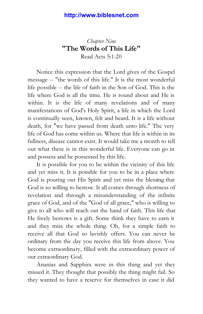## *Chapter Nine* **"The Words of This Life"** Read Acts 5:1-20

Notice this expression that the Lord gives of the Gospel message -- "the words of this life." It is the most wonderful life possible -- the life of faith in the Son of God. This is the life where God is all the time. He is round about and He is within. It is the life of many revelations and of many manifestations of God's Holy Spirit, a life in which the Lord is continually seen, known, felt and heard. It is a life without death, for "we have passed from death unto life." The very life of God has come within us. Where that life is within in its fullness, disease cannot exist. It would take me a month to tell out what there is in this wonderful life. Everyone can go in and possess and be possessed by this life.

It is possible for you to be within the vicinity of this life and yet miss it. It is possible for you to be in a place where God is pouring out His Spirit and yet miss the blessing that God is so willing to bestow. It all comes through shortness of revelation and through a misunderstanding of the infinite grace of God, and of the "God of all grace," who is willing to give to all who will reach out the hand of faith. This life that He freely bestows is a gift. Some think they have to earn it and they miss the whole thing. Oh, for a simple faith to receive all that God so lavishly offers. You can never be ordinary from the day you receive this life from above. You become extraordinary, filled with the extraordinary power of our extraordinary God.

Ananias and Sapphira were in this thing and yet they missed it. They thought that possibly the thing might fail. So they wanted to have a reserve for themselves in case it did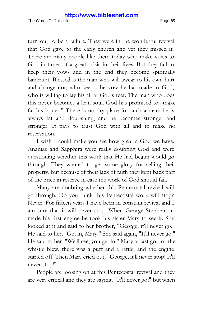turn out to be a failure. They were in the wonderful revival that God gave to the early church and yet they missed it. There are many people like them today who make vows to God in times of a great crisis in their lives. But they fail to keep their vows and in the end they become spiritually bankrupt. Blessed is the man who will swear to his own hurt and change not; who keeps the vow he has made to God; who is willing to lay his all at God's feet. The man who does this never becomes a lean soul. God has promised to "make fat his bones." There is no dry place for such a man; he is always fat and flourishing, and he becomes stronger and stronger. It pays to trust God with all and to make no reservation.

I wish I could make you see how great a God we have. Ananias and Sapphira were really doubting God and were questioning whether this work that He had begun would go through. They wanted to get some glory for selling their property, but because of their lack of faith they kept back part of the price in reserve in case the work of God should fail.

Many are doubting whether this Pentecostal revival will go through. Do you think this Pentecostal work will stop? Never. For fifteen years I have been in constant revival and I am sure that it will never stop. When George Stephenson made his first engine he took his sister Mary to see it. She looked at it and said to her brother, "George, it'll never go." He said to her, "Get in, Mary." She said again, "It'll never go." He said to her, "We'll see, you get in." Mary at last got in--the whistle blew, there was a puff and a rattle, and the engine started off. Then Mary cried out, "George, it'll never stop! It'll never stop!"

People are looking on at this Pentecostal revival and they are very critical and they are saying, "It'll never go;" but when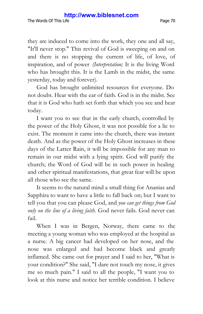they are induced to come into the work, they one and all say, "It'll never stop." This revival of God is sweeping on and on and there is no stopping the current of life, of love, of inspiration, and of power *(Interpretation;* It is the living Word who has brought this. It is the Lamb in the midst, the same yesterday, today and forever).

God has brought unlimited resources for everyone. Do not doubt. Hear with the ear of faith. God is in the midst. See that it is God who hath set forth that which you see and hear today.

I want you to see that in the early church, controlled by the power of the Holy Ghost, it was not possible for a lie to exist. The moment it came into the church, there was instant death. And as the power of the Holy Ghost increases in these days of the Latter Rain, it will be impossible for any man to remain in our midst with a lying spirit. God will purify the church; the Word of God will be in such power in healing and other spiritual manifestations, that great fear will be upon all those who see the same.

It seems to the natural mind a small thing for Ananias and Sapphira to want to have a little to fall back on; but I want to tell you that you can please God, and *you can get things from God only on the line of a living faith.* God never fails. God never can fail.

When I was in Bergen, Norway, there came to the meeting a young woman who was employed at the hospital as a nurse. A big cancer had developed on her nose, and the nose was enlarged and had become black and greatly inflamed. She came out for prayer and I said to her, "What is your condition?" She said, "I dare not touch my nose, it gives me so much pain." I said to all the people, "I want you to look at this nurse and notice her terrible condition. I believe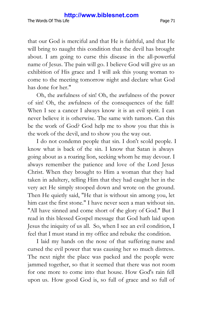that our God is merciful and that He is faithful, and that He will bring to naught this condition that the devil has brought about. I am going to curse this disease in the all-powerful name of Jesus. The pain will go. I believe God will give us an exhibition of His grace and I will ask this young woman to come to the meeting tomorrow night and declare what God has done for her."

Oh, the awfulness of sin! Oh, the awfulness of the power of sin! Oh, the awfulness of the consequences of the fall! When I see a cancer I always know it is an evil spirit. I can never believe it is otherwise. The same with tumors. Can this be the work of God? God help me to show you that this is the work of the devil, and to show you the way out.

I do not condemn people that sin. I don't scold people. I know what is back of the sin. I know that Satan is always going about as a roaring lion, seeking whom he may devour. I always remember the patience and love of the Lord Jesus Christ. When they brought to Him a woman that they had taken in adultery, telling Him that they had caught her in the very act He simply stooped down and wrote on the ground. Then He quietly said, "He that is without sin among you, let him cast the first stone." I have never seen a man without sin. "All have sinned and come short of the glory of God." But I read in this blessed Gospel message that God hath laid upon Jesus the iniquity of us all. So, when I see an evil condition, I feel that I must stand in my office and rebuke the condition.

I laid my hands on the nose of that suffering nurse and cursed the evil power that was causing her so much distress. The next night the place was packed and the people were jammed together, so that it seemed that there was not room for one more to come into that house. How God's rain fell upon us. How good God is, so full of grace and so full of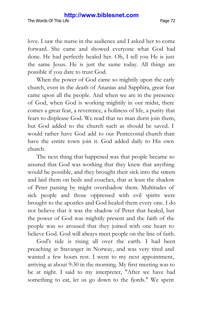love. I saw the nurse in the audience and I asked her to come forward. She came and showed everyone what God had done. He had perfectly healed her. Oh, I tell you He is just the same Jesus. He is just the same today. All things are possible if you dare to trust God.

When the power of God came so mightily upon the early church, even in the death of Ananias and Sapphira, great fear came upon all the people. And when we are in the presence of God, when God is working mightily in our midst, there comes a great fear, a reverence, a holiness of life, a purity that fears to displease God. We read that no man durst join them, but God added to the church such as should be saved. I would rather have God add to our Pentecostal church than have the entire town join it. God added daily to His own church.

The next thing that happened was that people became so assured that God was working that they knew that anything would be possible, and they brought their sick into the streets and laid them on beds and couches, that at least the shadow of Peter passing by might overshadow them. Multitudes of sick people and those oppressed with evil spirits were brought to the apostles and God healed them every one. I do not believe that it was the shadow of Peter that healed, but the power of God was mightily present and the faith of the people was so aroused that they joined with one heart to believe God. God will always meet people on the line of faith.

God's tide is rising all over the earth. I had been preaching at Stavanger in Norway, and was very tired and wanted a few hours rest. I went to my next appointment, arriving at about 9:30 in the morning. My first meeting was to be at night. I said to my interpreter, "After we have had something to eat, let us go down to the fjords." We spent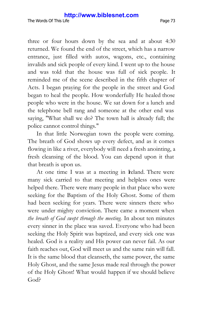three or four hours down by the sea and at about 4:30 returned. We found the end of the street, which has a narrow entrance, just filled with autos, wagons, etc., containing invalids and sick people of every kind. I went up to the house and was told that the house was full of sick people. It reminded me of the scene described in the fifth chapter of Acts. I began praying for the people in the street and God began to heal the people. How wonderfully He healed those people who were in the house. We sat down for a lunch and the telephone bell rang and someone at the other end was saying, "What shall we do? The town hall is already full; the police cannot control things."

In that little Norwegian town the people were coming. The breath of God shows up every defect, and as it comes flowing in like a river, everybody will need a fresh anointing, a fresh cleansing of the blood. You can depend upon it that that breath is upon us.

At one time I was at a meeting in Ireland. There were many sick carried to that meeting and helpless ones were helped there. There were many people in that place who were seeking for the Baptism of the Holy Ghost. Some of them had been seeking for years. There were sinners there who were under mighty conviction. There came a moment when *the breath of God swept through the meeting.* In about ten minutes every sinner in the place was saved. Everyone who had been seeking the Holy Spirit was baptized, and every sick one was healed. God is a reality and His power can never fail. As our faith reaches out, God will meet us and the same rain will fall. It is the same blood that cleanseth, the same power, the same Holy Ghost, and the same Jesus made real through the power of the Holy Ghost! What would happen if we should believe God?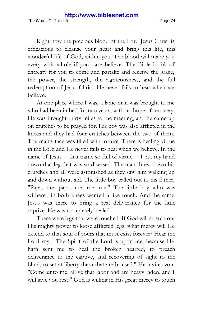The Words Of This Life **Page 74** 

Right now the precious blood of the Lord Jesus Christ is efficacious to cleanse your heart and bring this life, this wonderful life of God, within you. The blood will make you every whit whole if you dare believe. The Bible is full of entreaty for you to come and partake and receive the grace, the power, the strength, the righteousness, and the full redemption of Jesus Christ. He never fails to hear when we believe.

At one place where I was, a lame man was brought to me who had been in bed for two years, with no hope of recovery. He was brought thirty miles to the meeting, and he came up on crutches to be prayed for. His boy was also afflicted in the knees and they had four crutches between the two of them. The man's face was filled with torture. There is healing virtue in the Lord and He never fails to heal when we believe. In the name of Jesus -- that name so full of virtue -- I put my hand down that leg that was so diseased. The man threw down his crutches and all were astonished as they saw him walking up and down without aid. The little boy called out to his father, "Papa, me; papa, me, me, me!" The little boy who was withered in both knees wanted a like touch. And the same Jesus was there to bring a real deliverance for the little captive. He was completely healed.

These were legs that were touched. If God will stretch out His mighty power to loose afflicted legs, what mercy will He extend to that soul of yours that must exist forever? Hear the Lord say, "The Spirit of the Lord is upon me, because He hath sent me to heal the broken hearted, to preach deliverance to the captive, and recovering of sight to the blind, to set at liberty them that are bruised." He invites you, "Come unto me, all ye that labor and are heavy laden, and I will give you rest." God is willing in His great mercy to touch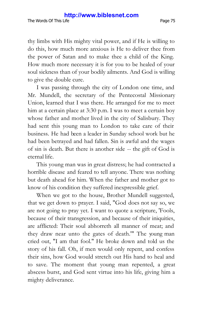thy limbs with His mighty vital power, and if He is willing to do this, how much more anxious is He to deliver thee from the power of Satan and to make thee a child of the King. How much more necessary it is for you to be healed of your soul sickness than of your bodily ailments. And God is willing to give the double cure.

I was passing through the city of London one time, and Mr. Mundell, the secretary of the Pentecostal Missionary Union, learned that I was there. He arranged for me to meet him at a certain place at 3:30 p.m. I was to meet a certain boy whose father and mother lived in the city of Salisbury. They had sent this young man to London to take care of their business. He had been a leader in Sunday school work but he had been betrayed and had fallen. Sin is awful and the wages of sin is death. But there is another side -- the gift of God is eternal life.

This young man was in great distress; he had contracted a horrible disease and feared to tell anyone. There was nothing but death ahead for him. When the father and mother got to know of his condition they suffered inexpressible grief.

When we got to the house, Brother Mundell suggested, that we get down to prayer. I said, "God does not say so, we are not going to pray yet. I want to quote a scripture, 'Fools, because of their transgression, and because of their iniquities, are afflicted: Their soul abhorreth all manner of meat; and they draw near unto the gates of death.'" The young man cried out, "I am that fool." He broke down and told us the story of his fall. Oh, if men would only repent, and confess their sins, how God would stretch out His hand to heal and to save. The moment that young man repented, a great abscess burst, and God sent virtue into his life, giving him a mighty deliverance.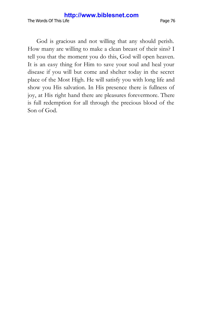The Words Of This Life **Page 76** 

God is gracious and not willing that any should perish. How many are willing to make a clean breast of their sins? I tell you that the moment you do this, God will open heaven. It is an easy thing for Him to save your soul and heal your disease if you will but come and shelter today in the secret place of the Most High. He will satisfy you with long life and show you His salvation. In His presence there is fullness of joy, at His right hand there are pleasures forevermore. There is full redemption for all through the precious blood of the Son of God.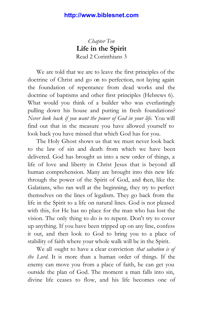*Chapter Ten* **Life in the Spirit** Read 2 Corinthians 3

We are told that we are to leave the first principles of the doctrine of Christ and go on to perfection, not laying again the foundation of repentance from dead works and the doctrine of baptisms and other first principles (Hebrews 6). What would you think of a builder who was everlastingly pulling down his house and putting in fresh foundations? *Never look back if you want the power of God in your life.* You will find out that in the measure you have allowed yourself to look back you have missed that which God has for you.

The Holy Ghost shows us that we must never look back to the law of sin and death from which we have been delivered. God has brought us into a new order of things, a life of love and liberty in Christ Jesus that is beyond all human comprehension. Many are brought into this new life through the power of the Spirit of God, and then, like the Galatians, who ran well at the beginning, they try to perfect themselves on the lines of legalism. They go back from the life in the Spirit to a life on natural lines. God is not pleased with this, for He has no place for the man who has lost the vision. The only thing to do is to repent. Don't try to cover up anything. If you have been tripped up on any line, confess it out, and then look to God to bring you to a place of stability of faith where your whole walk will be in the Spirit.

We all ought to have a clear conviction *that salvation is of the Lord.* It is more than a human order of things. If the enemy can move you from a place of faith, he can get you outside the plan of God. The moment a man falls into sin, divine life ceases to flow, and his life becomes one of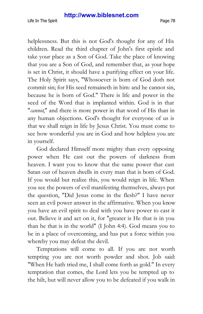helplessness. But this is not God's thought for any of His children. Read the third chapter of John's first epistle and take your place as a Son of God. Take the place of knowing that you are a Son of God, and remember that, as your hope is set in Christ, it should have a purifying effect on your life. The Holy Spirit says, "Whosoever is born of God doth not commit sin; for His seed remaineth in him: and he cannot sin, because he is born of God." There is life and power in the seed of the Word that is implanted within. God is in that "*cannot*," and there is more power in that word of His than in any human objections. God's thought for everyone of us is that we shall reign in life by Jesus Christ. You must come to see how wonderful you are in God and how helpless you are in yourself.

God declared Himself more mighty than every opposing power when He cast out the powers of darkness from heaven. I want you to know that the same power that cast Satan out of heaven dwells in every man that is born of God. If you would but realize this, you would reign in life. When you see the powers of evil manifesting themselves, always put the question, "Did Jesus come in the flesh?" I have never seen an evil power answer in the affirmative. When you know you have an evil spirit to deal with you have power to cast it out. Believe it and act on it, for "greater is He that is in you than he that is in the world" (I John 4:4). God means you to be in a place of overcoming, and has put a force within you whereby you may defeat the devil.

Temptations will come to all. If you are not worth tempting you are not worth powder and shot. Job said: "When He hath tried me, I shall come forth as gold." In every temptation that comes, the Lord lets you be tempted up to the hilt, but will never allow you to be defeated if you walk in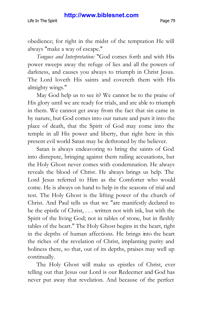obedience; for right in the midst of the temptation He will always "make a way of escape."

*Tongues and Interpretation:* "God comes forth and with His power sweeps away the refuge of lies and all the powers of darkness, and causes you always to triumph in Christ Jesus. The Lord loveth His saints and covereth them with His almighty wings."

May God help us to see it? We cannot be to the praise of His glory until we are ready for trials, and are able to triumph in them. We cannot get away from the fact that sin came in by nature, but God comes into our nature and puts it into the place of death, that the Spirit of God may come into the temple in all His power and liberty, that right here in this present evil world Satan may be dethroned by the believer.

Satan is always endeavoring to bring the saints of God into disrepute, bringing against them railing accusations, but the Holy Ghost never comes with condemnation. He always reveals the blood of Christ. He always brings us help. The Lord Jesus referred to Him as the Comforter who would come. He is always on hand to help in the seasons of trial and test. The Holy Ghost is the lifting power of the church of Christ. And Paul tells us that we "are manifestly declared to be the epistle of Christ, . . . written not with ink, but with the Spirit of the living God; not in tables of stone, but in fleshly tables of the heart." The Holy Ghost begins in the heart, right in the depths of human affections. He brings into the heart the riches of the revelation of Christ, implanting purity and holiness there, so that, out of its depths, praises may well up continually.

The Holy Ghost will make us epistles of Christ, ever telling out that Jesus our Lord is our Redeemer and God has never put away that revelation. And because of the perfect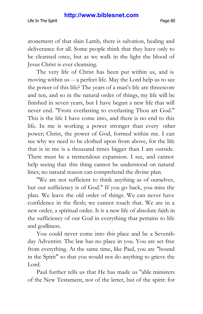atonement of that slain Lamb, there is salvation, healing and deliverance for all. Some people think that they have only to be cleansed once, but as we walk in the light the blood of Jesus Christ is ever cleansing.

The very life of Christ has been put within us, and is moving within us -- a perfect life. May the Lord help us to see the power of this life? The years of a man's life are threescore and ten, and so in the natural order of things, my life will be finished in seven years, but I have begun a new life that will never end. "From everlasting to everlasting Thou art God." This is the life I have come into, and there is no end to this life. In me is working a power stronger than every other power; Christ, the power of God, formed within me. I can see why we need to be clothed upon from above, for the life that is in me is a thousand times bigger than I am outside. There must be a tremendous expansion. I see, and cannot help seeing that this thing cannot be understood on natural lines; no natural reason can comprehend the divine plan.

"We are not sufficient to think anything as of ourselves, but our sufficiency is of God." If you go back, you miss the plan. We leave the old order of things. We can never have confidence in the flesh; we cannot touch that. We are in a new order, a spiritual order. It is a new life of absolute faith in the sufficiency of our God in everything that pertains to life and godliness.

You could never come into this place and be a Seventhday Adventist. The law has no place in you. You are set free from everything. At the same time, like Paul, you are "bound in the Spirit" so that you would not do anything to grieve the Lord.

Paul further tells us that He has made us "able ministers of the New Testament, not of the letter, but of the spirit: for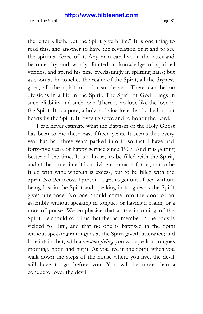the letter killeth, but the Spirit giveth life." It is one thing to read this, and another to have the revelation of it and to see the spiritual force of it. Any man can live in the letter and become dry and wordy, limited in knowledge of spiritual verities, and spend his time everlastingly in splitting hairs; but as soon as he touches the realm of the Spirit, all the dryness goes, all the spirit of criticism leaves. There can be no divisions in a life in the Spirit. The Spirit of God brings in such pliability and such love! There is no love like the love in the Spirit. It is a pure, a holy, a divine love that is shed in our hearts by the Spirit. It loves to serve and to honor the Lord.

I can never estimate what the Baptism of the Holy Ghost has been to me these past fifteen years. It seems that every year has had three years packed into it, so that I have had forty-five years of happy service since 1907. And it is getting better all the time. It is a luxury to be filled with the Spirit, and at the same time it is a divine command for us, not to be filled with wine wherein is excess, but to be filled with the Spirit. No Pentecostal person ought to get out of bed without being lost in the Spirit and speaking in tongues as the Spirit gives utterance. No one should come into the door of an assembly without speaking in tongues or having a psalm, or a note of praise. We emphasize that at the incoming of the Spirit He should so fill us that the last member in the body is yielded to Him, and that no one is baptized in the Spirit without speaking in tongues as the Spirit giveth utterance; and I maintain that, with a *constant filling,* you will speak in tongues morning, noon and night. As you live in the Spirit, when you walk down the steps of the house where you live, the devil will have to go before you. You will be more than a conqueror over the devil.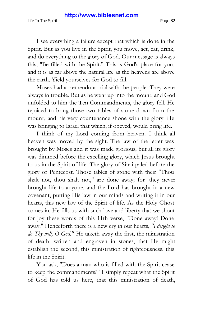I see everything a failure except that which is done in the Spirit. But as you live in the Spirit, you move, act, eat, drink, and do everything to the glory of God. Our message is always this, "Be filled with the Spirit." This is God's place for you, and it is as far above the natural life as the heavens are above the earth. Yield yourselves for God to fill.

Moses had a tremendous trial with the people. They were always in trouble. But as he went up into the mount, and God unfolded to him the Ten Commandments, the glory fell. He rejoiced to bring those two tables of stone down from the mount, and his very countenance shone with the glory. He was bringing to Israel that which, if obeyed, would bring life.

I think of my Lord coming from heaven. I think all heaven was moved by the sight. The law of the letter was brought by Moses and it was made glorious, but all its glory was dimmed before the excelling glory, which Jesus brought to us in the Spirit of life. The glory of Sinai paled before the glory of Pentecost. Those tables of stone with their "Thou shalt not, thou shalt not," are done away; for they never brought life to anyone, and the Lord has brought in a new covenant, putting His law in our minds and writing it in our hearts, this new law of the Spirit of life. As the Holy Ghost comes in, He fills us with such love and liberty that we shout for joy these words of this 11th verse, "Done away! Done away!" Henceforth there is a new cry in our hearts, *"I delight to do Thy will, O God."* He taketh away the first, the ministration of death, written and engraven in stones, that He might establish the second, this ministration of righteousness, this life in the Spirit.

You ask, "Does a man who is filled with the Spirit cease to keep the commandments?" I simply repeat what the Spirit of God has told us here, that this ministration of death,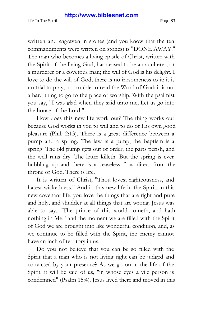written and engraven in stones (and you know that the ten commandments were written on stones) is "DONE AWAY." The man who becomes a living epistle of Christ, written with the Spirit of the living God, has ceased to be an adulterer, or a murderer or a covetous man; the will of God is his delight. I love to do the will of God; there is no irksomeness to it; it is no trial to pray; no trouble to read the Word of God; it is not a hard thing to go to the place of worship. With the psalmist you say, "I was glad when they said unto me, Let us go into the house of the Lord."

How does this new life work out? The thing works out because God works in you to will and to do of His own good pleasure (Phil. 2:13). There is a great difference between a pump and a spring. The law is a pump, the Baptism is a spring. The old pump gets out of order, the parts perish, and the well runs dry. The letter killeth. But the spring is ever bubbling up and there is a ceaseless flow direct from the throne of God. There is life.

It is written of Christ, "Thou lovest righteousness, and hatest wickedness." And in this new life in the Spirit, in this new covenant life, you love the things that are right and pure and holy, and shudder at all things that are wrong. Jesus was able to say, "The prince of this world cometh, and hath nothing in Me," and the moment we are filled with the Spirit of God we are brought into like wonderful condition, and, as we continue to be filled with the Spirit, the enemy cannot have an inch of territory in us.

Do you not believe that you can be so filled with the Spirit that a man who is not living right can be judged and convicted by your presence? As we go on in the life of the Spirit, it will be said of us, "in whose eyes a vile person is condemned" (Psalm 15:4). Jesus lived there and moved in this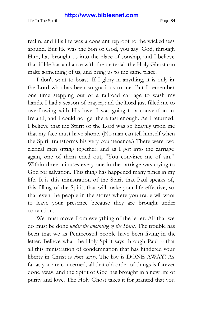realm, and His life was a constant reproof to the wickedness around. But He was the Son of God, you say. God, through Him, has brought us into the place of sonship, and I believe that if He has a chance with the material, the Holy Ghost can make something of us, and bring us to the same place.

I don't want to boast. If I glory in anything, it is only in the Lord who has been so gracious to me. But I remember one time stepping out of a railroad carriage to wash my hands. I had a season of prayer, and the Lord just filled me to overflowing with His love. I was going to a convention in Ireland, and I could not get there fast enough. As I returned, I believe that the Spirit of the Lord was so heavily upon me that my face must have shone. (No man can tell himself when the Spirit transforms his very countenance.) There were two clerical men sitting together, and as I got into the carriage again, one of them cried out, "You convince me of sin." Within three minutes every one in the carriage was crying to God for salvation. This thing has happened many times in my life. It is this ministration of the Spirit that Paul speaks of, this filling of the Spirit, that will make your life effective, so that even the people in the stores where you trade will want to leave your presence because they are brought under conviction.

We must move from everything of the letter. All that we do must be done *under the anointing of the Spirit.* The trouble has been that we as Pentecostal people have been living in the letter. Believe what the Holy Spirit says through Paul -- that all this ministration of condemnation that has hindered your liberty in Christ is *done away.* The law is DONE AWAY! As far as you are concerned, all that old order of things is forever done away, and the Spirit of God has brought in a new life of purity and love. The Holy Ghost takes it for granted that you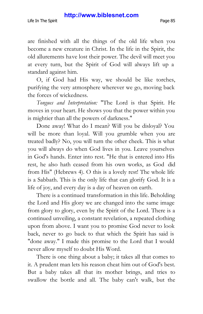are finished with all the things of the old life when you become a new creature in Christ. In the life in the Spirit, the old allurements have lost their power. The devil will meet you at every turn, but the Spirit of God will always lift up a standard against him.

O, if God had His way, we should be like torches, purifying the very atmosphere wherever we go, moving back the forces of wickedness.

*Tongues and Interpretation:* "The Lord is that Spirit. He moves in your heart. He shows you that the power within you is mightier than all the powers of darkness."

Done away! What do I mean? Will you be disloyal? You will be more than loyal. Will you grumble when you are treated badly? No, you will turn the other cheek. This is what you will always do when God lives in you. Leave yourselves in God's hands. Enter into rest. "He that is entered into His rest, he also hath ceased from his own works, as God did from His" (Hebrews 4). O this is a lovely rest! The whole life is a Sabbath. This is the only life that can glorify God. It is a life of joy, and every day is a day of heaven on earth.

There is a continued transformation in this life. Beholding the Lord and His glory we are changed into the same image from glory to glory, even by the Spirit of the Lord. There is a continued unveiling, a constant revelation, a repeated clothing upon from above. I want you to promise God never to look back, never to go back to that which the Spirit has said is "done away." I made this promise to the Lord that I would never allow myself to doubt His Word.

There is one thing about a baby; it takes all that comes to it. A prudent man lets his reason cheat him out of God's best. But a baby takes all that its mother brings, and tries to swallow the bottle and all. The baby can't walk, but the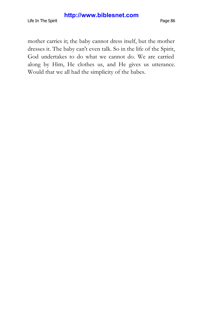Life In The Spirit **Page 86** 

mother carries it; the baby cannot dress itself, but the mother dresses it. The baby can't even talk. So in the life of the Spirit, God undertakes to do what we cannot do. We are carried along by Him, He clothes us, and He gives us utterance. Would that we all had the simplicity of the babes.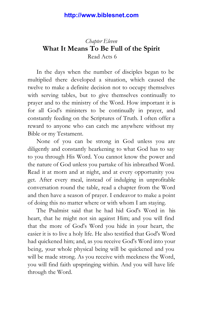### *Chapter Eleven* **What It Means To Be Full of the Spirit** Read Acts 6

In the days when the number of disciples began to be multiplied there developed a situation, which caused the twelve to make a definite decision not to occupy themselves with serving tables, but to give themselves continually to prayer and to the ministry of the Word. How important it is for all God's ministers to be continually in prayer, and constantly feeding on the Scriptures of Truth. I often offer a reward to anyone who can catch me anywhere without my Bible or my Testament.

None of you can be strong in God unless you are diligently and constantly hearkening to what God has to say to you through His Word. You cannot know the power and the nature of God unless you partake of his inbreathed Word. Read it at morn and at night, and at every opportunity you get. After every meal, instead of indulging in unprofitable conversation round the table, read a chapter from the Word and then have a season of prayer. I endeavor to make a point of doing this no matter where or with whom I am staying.

The Psalmist said that he had hid God's Word in his heart, that he might not sin against Him; and you will find that the more of God's Word you hide in your heart, the easier it is to live a holy life. He also testified that God's Word had quickened him; and, as you receive God's Word into your being, your whole physical being will be quickened and you will be made strong. As you receive with meekness the Word, you will find faith upspringing within. And you will have life through the Word.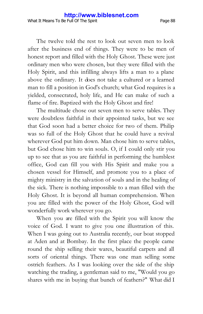The twelve told the rest to look out seven men to look after the business end of things. They were to be men of honest report and filled with the Holy Ghost. These were just ordinary men who were chosen, but they were filled with the Holy Spirit, and this infilling always lifts a man to a plane above the ordinary. It does not take a cultured or a learned man to fill a position in God's church; what God requires is a yielded, consecrated, holy life, and He can make of such a flame of fire. Baptized with the Holy Ghost and fire!

The multitude chose out seven men to serve tables. They were doubtless faithful in their appointed tasks, but we see that God soon had a better choice for two of them. Philip was so full of the Holy Ghost that he could have a revival wherever God put him down. Man chose him to serve tables, but God chose him to win souls. O, if I could only stir you up to see that as you are faithful in performing the humblest office, God can fill you with His Spirit and make you a chosen vessel for Himself, and promote you to a place of mighty ministry in the salvation of souls and in the healing of the sick. There is nothing impossible to a man filled with the Holy Ghost. It is beyond all human comprehension. When you are filled with the power of the Holy Ghost, God will wonderfully work wherever you go.

When you are filled with the Spirit you will know the voice of God. I want to give you one illustration of this. When I was going out to Australia recently, our boat stopped at Aden and at Bombay. In the first place the people came round the ship selling their wares, beautiful carpets and all sorts of oriental things. There was one man selling some ostrich feathers. As I was looking over the side of the ship watching the trading, a gentleman said to me, "Would you go shares with me in buying that bunch of feathers?" What did I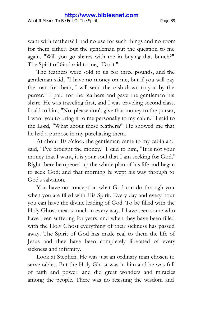want with feathers? I had no use for such things and no room for them either. But the gentleman put the question to me again. "Will you go shares with me in buying that bunch?" The Spirit of God said to me, "Do it."

The feathers were sold to us for three pounds, and the gentleman said, "I have no money on me, but if you will pay the man for them, I will send the cash down to you by the purser." I paid for the feathers and gave the gentleman his share. He was traveling first, and I was traveling second class. I said to him, "No, please don't give that money to the purser, I want you to bring it to me personally to my cabin." I said to the Lord, "What about these feathers?" He showed me that he had a purpose in my purchasing them.

At about 10 o'clock the gentleman came to my cabin and said, "I've brought the money." I said to him, "It is not your money that I want, it is your soul that I am seeking for God." Right there he opened up the whole plan of his life and began to seek God; and that morning he wept his way through to God's salvation.

You have no conception what God can do through you when you are filled with His Spirit. Every day and every hour you can have the divine leading of God. To be filled with the Holy Ghost means much in every way. I have seen some who have been suffering for years, and when they have been filled with the Holy Ghost everything of their sickness has passed away. The Spirit of God has made real to them the life of Jesus and they have been completely liberated of every sickness and infirmity.

Look at Stephen. He was just an ordinary man chosen to serve tables. But the Holy Ghost was in him and he was full of faith and power, and did great wonders and miracles among the people. There was no resisting the wisdom and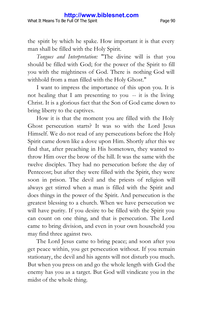the spirit by which he spake. How important it is that every man shall be filled with the Holy Spirit.

*Tongues and Interpretation:* "The divine will is that you should be filled with God; for the power of the Spirit to fill you with the mightiness of God. There is nothing God will withhold from a man filled with the Holy Ghost."

I want to impress the importance of this upon you. It is not healing that I am presenting to you -- it is the living Christ. It is a glorious fact that the Son of God came down to bring liberty to the captives.

How it is that the moment you are filled with the Holy Ghost persecution starts? It was so with the Lord Jesus Himself. We do not read of any persecutions before the Holy Spirit came down like a dove upon Him. Shortly after this we find that, after preaching in His hometown, they wanted to throw Him over the brow of the hill. It was the same with the twelve disciples. They had no persecution before the day of Pentecost; but after they were filled with the Spirit, they were soon in prison. The devil and the priests of religion will always get stirred when a man is filled with the Spirit and does things in the power of the Spirit. And persecution is the greatest blessing to a church. When we have persecution we will have purity. If you desire to be filled with the Spirit you can count on one thing, and that is persecution. The Lord came to bring division, and even in your own household you may find three against two.

The Lord Jesus came to bring peace; and soon after you get peace within, you get persecution without. If you remain stationary, the devil and his agents will not disturb you much. But when you press on and go the whole length with God the enemy has you as a target. But God will vindicate you in the midst of the whole thing.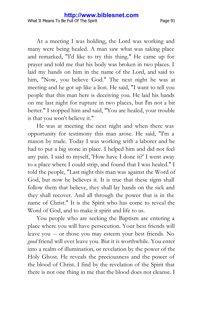At a meeting I was holding, the Lord was working and many were being healed. A man saw what was taking place and remarked, "I'd like to try this thing." He came up for prayer and told me that his body was broken in two places. I laid my hands on him in the name of the Lord, and said to him, "Now, you believe God." The next night he was at meeting and he got up like a lion. He said, "I want to tell you people that this man here is deceiving you. He laid his hands on me last night for rupture in two places, but I'm not a bit better." I stopped him and said, "You are healed, your trouble is that you won't believe it."

He was at meeting the next night and when there was opportunity for testimony this man arose. He said, "I'm a mason by trade. Today I was working with a laborer and he had to put a big stone in place. I helped him and did not feel any pain. I said to myself, 'How have I done it?' I went away to a place where I could strip, and found that I was healed." I told the people, "Last night this man was against the Word of God, but now he believes it. It is true that these signs shall follow them that believe, they shall lay hands on the sick and they shall recover. And all through the power that is in the name of Christ." It is the Spirit who has come to reveal the Word of God, and to make it spirit and life to us.

You people who are seeking the Baptism are entering a place where you will have persecution. Your best friends will leave you -- or those you may esteem your best friends. No *good* friend will ever leave you. But it is worthwhile. You enter into a realm of illumination, or revelation by the power of the Holy Ghost. He reveals the preciousness and the power of the blood of Christ. I find by the revelation of the Spirit that there is not one thing in me that the blood does not cleanse. I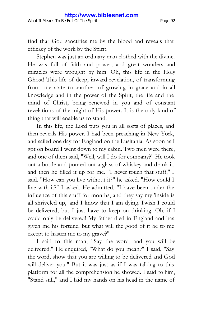find that God sanctifies me by the blood and reveals that efficacy of the work by the Spirit.

Stephen was just an ordinary man clothed with the divine. He was full of faith and power, and great wonders and miracles were wrought by him. Oh, this life in the Holy Ghost! This life of deep, inward revelation, of transforming from one state to another, of growing in grace and in all knowledge and in the power of the Spirit, the life and the mind of Christ, being renewed in you and of constant revelations of the might of His power. It is the only kind of thing that will enable us to stand.

In this life, the Lord puts you in all sorts of places, and then reveals His power. I had been preaching in New York, and sailed one day for England on the Lusitania. As soon as I got on board I went down to my cabin. Two men were there, and one of them said, "Well, will I do for company?" He took out a bottle and poured out a glass of whiskey and drank it, and then he filled it up for me. "I never touch that stuff," I said. "How can you live without it?" he asked. "How could I live with it?" I asked. He admitted, "I have been under the influence of this stuff for months, and they say my 'inside is all shriveled up,' and I know that I am dying. I wish I could be delivered, but I just have to keep on drinking. Oh, if I could only be delivered! My father died in England and has given me his fortune, but what will the good of it be to me except to hasten me to my grave?"

I said to this man, "Say the word, and you will be delivered." He enquired, "What do you mean?" I said, "Say the word, show that you are willing to be delivered and God will deliver you." But it was just as if I was talking to this platform for all the comprehension he showed. I said to him, "Stand still," and I laid my hands on his head in the name of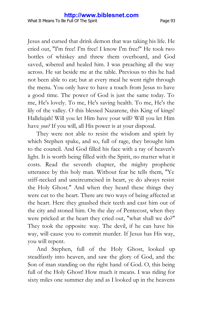Jesus and cursed that drink demon that was taking his life. He cried out, "I'm free! I'm free! I know I'm free!" He took two bottles of whiskey and threw them overboard, and God saved, sobered and healed him. I was preaching all the way across. He sat beside me at the table. Previous to this he had not been able to eat; but at every meal he went right through the menu. You only have to have a touch from Jesus to have a good time. The power of God is just the same today. To me, He's lovely. To me, He's saving health. To me, He's the lily of the valley. O this blessed Nazarene, this King of kings! Hallelujah! Will you let Him have your will? Will you let Him have *you?* If you will, all His power is at your disposal.

They were not able to resist the wisdom and spirit by which Stephen spake, and so, full of rage, they brought him to the council. And God filled his face with a ray of heaven's light. It is worth being filled with the Spirit, no matter what it costs. Read the seventh chapter, the mighty prophetic utterance by this holy man. Without fear he tells them, "Ye stiff-necked and uncircumcised in heart, ye do always resist the Holy Ghost." And when they heard these things they were cut to the heart. There are two ways of being affected at the heart. Here they gnashed their teeth and cast him out of the city and stoned him. On the day of Pentecost, when they were pricked at the heart they cried out, "what shall we do?" They took the opposite way. The devil, if he can have his way, will cause you to commit murder. If Jesus has His way, you will repent.

And Stephen, full of the Holy Ghost, looked up steadfastly into heaven, and saw the glory of God, and the Son of man standing on the right hand of God. O, this being full of the Holy Ghost! How much it means. I was riding for sixty miles one summer day and as I looked up in the heavens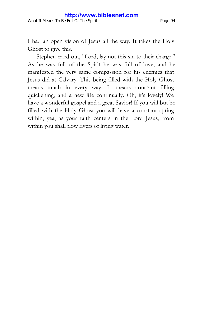I had an open vision of Jesus all the way. It takes the Holy Ghost to give this.

Stephen cried out, "Lord, lay not this sin to their charge." As he was full of the Spirit he was full of love, and he manifested the very same compassion for his enemies that Jesus did at Calvary. This being filled with the Holy Ghost means much in every way. It means constant filling, quickening, and a new life continually. Oh, it's lovely! We have a wonderful gospel and a great Savior! If you will but be filled with the Holy Ghost you will have a constant spring within, yea, as your faith centers in the Lord Jesus, from within you shall flow rivers of living water.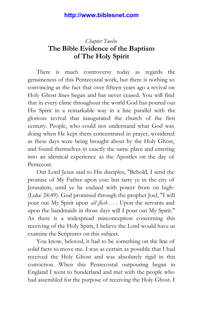## *Chapter Twelve* **The Bible Evidence of the Baptism of The Holy Spirit**

There is much controversy today as regards the genuineness of this Pentecostal work, but there is nothing so convincing as the fact that over fifteen years ago a revival on Holy Ghost lines began and has never ceased. You will find that in every clime throughout the world God has poured out His Spirit in a remarkable way in a line parallel with the glorious revival that inaugurated the church of the first century. People, who could not understand what God was doing when He kept them concentrated in prayer, wondered as these days were being brought about by the Holy Ghost, and found themselves in exactly the same place and entering into an identical experience as the Apostles on the day of Pentecost.

Our Lord Jesus said to His disciples, "Behold, I send the promise of My Father upon you: but tarry ye in the city of Jerusalem, until ye be endued with power from on high: (Luke 24:49). God promised through the prophet Joel, "I will pour out My Spirit upon *all flesh . . .* Upon the servants and upon the handmaids in those days will I pour out My Spirit." As there is a widespread misconception concerning this receiving of the Holy Spirit, I believe the Lord would have us examine the Scriptures on this subject.

You know, beloved, it had to be something on the line of solid facts to move me. I was as certain as possible that I had received the Holy Ghost and was absolutely rigid in this conviction. When this Pentecostal outpouring began in England I went to Sunderland and met with the people who had assembled for the purpose of receiving the Holy Ghost. I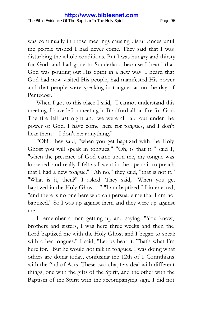was continually in those meetings causing disturbances until the people wished I had never come. They said that I was disturbing the whole conditions. But I was hungry and thirsty for God, and had gone to Sunderland because I heard that God was pouring out His Spirit in a new way. I heard that God had now visited His people, had manifested His power and that people were speaking in tongues as on the day of Pentecost.

When I got to this place I said, "I cannot understand this meeting. I have left a meeting in Bradford all on fire for God. The fire fell last night and we were all laid out under the power of God. I have come here for tongues, and I don't hear them -- I don't hear anything."

"Oh!" they said, "when you get baptized with the Holy Ghost you will speak in tongues." "Oh, is that it?" said I, "when the presence of God came upon me, my tongue was loosened, and really I felt as I went in the open air to preach that I had a new tongue." "Ah no," they said, "that is not it." "What is it, then?" I asked. They said, "When you get baptized in the Holy Ghost --" "I am baptized," I interjected, "and there is no one here who can persuade me that I am not baptized." So I was up against them and they were up against me.

I remember a man getting up and saying, "You know, brothers and sisters, I was here three weeks and then the Lord baptized me with the Holy Ghost and I began to speak with other tongues." I said, "Let us hear it. That's what I'm here for." But he would not talk in tongues. I was doing what others are doing today, confusing the 12th of 1 Corinthians with the 2nd of Acts. These two chapters deal with different things, one with the gifts of the Spirit, and the other with the Baptism of the Spirit with the accompanying sign. I did not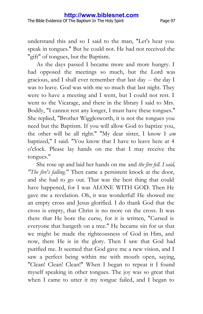understand this and so I said to the man, "Let's hear you speak in tongues." But he could not. He had not received the "gift" of tongues, but the Baptism.

As the days passed I became more and more hungry. I had opposed the meetings so much, but the Lord was gracious, and I shall ever remember that last day -- the day I was to leave. God was with me so much that last night. They were to have a meeting and I went, but I could not rest. I went to the Vicarage, and there in the library I said to Mrs. Boddy, "I cannot rest any longer, I must have these tongues." She replied, "Brother Wigglesworth, it is not the tongues you need but the Baptism. If you will allow God to baptize you, the other will be all right." "My dear sister, I know I *am* baptized," I said. "You know that I have to leave here at 4 o'clock. Please lay hands on me that I may receive the tongues."

She rose up and laid her hands on me and *the fire fell. I said, "The fire's falling."* Then came a persistent knock at the door, and she had to go out. That was the best thing that could have happened, for I was ALONE WITH GOD. Then He gave me a revelation. Oh, it was wonderful! He showed me an empty cross and Jesus glorified. I do thank God that the cross is empty, that Christ is no more on the cross. It was there that He bore the curse, for it is written, "Cursed is everyone that hangeth on a tree." He became sin for us that we might be made the righteousness of God in Him, and now, there He is in the glory. Then I saw that God had purified me. It seemed that God gave me a new vision, and I saw a perfect being within me with mouth open, saying, "Clean! Clean! Clean!" When I began to repeat it I found myself speaking in other tongues. The joy was so great that when I came to utter it my tongue failed, and I began to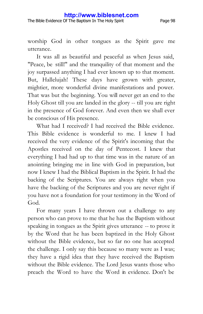worship God in other tongues as the Spirit gave me utterance.

It was all as beautiful and peaceful as when Jesus said, "Peace, be still!" and the tranquility of that moment and the joy surpassed anything I had ever known up to that moment. But, Hallelujah! These days have grown with greater, mightier, more wonderful divine manifestations and power. That was but the beginning. You will never get an end to the Holy Ghost till you are landed in the glory -- till you are right in the presence of God forever. And even then we shall ever be conscious of His presence.

What had I received? I had received the Bible evidence. This Bible evidence is wonderful to me. I knew I had received the very evidence of the Spirit's incoming that the Apostles received on the day of Pentecost. I knew that everything I had had up to that time was in the nature of an anointing bringing me in line with God in preparation, but now I knew I had the Biblical Baptism in the Spirit. It had the backing of the Scriptures. You are always right when you have the backing of the Scriptures and you are never right if you have not a foundation for your testimony in the Word of God.

For many years I have thrown out a challenge to any person who can prove to me that he has the Baptism without speaking in tongues as the Spirit gives utterance -- to prove it by the Word that he has been baptized in the Holy Ghost without the Bible evidence, but so far no one has accepted the challenge. I only say this because so many were as I was; they have a rigid idea that they have received the Baptism without the Bible evidence. The Lord Jesus wants those who preach the Word to have the Word in evidence. Don't be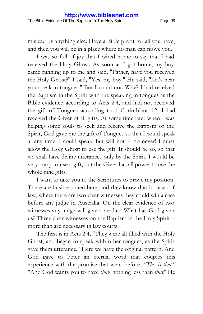mislead by anything else. Have a Bible proof for all you have, and then you will be in a place where no man can move you.

I was so full of joy that I wired home to say that I had received the Holy Ghost. As soon as I got home, my boy came running up to me and said, "Father, have you received the Holy Ghost?" I said, "Yes, my boy." He said, "Let's hear you speak in tongues." But I could not. Why? I had received the Baptism in the Spirit with the speaking in tongues as the Bible evidence according to Acts 2:4, and had not received the gift of Tongues according to 1 Corinthians 12. I had received the Giver of all gifts. At some time later when I was helping some souls to seek and receive the Baptism of the Spirit, God gave me the gift of Tongues so that I could speak at any time. I could speak, but will not -- no never! I must allow the Holy Ghost to use the gift. It should be so, so that we shall have divine utterances only by the Spirit. I would be very sorry to use a gift, but the Giver has all power to use the whole nine gifts.

I want to take you to the Scriptures to prove my position. There are business men here, and they know that in cases of law, where there are two clear witnesses they could win a case before any judge in Australia. On the clear evidence of two witnesses any judge will give a verdict. What has God given us? Three clear witnesses on the Baptism in the Holy Spirit - more than are necessary in law courts.

The first is in Acts 2:4, "They were all filled with the Holy Ghost, and began to speak with other tongues, as the Spirit gave them utterance." Here we have the original pattern. And God gave to Peter an eternal word that couples this experience with the promise that went before. *"This is that."* "And God wants you to have *that*- nothing less than *that*." He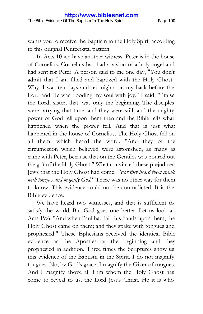wants you to receive the Baptism in the Holy Spirit according to this original Pentecostal pattern.

In Acts 10 we have another witness. Peter is in the house of Cornelius. Cornelius had had a vision of a holy angel and had sent for Peter. A person said to me one day, "You don't admit that I am filled and baptized with the Holy Ghost. Why, I was ten days and ten nights on my back before the Lord and He was flooding my soul with joy." I said, "Praise the Lord, sister, that was only the beginning. The disciples were tarrying that time, and they were still, and the mighty power of God fell upon them then and the Bible tells what happened when the power fell. And that is just what happened in the house of Cornelius. The Holy Ghost fell on all them, which heard the word. "And they of the circumcision which believed were astonished, as many as came with Peter, because that on the Gentiles was poured out the gift of the Holy Ghost." What convinced these prejudiced Jews that the Holy Ghost had come? *"For they heard them speak with tongues and magnify God."* There was no other way for them to know. This evidence could not be contradicted. It is the Bible evidence.

We have heard two witnesses, and that is sufficient to satisfy the world. But God goes one better. Let us look at Acts 19:6, "And when Paul had laid his hands upon them, the Holy Ghost came on them; and they spake with tongues and prophesied." These Ephesians received the identical Bible evidence as the Apostles at the beginning and they prophesied in addition. Three times the Scriptures show us this evidence of the Baptism in the Spirit. I do not magnify tongues. No, by God's grace, I magnify the Giver of tongues. And I magnify above all Him whom the Holy Ghost has come to reveal to us, the Lord Jesus Christ. He it is who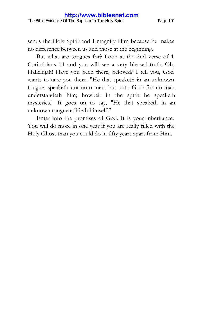sends the Holy Spirit and I magnify Him because he makes no difference between us and those at the beginning.

But what are tongues for? Look at the 2nd verse of 1 Corinthians 14 and you will see a very blessed truth. Oh, Hallelujah! Have you been there, beloved? I tell you, God wants to take you there. "He that speaketh in an unknown tongue, speaketh not unto men, but unto God: for no man understandeth him; howbeit in the spirit he speaketh mysteries." It goes on to say, "He that speaketh in an unknown tongue edifieth himself."

Enter into the promises of God. It is your inheritance. You will do more in one year if you are really filled with the Holy Ghost than you could do in fifty years apart from Him.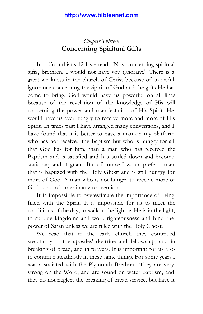# *Chapter Thirteen* **Concerning Spiritual Gifts**

In 1 Corinthians 12:1 we read, "Now concerning spiritual gifts, brethren, I would not have you ignorant." There is a great weakness in the church of Christ because of an awful ignorance concerning the Spirit of God and the gifts He has come to bring. God would have us powerful on all lines because of the revelation of the knowledge of His will concerning the power and manifestation of His Spirit. He would have us ever hungry to receive more and more of His Spirit. In times past I have arranged many conventions, and I have found that it is better to have a man on my platform who has not received the Baptism but who is hungry for all that God has for him, than a man who has received the Baptism and is satisfied and has settled down and become stationary and stagnant. But of course I would prefer a man that is baptized with the Holy Ghost and is still hungry for more of God. A man who is not hungry to receive more of God is out of order in any convention.

It is impossible to overestimate the importance of being filled with the Spirit. It is impossible for us to meet the conditions of the day, to walk in the light as He is in the light, to subdue kingdoms and work righteousness and bind the power of Satan unless we are filled with the Holy Ghost.

We read that in the early church they continued steadfastly in the apostles' doctrine and fellowship, and in breaking of bread, and in prayers. It is important for us also to continue steadfastly in these same things. For some years I was associated with the Plymouth Brethren. They are very strong on the Word, and are sound on water baptism, and they do not neglect the breaking of bread service, but have it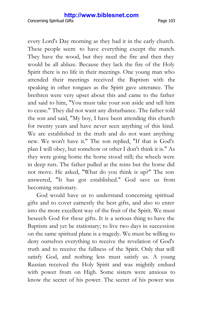every Lord's Day morning as they had it in the early church. These people seem to have everything except the match. They have the wood, but they need the fire and then they would be all ablaze. Because they lack the fire of the Holy Spirit there is no life in their meetings. One young man who attended their meetings received the Baptism with the speaking in other tongues as the Spirit gave utterance. The brethren were very upset about this and came to the father and said to him, "You must take your son aside and tell him to cease." They did not want any disturbance. The father told the son and said, "My boy, I have been attending this church for twenty years and have never seen anything of this kind. We are established in the truth and do not want anything new. We won't have it." The son replied, "If that is God's plan I will obey, but somehow or other I don't think it is." As they were going home the horse stood still; the wheels were in deep ruts. The father pulled at the reins but the horse did not move. He asked, "What do you think is up?" The son answered, "It has got established." God save us from becoming stationary.

God would have us to understand concerning spiritual gifts and to covet earnestly the best gifts, and also to enter into the more excellent way of the fruit of the Spirit. We must beseech God for these gifts. It is a serious thing to have the Baptism and yet be stationary; to live two days in succession on the same spiritual plane is a tragedy. We must be willing to deny ourselves everything to receive the revelation of God's truth and to receive the fullness of the Spirit. Only that will satisfy God, and nothing less must satisfy us. A young Russian received the Holy Spirit and was mightily endued with power from on High. Some sisters were anxious to know the secret of his power. The secret of his power was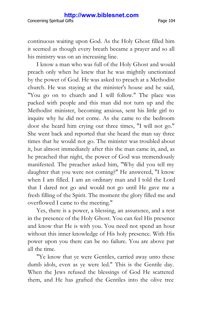continuous waiting upon God. As the Holy Ghost filled him it seemed as though every breath became a prayer and so all his ministry was on an increasing line.

I know a man who was full of the Holy Ghost and would preach only when he knew that he was mightily unctionized by the power of God. He was asked to preach at a Methodist church. He was staying at the minister's house and he said, "You go on to church and I will follow." The place was packed with people and this man did not turn up and the Methodist minister, becoming anxious, sent his little girl to inquire why he did not come. As she came to the bedroom door she heard him crying out three times, "I will not go." She went back and reported that she heard the man say three times that he would not go. The minister was troubled about it, but almost immediately after this the man came in, and, as he preached that night, the power of God was tremendously manifested. The preacher asked him, "Why did you tell my daughter that you were not coming?" He answered, "I know when I am filled. I am an ordinary man and I told the Lord that I dared not go and would not go until He gave me a fresh filling of the Spirit. The moment the glory filled me and overflowed I came to the meeting."

Yes, there is a power, a blessing, an assurance, and a rest in the presence of the Holy Ghost. You can feel His presence and know that He is with you. You need not spend an hour without this inner knowledge of His holy presence. With His power upon you there can be no failure. You are above par all the time.

"Ye know that ye were Gentiles, carried away unto these dumb idols, even as ye were led." This is the Gentile day. When the Jews refused the blessings of God He scattered them, and He has grafted the Gentiles into the olive tree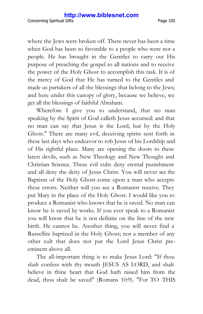where the Jews were broken off. There never has been a time when God has been so favorable to a people who were not a people. He has brought in the Gentiles to carry out His purpose of preaching the gospel to all nations and to receive the power of the Holy Ghost to accomplish this task. It is of the mercy of God that He has turned to the Gentiles and made us partakers of all the blessings that belong to the Jews; and here under this canopy of glory, because we believe, we get all the blessings of faithful Abraham.

Wherefore I give you to understand, that no man speaking by the Spirit of God calleth Jesus accursed: and that no man can say that Jesus is the Lord, but by the Holy Ghost." There are many evil, deceiving spirits sent forth in these last days who endeavor to rob Jesus of his Lordship and of His rightful place. Many are opening the doors to these latest devils, such as New Theology and New Thought and Christian Science. These evil cults deny eternal punishment and all deny the deity of Jesus Christ. You will never see the Baptism of the Holy Ghost come upon a man who accepts these errors. Neither will you see a Romanist receive. They put Mary in the place of the Holy Ghost. I would like you to produce a Romanist who knows that he is saved. No man can know he is saved by works. If you ever speak to a Romanist you will know that he is not definite on the line of the new birth. He cannot be. Another thing, you will never find a Russellite baptized in the Holy Ghost; nor a member of any other cult that does not put the Lord Jesus Christ preeminent above all.

The all-important thing is to make Jesus Lord: "If thou shalt confess with thy mouth JESUS AS LORD, and shalt believe in thine heart that God hath raised him from the dead, thou shalt be saved" (Romans 10:9). "For TO THIS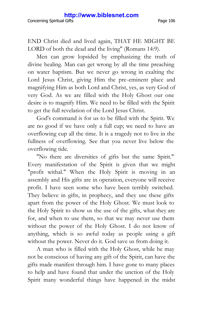END Christ died and lived again, THAT HE MIGHT BE LORD of both the dead and the living" (Romans 14:9).

Men can grow lopsided by emphasizing the truth of divine healing. Man can get wrong by all the time preaching on water baptism. But we never go wrong in exalting the Lord Jesus Christ, giving Him the pre-eminent place and magnifying Him as both Lord and Christ, yes, as very God of very God. As we are filled with the Holy Ghost our one desire is to magnify Him. We need to be filled with the Spirit to get the full revelation of the Lord Jesus Christ.

God's command is for us to be filled with the Spirit. We are no good if we have only a full cup; we need to have an overflowing cup all the time. It is a tragedy not to live in the fullness of overflowing. See that you never live below the overflowing tide.

"No there are diversities of gifts but the same Spirit." Every manifestation of the Spirit is given that we might "profit withal." When the Holy Spirit is moving in an assembly and His gifts are in operation, everyone will receive profit. I have seen some who have been terribly switched. They believe in gifts, in prophecy, and they use these gifts apart from the power of the Holy Ghost. We must look to the Holy Spirit to show us the use of the gifts, what they are for, and when to use them, so that we may never use them without the power of the Holy Ghost. I do not know of anything, which is so awful today as people using a gift without the power. Never do it. God save us from doing it.

A man who is filled with the Holy Ghost, while he may not be conscious of having any gift of the Spirit, can have the gifts made manifest through him. I have gone to many places to help and have found that under the unction of the Holy Spirit many wonderful things have happened in the midst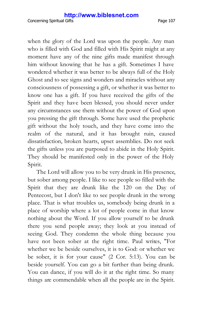when the glory of the Lord was upon the people. Any man who is filled with God and filled with His Spirit might at any moment have any of the nine gifts made manifest through him without knowing that he has a gift. Sometimes I have wondered whether it was better to be always full of the Holy Ghost and to see signs and wonders and miracles without any consciousness of possessing a gift, or whether it was better to know one has a gift. If you have received the gifts of the Spirit and they have been blessed, you should never under any circumstances use them without the power of God upon you pressing the gift through. Some have used the prophetic gift without the holy touch, and they have come into the realm of the natural, and it has brought ruin, caused dissatisfaction, broken hearts, upset assemblies. Do not seek the gifts unless you are purposed to abide in the Holy Spirit. They should be manifested only in the power of the Holy Spirit.

The Lord will allow you to be very drunk in His presence, but sober among people. I like to see people so filled with the Spirit that they are drunk like the 120 on the Day of Pentecost, but I don't like to see people drunk in the wrong place. That is what troubles us, somebody being drunk in a place of worship where a lot of people come in that know nothing about the Word. If you allow yourself to be drunk there you send people away; they look at you instead of seeing God. They condemn the whole thing because you have not been sober at the right time. Paul writes, "For whether we be beside ourselves, it is to God: or whether we be sober, it is for your cause" (2 Cor. 5:13). You can be beside yourself. You can go a bit further than being drunk. You can dance, if you will do it at the right time. So many things are commendable when all the people are in the Spirit.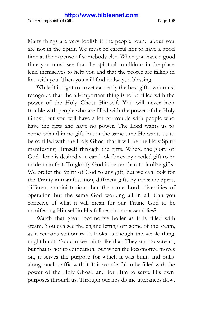Many things are very foolish if the people round about you are not in the Spirit. We must be careful not to have a good time at the expense of somebody else. When you have a good time you must see that the spiritual conditions in the place lend themselves to help you and that the people are falling in line with you. Then you will find it always a blessing.

While it is right to covet earnestly the best gifts, you must recognize that the all-important thing is to be filled with the power of the Holy Ghost Himself. You will never have trouble with people who are filled with the power of the Holy Ghost, but you will have a lot of trouble with people who have the gifts and have no power. The Lord wants us to come behind in no gift, but at the same time He wants us to be so filled with the Holy Ghost that it will be the Holy Spirit manifesting Himself through the gifts. Where the glory of God alone is desired you can look for every needed gift to be made manifest. To glorify God is better than to idolize gifts. We prefer the Spirit of God to any gift; but we can look for the Trinity in manifestation, different gifts by the same Spirit, different administrations but the same Lord, diversities of operation but the same God working all in all. Can you conceive of what it will mean for our Triune God to be manifesting Himself in His fullness in our assemblies?

Watch that great locomotive boiler as it is filled with steam. You can see the engine letting off some of the steam, as it remains stationary. It looks as though the whole thing might burst. You can see saints like that. They start to scream, but that is not to edification. But when the locomotive moves on, it serves the purpose for which it was built, and pulls along much traffic with it. It is wonderful to be filled with the power of the Holy Ghost, and for Him to serve His own purposes through us. Through our lips divine utterances flow,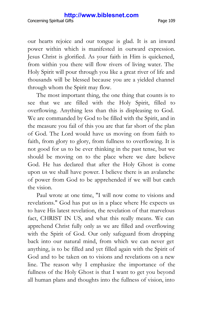our hearts rejoice and our tongue is glad. It is an inward power within which is manifested in outward expression. Jesus Christ is glorified. As your faith in Him is quickened, from within you there will flow rivers of living water. The Holy Spirit will pour through you like a great river of life and thousands will be blessed because you are a yielded channel through whom the Spirit may flow.

The most important thing, the one thing that counts is to see that we are filled with the Holy Spirit, filled to overflowing. Anything less than this is displeasing to God. We are commanded by God to be filled with the Spirit, and in the measure you fail of this you are that far short of the plan of God. The Lord would have us moving on from faith to faith, from glory to glory, from fullness to overflowing. It is not good for us to be ever thinking in the past tense, but we should be moving on to the place where we dare believe God. He has declared that after the Holy Ghost is come upon us we shall have power. I believe there is an avalanche of power from God to be apprehended if we will but catch the vision.

Paul wrote at one time, "I will now come to visions and revelations." God has put us in a place where He expects us to have His latest revelation, the revelation of that marvelous fact, CHRIST IN US, and what this really means. We can apprehend Christ fully only as we are filled and overflowing with the Spirit of God. Our only safeguard from dropping back into our natural mind, from which we can never get anything, is to be filled and yet filled again with the Spirit of God and to be taken on to visions and revelations on a new line. The reason why I emphasize the importance of the fullness of the Holy Ghost is that I want to get you beyond all human plans and thoughts into the fullness of vision, into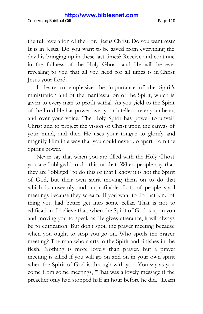the full revelation of the Lord Jesus Christ. Do you want rest? It is in Jesus. Do you want to be saved from everything the devil is bringing up in these last times? Receive and continue in the fullness of the Holy Ghost, and He will be ever revealing to you that all you need for all times is in Christ Jesus your Lord.

I desire to emphasize the importance of the Spirit's ministration and of the manifestation of the Spirit, which is given to every man to profit withal. As you yield to the Spirit of the Lord He has power over your intellect, over your heart, and over your voice. The Holy Spirit has power to unveil Christ and to project the vision of Christ upon the canvas of your mind, and then He uses your tongue to glorify and magnify Him in a way that you could never do apart from the Spirit's power.

Never say that when you are filled with the Holy Ghost you are "obliged" to do this or that. When people say that they are "obliged" to do this or that I know it is not the Spirit of God, but their own spirit moving them on to do that which is unseemly and unprofitable. Lots of people spoil meetings because they scream. If you want to do that kind of thing you had better get into some cellar. That is not to edification. I believe that, when the Spirit of God is upon you and moving you to speak as He gives utterance, it will always be to edification. But don't spoil the prayer meeting because when you ought to stop you go on. Who spoils the prayer meeting? The man who starts in the Spirit and finishes in the flesh. Nothing is more lovely than prayer, but a prayer meeting is killed if you will go on and on in your own spirit when the Spirit of God is through with you. You say as you come from some meetings, "That was a lovely message if the preacher only had stopped half an hour before he did." Learn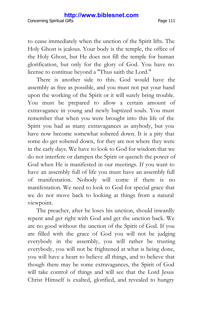to cease immediately when the unction of the Spirit lifts. The Holy Ghost is jealous. Your body is the temple, the office of the Holy Ghost, but He does not fill the temple for human glorification, but only for the glory of God. You have no license to continue beyond a "Thus saith the Lord."

There is another side to this. God would have the assembly as free as possible, and you must not put your hand upon the working of the Spirit or it will surely bring trouble. You must be prepared to allow a certain amount of extravagance in young and newly baptized souls. You must remember that when you were brought into this life of the Spirit you had as many extravagances as anybody, but you have now become somewhat sobered down. It is a pity that some do get sobered down, for they are not where they were in the early days. We have to look to God for wisdom that we do not interfere or dampen the Spirit or quench the power of God when He is manifested in our meetings. If you want to have an assembly full of life you must have an assembly full of manifestation. Nobody will come if there is no manifestation. We need to look to God for special grace that we do not move back to looking at things from a natural viewpoint.

The preacher, after he loses his unction, should inwardly repent and get right with God and get the unction back. We are no good without the unction of the Spirit of God. If you are filled with the grace of God you will not be judging everybody in the assembly, you will rather be trusting everybody, you will not be frightened at what is being done, you will have a heart to believe all things, and to believe that though there may be some extravagances, the Spirit of God will take control of things and will see that the Lord Jesus Christ Himself is exalted, glorified, and revealed to hungry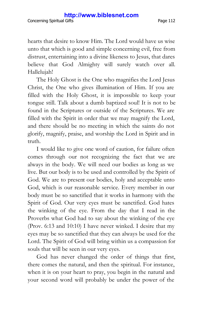hearts that desire to know Him. The Lord would have us wise unto that which is good and simple concerning evil, free from distrust, entertaining into a divine likeness to Jesus, that dares believe that God Almighty will surely watch over all. Hallelujah!

The Holy Ghost is the One who magnifies the Lord Jesus Christ, the One who gives illumination of Him. If you are filled with the Holy Ghost, it is impossible to keep your tongue still. Talk about a dumb baptized soul! It is not to be found in the Scriptures or outside of the Scriptures. We are filled with the Spirit in order that we may magnify the Lord, and there should be no meeting in which the saints do not glorify, magnify, praise, and worship the Lord in Spirit and in truth.

I would like to give one word of caution, for failure often comes through our not recognizing the fact that we are always in the body. We will need our bodies as long as we live. But our body is to be used and controlled by the Spirit of God. We are to present our bodies, holy and acceptable unto God, which is our reasonable service. Every member in our body must be so sanctified that it works in harmony with the Spirit of God. Our very eyes must be sanctified. God hates the winking of the eye. From the day that I read in the Proverbs what God had to say about the winking of the eye (Prov. 6:13 and 10:10) I have never winked. I desire that my eyes may be so sanctified that they can always be used for the Lord. The Spirit of God will bring within us a compassion for souls that will be seen in our very eyes.

God has never changed the order of things that first, there comes the natural, and then the spiritual. For instance, when it is on your heart to pray, you begin in the natural and your second word will probably be under the power of the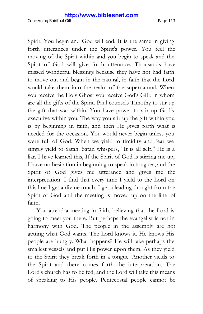Spirit. You begin and God will end. It is the same in giving forth utterances under the Spirit's power. You feel the moving of the Spirit within and you begin to speak and the Spirit of God will give forth utterance. Thousands have missed wonderful blessings because they have not had faith to move out and begin in the natural, in faith that the Lord would take them into the realm of the supernatural. When you receive the Holy Ghost you receive God's Gift, in whom are all the gifts of the Spirit. Paul counsels Timothy to stir up the gift that was within. You have power to stir up God's executive within you. The way you stir up the gift within you is by beginning in faith, and then He gives forth what is needed for the occasion. You would never begin unless you were full of God. When we yield to timidity and fear we simply yield to Satan. Satan whispers, "It is all self." He is a liar. I have learned this, If the Spirit of God is stirring me up, I have no hesitation in beginning to speak in tongues, and the Spirit of God gives me utterance and gives me the interpretation. I find that every time I yield to the Lord on this line I get a divine touch, I get a leading thought from the Spirit of God and the meeting is moved up on the line of faith.

You attend a meeting in faith, believing that the Lord is going to meet you there. But perhaps the evangelist is not in harmony with God. The people in the assembly are not getting what God wants. The Lord knows it. He knows His people are hungry. What happens? He will take perhaps the smallest vessels and put His power upon them. As they yield to the Spirit they break forth in a tongue. Another yields to the Spirit and there comes forth the interpretation. The Lord's church has to be fed, and the Lord will take this means of speaking to His people. Pentecostal people cannot be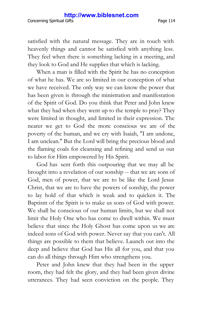satisfied with the natural message. They are in touch with heavenly things and cannot be satisfied with anything less. They feel when there is something lacking in a meeting, and they look to God and He supplies that which is lacking.

When a man is filled with the Spirit he has no conception of what he has. We are so limited in our conception of what we have received. The only way we can know the power that has been given is through the ministration and manifestation of the Spirit of God. Do you think that Peter and John knew what they had when they went up to the temple to pray? They were limited in thought, and limited in their expression. The nearer we get to God the more conscious we are of the poverty of the human, and we cry with Isaiah, "I am undone, I am unclean." But the Lord will bring the precious blood and the flaming coals for cleansing and refining and send us out to labor for Him empowered by His Spirit.

God has sent forth this outpouring that we may all be brought into a revelation of our sonship -- that we are sons of God, men of power, that we are to be like the Lord Jesus Christ, that we are to have the powers of sonship, the power to lay hold of that which is weak and to quicken it. The Baptism of the Spirit is to make us sons of God with power. We shall be conscious of our human limits, but we shall not limit the Holy One who has come to dwell within. We must believe that since the Holy Ghost has come upon us we are indeed sons of God with power. Never say that you can't. All things are possible to them that believe. Launch out into the deep and believe that God has His all for you, and that you can do all things through Him who strengthens you.

Peter and John knew that they had been in the upper room, they had felt the glory, and they had been given divine utterances. They had seen conviction on the people. They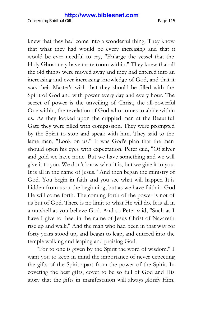knew that they had come into a wonderful thing. They know that what they had would be every increasing and that it would be ever needful to cry, "Enlarge the vessel that the Holy Ghost may have more room within." They knew that all the old things were moved away and they had entered into an increasing and ever increasing knowledge of God, and that it was their Master's wish that they should be filled with the Spirit of God and with power every day and every hour. The secret of power is the unveiling of Christ, the all-powerful One within, the revelation of God who comes to abide within us. As they looked upon the crippled man at the Beautiful Gate they were filled with compassion. They were prompted by the Spirit to stop and speak with him. They said to the lame man, "Look on us." It was God's plan that the man should open his eyes with expectation. Peter said, "Of silver and gold we have none. But we have something and we will give it to you. We don't know what it is, but we give it to you. It is all in the name of Jesus." And then began the ministry of God. You begin in faith and you see what will happen. It is hidden from us at the beginning, but as we have faith in God He will come forth. The coming forth of the power is not of us but of God. There is no limit to what He will do. It is all in a nutshell as you believe God. And so Peter said, "Such as I have I give to thee: in the name of Jesus Christ of Nazareth rise up and walk." And the man who had been in that way for forty years stood up, and began to leap, and entered into the temple walking and leaping and praising God.

"For to one is given by the Spirit the word of wisdom." I want you to keep in mind the importance of never expecting the gifts of the Spirit apart from the power of the Spirit. In coveting the best gifts, covet to be so full of God and His glory that the gifts in manifestation will always glorify Him.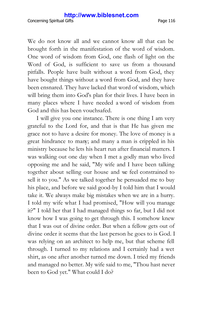We do not know all and we cannot know all that can be brought forth in the manifestation of the word of wisdom. One word of wisdom from God, one flash of light on the Word of God, is sufficient to save us from a thousand pitfalls. People have built without a word from God, they have bought things without a word from God, and they have been ensnared. They have lacked that word of wisdom, which

will bring them into God's plan for their lives. I have been in many places where I have needed a word of wisdom from God and this has been vouchsafed.

I will give you one instance. There is one thing I am very grateful to the Lord for, and that is that He has given me grace not to have a desire for money. The love of money is a great hindrance to many; and many a man is crippled in his ministry because he lets his heart run after financial matters. I was walking out one day when I met a godly man who lived opposing me and he said, "My wife and I have been talking together about selling our house and we feel constrained to sell it to you." As we talked together he persuaded me to buy his place, and before we said good-by I told him that I would take it. We always make big mistakes when we are in a hurry. I told my wife what I had promised, "How will you manage it?" I told her that I had managed things so far, but I did not know how I was going to get through this. I somehow knew that I was out of divine order. But when a fellow gets out of divine order it seems that the last person he goes to is God. I was relying on an architect to help me, but that scheme fell through. I turned to my relations and I certainly had a wet shirt, as one after another turned me down. I tried my friends and managed no better. My wife said to me, "Thou hast never been to God yet." What could I do?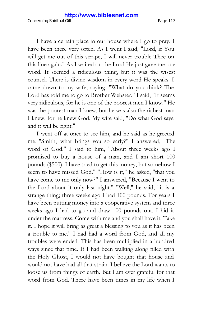I have a certain place in our house where I go to pray. I have been there very often. As I went I said, "Lord, if You will get me out of this scrape, I will never trouble Thee on this line again." As I waited on the Lord He just gave me one word. It seemed a ridiculous thing, but it was the wisest counsel. There is divine wisdom in every word He speaks. I came down to my wife, saying, "What do you think? The Lord has told me to go to Brother Webster." I said, "It seems very ridiculous, for he is one of the poorest men I know." He was the poorest man I knew, but he was also the richest man I knew, for he knew God. My wife said, "Do what God says, and it will be right."

I went off at once to see him, and he said as he greeted me, "Smith, what brings you so early?" I answered, "The word of God." I said to him, "About three weeks ago I promised to buy a house of a man, and I am short 100 pounds (\$500). I have tried to get this money, but somehow I seem to have missed God." "How is it," he asked, "that you have come to me only now?" I answered, "Because I went to the Lord about it only last night." "Well," he said, "it is a strange thing; three weeks ago I had 100 pounds. For years I have been putting money into a cooperative system and three weeks ago I had to go and draw 100 pounds out. I hid it under the mattress. Come with me and you shall have it. Take it. I hope it will bring as great a blessing to you as it has been a trouble to me." I had had a word from God, and all my troubles were ended. This has been multiplied in a hundred ways since that time. If I had been walking along filled with the Holy Ghost, I would not have bought that house and would not have had all that strain. I believe the Lord wants to loose us from things of earth. But I am ever grateful for that word from God. There have been times in my life when I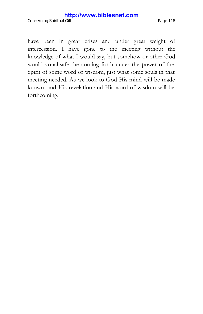Concerning Spiritual Gifts **Page 118** 

have been in great crises and under great weight of intercession. I have gone to the meeting without the knowledge of what I would say, but somehow or other God would vouchsafe the coming forth under the power of the Spirit of some word of wisdom, just what some souls in that meeting needed. As we look to God His mind will be made known, and His revelation and His word of wisdom will be forthcoming.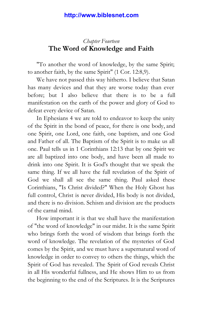### *Chapter Fourteen* **The Word of Knowledge and Faith**

"To another the word of knowledge, by the same Spirit; to another faith, by the same Spirit" (1 Cor. 12:8,9).

We have not passed this way hitherto. I believe that Satan has many devices and that they are worse today than ever before; but I also believe that there is to be a full manifestation on the earth of the power and glory of God to defeat every device of Satan.

In Ephesians 4 we are told to endeavor to keep the unity of the Spirit in the bond of peace, for there is one body, and one Spirit, one Lord, one faith, one baptism, and one God and Father of all. The Baptism of the Spirit is to make us all one. Paul tells us in 1 Corinthians 12:13 that by one Spirit we are all baptized into one body, and have been all made to drink into one Spirit. It is God's thought that we speak the same thing. If we all have the full revelation of the Spirit of God we shall all see the same thing. Paul asked these Corinthians, "Is Christ divided?" When the Holy Ghost has full control, Christ is never divided, His body is not divided, and there is no division. Schism and division are the products of the carnal mind.

How important it is that we shall have the manifestation of "the word of knowledge" in our midst. It is the same Spirit who brings forth the word of wisdom that brings forth the word of knowledge. The revelation of the mysteries of God comes by the Spirit, and we must have a supernatural word of knowledge in order to convey to others the things, which the Spirit of God has revealed. The Spirit of God reveals Christ in all His wonderful fullness, and He shows Him to us from the beginning to the end of the Scriptures. It is the Scriptures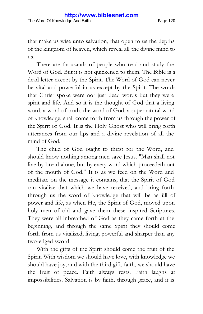that make us wise unto salvation, that open to us the depths of the kingdom of heaven, which reveal all the divine mind to us.

There are thousands of people who read and study the Word of God. But it is not quickened to them. The Bible is a dead letter except by the Spirit. The Word of God can never be vital and powerful in us except by the Spirit. The words that Christ spoke were not just dead words but they were spirit and life. And so it is the thought of God that a living word, a word of truth, the word of God, a supernatural word of knowledge, shall come forth from us through the power of the Spirit of God. It is the Holy Ghost who will bring forth utterances from our lips and a divine revelation of all the mind of God.

The child of God ought to thirst for the Word, and should know nothing among men save Jesus. "Man shall not live by bread alone, but by every word which proceedeth out of the mouth of God." It is as we feed on the Word and meditate on the message it contains, that the Spirit of God can vitalize that which we have received, and bring forth through us the word of knowledge that will be as full of power and life, as when He, the Spirit of God, moved upon holy men of old and gave them these inspired Scriptures. They were all inbreathed of God as they came forth at the beginning, and through the same Spirit they should come forth from us vitalized, living, powerful and sharper than any two-edged sword.

With the gifts of the Spirit should come the fruit of the Spirit. With wisdom we should have love, with knowledge we should have joy, and with the third gift, faith, we should have the fruit of peace. Faith always rests. Faith laughs at impossibilities. Salvation is by faith, through grace, and it is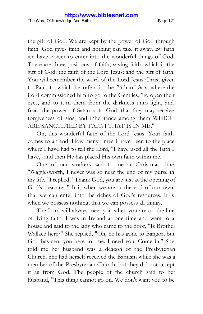the gift of God. We are kept by the power of God through faith. God gives faith and nothing can take it away. By faith we have power to enter into the wonderful things of God. There are three positions of faith; saving faith, which is the gift of God; the faith of the Lord Jesus; and the gift of faith. You will remember the word of the Lord Jesus Christ given to Paul, to which he refers in the 26th of Acts, where the Lord commissioned him to go to the Gentiles, "to open their eyes, and to turn them from the darkness unto light, and from the power of Satan unto God, that they may receive forgiveness of sins, and inheritance among them WHICH ARE SANCTIFIED BY FAITH THAT IS IN ME."

Oh, this wonderful faith of the Lord Jesus. Your faith comes to an end. How many times I have been to the place where I have had to tell the Lord, "I have used all the faith I have," and then He has placed His own faith within me.

One of our workers said to me at Christmas time, "Wigglesworth, I never was so near the end of my purse in my life." I replied, "Thank God, you are just at the opening of God's treasures." It is when we are at the end of our own, that we can enter into the riches of God's resources. It is when we possess nothing, that we can possess all things.

The Lord will always meet you when you are on the line of living faith. I was in Ireland at one time and went to a house and said to the lady who came to the door, "Is Brother Wallace here?" She replied, "Oh, he has gone to Bangor, but God has sent you here for me. I need you. Come in." She told me her husband was a deacon of the Presbyterian Church. She had herself received the Baptism while she was a member of the Presbyterian Church, but they did not accept it as from God. The people of the church said to her husband, "This thing cannot go on. We don't want you to be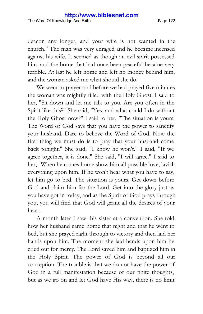deacon any longer, and your wife is not wanted in the church." The man was very enraged and he became incensed against his wife. It seemed as though an evil spirit possessed him, and the home that had once been peaceful became very terrible. At last he left home and left no money behind him, and the woman asked me what should she do.

We went to prayer and before we had prayed five minutes the woman was mightily filled with the Holy Ghost. I said to her, "Sit down and let me talk to you. Are you often in the Spirit like this?" She said, "Yes, and what could I do without the Holy Ghost now?" I said to her, "The situation is yours. The Word of God says that you have the power to sanctify your husband. Dare to believe the Word of God. Now the first thing we must do is to pray that your husband come back tonight." She said, "I know he won't." I said, "If we agree together, it is done." She said, "I will agree." I said to her, "When he comes home show him all possible love, lavish everything upon him. If he won't hear what you have to say, let him go to bed. The situation is yours. Get down before God and claim him for the Lord. Get into the glory just as you have got in today, and as the Spirit of God prays through you, you will find that God will grant all the desires of your heart.

A month later I saw this sister at a convention. She told how her husband came home that night and that he went to bed, but she prayed right through to victory and then laid her hands upon him. The moment she laid hands upon him he cried out for mercy. The Lord saved him and baptized him in the Holy Spirit. The power of God is beyond all our conception. The trouble is that we do not have the power of God in a full manifestation because of our finite thoughts, but as we go on and let God have His way, there is no limit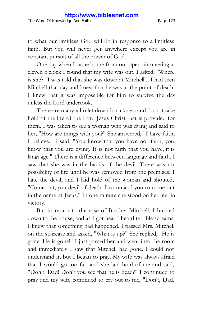to what our limitless God will do in response to a limitless faith. But you will never get anywhere except you are in constant pursuit of all the power of God.

One day when I came home from our open-air meeting at eleven o'clock I found that my wife was out. I asked, "Where is she?" I was told that she was down at Mitchell's. I had seen Mitchell that day and knew that he was at the point of death. I knew that it was impossible for him to survive the day unless the Lord undertook.

There are many who let down in sickness and do not take hold of the life of the Lord Jesus Christ that is provided for them. I was taken to see a woman who was dying and said to her, "How are things with you?" She answered, "I have faith, I believe." I said, "You know that you have not faith, you know that you are dying. It is not faith that you have, it is language." There is a difference between language and faith. I saw that she was in the hands of the devil. There was no possibility of life until he was removed from the premises. I hate the devil, and I laid hold of the woman and shouted, "Come out, you devil of death. I command you to come out in the name of Jesus." In one minute she stood on her feet in victory.

But to return to the case of Brother Mitchell, I hurried down to the house, and as I got near I heard terrible screams. I knew that something had happened. I passed Mrs. Mitchell on the staircase and asked, "What is up?" She replied, "He is gone! He is gone!" I just passed her and went into the room and immediately I saw that Mitchell had gone. I could not understand it, but I began to pray. My wife was always afraid that I would go too far, and she laid hold of me and said, "Don't, Dad! Don't you see that he is dead?" I continued to pray and my wife continued to cry out to me, "Don't, Dad.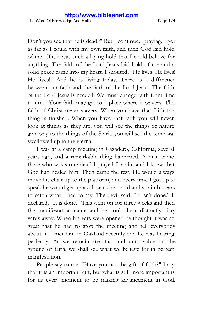Don't you see that he is dead?" But I continued praying. I got as far as I could with my own faith, and then God laid hold of me. Oh, it was such a laying hold that I could believe for anything. The faith of the Lord Jesus laid hold of me and a solid peace came into my heart. I shouted, "He lives! He lives! He lives!" And he is living today. There is a difference between our faith and the faith of the Lord Jesus. The faith of the Lord Jesus is needed. We must change faith from time to time. Your faith may get to a place where it wavers. The faith of Christ never wavers. When you have that faith the thing is finished. When you have that faith you will never look at things as they are, you will see the things of nature give way to the things of the Spirit, you will see the temporal swallowed up in the eternal.

I was at a camp meeting in Cazadero, California, several years ago, and a remarkable thing happened. A man came there who was stone deaf. I prayed for him and I knew that God had healed him. Then came the test. He would always move his chair up to the platform, and every time I got up to speak he would get up as close as he could and strain his ears to catch what I had to say. The devil said, "It isn't done." I declared, "It is done." This went on for three weeks and then the manifestation came and he could hear distinctly sixty yards away. When his ears were opened he thought it was so great that he had to stop the meeting and tell everybody about it. I met him in Oakland recently and he was hearing perfectly. As we remain steadfast and unmovable on the ground of faith, we shall see what we believe for in perfect manifestation.

People say to me, "Have you not the gift of faith?" I say that it is an important gift, but what is still more important is for us every moment to be making advancement in God.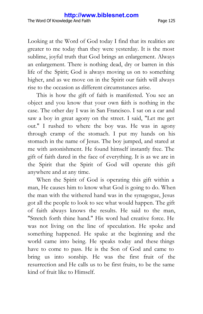Looking at the Word of God today I find that its realities are greater to me today than they were yesterday. It is the most sublime, joyful truth that God brings an enlargement. Always an enlargement. There is nothing dead, dry or barren in this life of the Spirit; God is always moving us on to something higher, and as we move on in the Spirit our faith will always rise to the occasion as different circumstances arise.

This is how the gift of faith is manifested. You see an object and you know that your own faith is nothing in the case. The other day I was in San Francisco. I sat on a car and saw a boy in great agony on the street. I said, "Let me get out." I rushed to where the boy was. He was in agony through cramp of the stomach. I put my hands on his stomach in the name of Jesus. The boy jumped, and stared at me with astonishment. He found himself instantly free. The gift of faith dared in the face of everything. It is as we are in the Spirit that the Spirit of God will operate this gift anywhere and at any time.

When the Spirit of God is operating this gift within a man, He causes him to know what God is going to do. When the man with the withered hand was in the synagogue, Jesus got all the people to look to see what would happen. The gift of faith always knows the results. He said to the man, "Stretch forth thine hand." His word had creative force. He was not living on the line of speculation. He spoke and something happened. He spake at the beginning and the world came into being. He speaks today and these things have to come to pass. He is the Son of God and came to bring us into sonship. He was the first fruit of the resurrection and He calls us to be first fruits, to be the same kind of fruit like to Himself.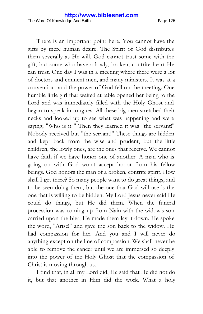There is an important point here. You cannot have the gifts by mere human desire. The Spirit of God distributes them severally as He will. God cannot trust some with the gift, but some who have a lowly, broken, contrite heart He can trust. One day I was in a meeting where there were a lot of doctors and eminent men, and many ministers. It was at a convention, and the power of God fell on the meeting. One humble little girl that waited at table opened her being to the Lord and was immediately filled with the Holy Ghost and began to speak in tongues. All these big men stretched their necks and looked up to see what was happening and were saying, "Who is it?" Then they learned it was "the servant!" Nobody received but "the servant!" These things are hidden and kept back from the wise and prudent, but the little children, the lowly ones, are the ones that receive. We cannot have faith if we have honor one of another. A man who is going on with God won't accept honor from his fellow beings. God honors the man of a broken, contrite spirit. How shall I get there? So many people want to do great things, and to be seen doing them, but the one that God will use is the one that is willing to be hidden. My Lord Jesus never said He could do things, but He did them. When the funeral procession was coming up from Nain with the widow's son carried upon the bier, He made them lay it down. He spoke the word, "Arise!" and gave the son back to the widow. He had compassion for her. And you and I will never do anything except on the line of compassion. We shall never be able to remove the cancer until we are immersed so deeply into the power of the Holy Ghost that the compassion of Christ is moving through us.

I find that, in all my Lord did, He said that He did not do it, but that another in Him did the work. What a holy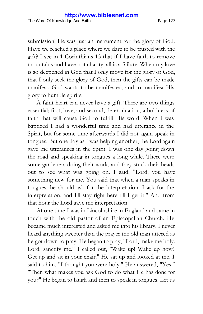submission! He was just an instrument for the glory of God. Have we reached a place where we dare to be trusted with the gift? I see in 1 Corinthians 13 that if I have faith to remove mountains and have not charity, all is a failure. When my love is so deepened in God that I only move for the glory of God, that I only seek the glory of God, then the gifts can be made manifest. God wants to be manifested, and to manifest His glory to humble spirits.

A faint heart can never have a gift. There are two things essential; first, love, and second, determination, a boldness of faith that will cause God to fulfill His word. When I was baptized I had a wonderful time and had utterance in the Spirit, but for some time afterwards I did not again speak in tongues. But one da y as I was helping another, the Lord again gave me utterances in the Spirit. I was one day going down the road and speaking in tongues a long while. There were some gardeners doing their work, and they stuck their heads out to see what was going on. I said, "Lord, you have something new for me. You said that when a man speaks in tongues, he should ask for the interpretation. I ask for the interpretation, and I'll stay right here till I get it." And from that hour the Lord gave me interpretation.

At one time I was in Lincolnshire in England and came in touch with the old pastor of an Episcopalian Church. He became much interested and asked me into his library. I never heard anything sweeter than the prayer the old man uttered as he got down to pray. He began to pray, "Lord, make me holy. Lord, sanctify me." I called out, "Wake up! Wake up now! Get up and sit in your chair." He sat up and looked at me. I said to him, "I thought you were holy." He answered, "Yes." "Then what makes you ask God to do what He has done for you?" He began to laugh and then to speak in tongues. Let us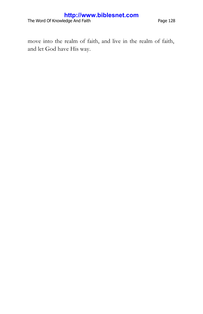The Word Of Knowledge And Faith **Page 128** 

move into the realm of faith, and live in the realm of faith, and let God have His way.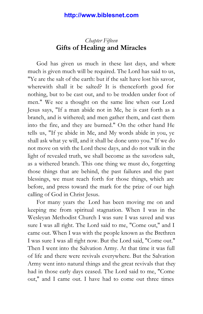## *Chapter Fifteen* **Gifts of Healing and Miracles**

God has given us much in these last days, and where much is given much will be required. The Lord has said to us, "Ye are the salt of the earth: but if the salt have lost his savor, wherewith shall it be salted? It is thenceforth good for nothing, but to be cast out, and to be trodden under foot of men." We see a thought on the same line when our Lord Jesus says, "If a man abide not in Me, he is cast forth as a branch, and is withered; and men gather them, and cast them into the fire, and they are burned." On the other hand He tells us, "If ye abide in Me, and My words abide in you, ye shall ask what ye will, and it shall be done unto you." If we do not move on with the Lord these days, and do not walk in the light of revealed truth, we shall become as the savorless salt, as a withered branch. This one thing we must do, forgetting those things that are behind, the past failures and the past blessings, we must reach forth for those things, which are before, and press toward the mark for the prize of our high calling of God in Christ Jesus.

For many years the Lord has been moving me on and keeping me from spiritual stagnation. When I was in the Wesleyan Methodist Church I was sure I was saved and was sure I was all right. The Lord said to me, "Come out," and I came out. When I was with the people known as the Brethren I was sure I was all right now. But the Lord said, "Come out." Then I went into the Salvation Army. At that time it was full of life and there were revivals everywhere. But the Salvation Army went into natural things and the great revivals that they had in those early days ceased. The Lord said to me, "Come out," and I came out. I have had to come out three times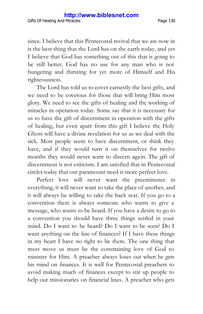since. I believe that this Pentecostal revival that we are now in is the best thing that the Lord has on the earth today, and yet I believe that God has something out of this that is going to be still better. God has no use for any man who is not hungering and thirsting for yet more of Himself and His righteousness.

The Lord has told us to covet earnestly the best gifts, and we need to be covetous for those that will bring Him most glory. We need to see the gifts of healing and the working of miracles in operation today. Some say that it is necessary for us to have the gift of discernment in operation with the gifts of healing, but even apart from this gift I believe the Holy Ghost will have a divine revelation for us as we deal with the sick. Most people seem to have discernment, or think they have, and if they would turn it on themselves for twelve months they would never want to discern aga in. The gift of discernment is not criticism. I am satisfied that in Pentecostal circles today that our paramount need is more perfect love.

Perfect love will never want the preeminence in everything, it will never want to take the place of another, and it will always be willing to take the back seat. If you go to a convention there is always someone who wants to give a message, who wants to be heard. If you have a desire to go to a convention you should have three things settled in your mind. Do I want to be heard? Do I want to be seen? Do I want anything on the line of finances? If I have these things in my heart I have no right to be there. The one thing that must move us must be the constraining love of God to minister for Him. A preacher always loses out when he gets his mind on finances. It is well for Pentecostal preachers to avoid making much of finances except to stir up people to help our missionaries on financial lines. A preacher who gets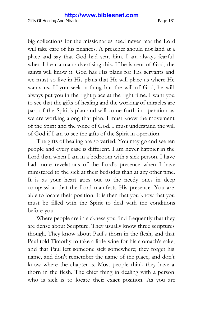big collections for the missionaries need never fear the Lord will take care of his finances. A preacher should not land at a place and say that God had sent him. I am always fearful when I hear a man advertising this. If he is sent of God, the saints will know it. God has His plans for His servants and we must so live in His plans that He will place us where He wants us. If you seek nothing but the will of God, he will always put you in the right place at the right time. I want you to see that the gifts of healing and the working of miracles are part of the Spirit's plan and will come forth in operation as we are working along that plan. I must know the movement of the Spirit and the voice of God. I must understand the will of God if I am to see the gifts of the Spirit in operation.

The gifts of healing are so varied. You may go and see ten people and every case is different. I am never happier in the Lord than when I am in a bedroom with a sick person. I have had more revelations of the Lord's presence when I have ministered to the sick at their bedsides than at any other time. It is as your heart goes out to the needy ones in deep compassion that the Lord manifests His presence. You are able to locate their position. It is then that you know that you must be filled with the Spirit to deal with the conditions before you.

Where people are in sickness you find frequently that they are dense about Scripture. They usually know three scriptures though. They know about Paul's thorn in the flesh, and that Paul told Timothy to take a little wine for his stomach's sake, and that Paul left someone sick somewhere; they forget his name, and don't remember the name of the place, and don't know where the chapter is. Most people think they have a thorn in the flesh. The chief thing in dealing with a person who is sick is to locate their exact position. As you are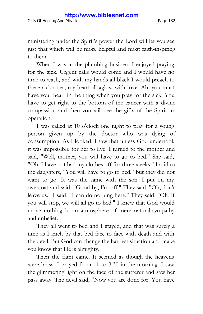ministering under the Spirit's power the Lord will let you see just that which will be more helpful and most faith-inspiring to them.

When I was in the plumbing business I enjoyed praying for the sick. Urgent calls would come and I would have no time to wash, and with my hands all black I would preach to these sick ones, my heart all aglow with love. Ah, you must have your heart in the thing when you pray for the sick. You have to get right to the bottom of the cancer with a divine compassion and then you will see the gifts of the Spirit in operation.

I was called at 10 o'clock one night to pray for a young person given up by the doctor who was dying of consumption. As I looked, I saw that unless God undertook it was impossible for her to live. I turned to the mother and said, "Well, mother, you will have to go to bed." She said, "Oh, I have not had my clothes off for three weeks." I said to the daughters, "You will have to go to bed," but they did not want to go. It was the same with the son. I put on my overcoat and said, "Good-by, I'm off." They said, "Oh, don't leave us." I said, "I can do nothing here." They said, "Oh, if you will stop, we will all go to bed." I knew that God would move nothing in an atmosphere of mere natural sympathy and unbelief.

They all went to bed and I stayed, and that was surely a time as I knelt by that bed face to face with death and with the devil. But God can change the hardest situation and make you know that He is almighty.

Then the fight came. It seemed as though the heavens were brass. I prayed from 11 to 3:30 in the morning. I saw the glimmering light on the face of the sufferer and saw her pass away. The devil said, "Now you are done for. You have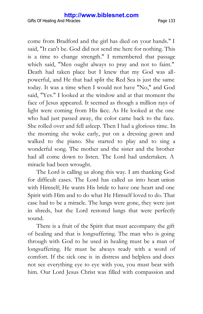come from Bradford and the girl has died on your hands." I said, "It can't be. God did not send me here for nothing. This is a time to change strength." I remembered that passage which said, "Men ought always to pray and not to faint." Death had taken place but I knew that my God was allpowerful, and He that had split the Red Sea is just the same today. It was a time when I would not have "No," and God said, "Yes." I looked at the window and at that moment the face of Jesus appeared. It seemed as though a million rays of light were coming from His face. As He looked at the one who had just passed away, the color came back to the face. She rolled over and fell asleep. Then I had a glorious time. In the morning she woke early, put on a dressing gown and walked to the piano. She started to play and to sing a wonderful song. The mother and the sister and the brother had all come down to listen. The Lord had undertaken. A miracle had been wrought.

The Lord is calling us along this way. I am thanking God for difficult cases. The Lord has called us into heart union with Himself; He wants His bride to have one heart and one Spirit with Him and to do what He Himself loved to do. That case had to be a miracle. The lungs were gone, they were just in shreds, but the Lord restored lungs that were perfectly sound.

There is a fruit of the Spirit that must accompany the gift of healing and that is longsuffering. The man who is going through with God to be used in healing must be a man of longsuffering. He must be always ready with a word of comfort. If the sick one is in distress and helpless and does not see everything eye to eye with you, you must bear with him. Our Lord Jesus Christ was filled with compassion and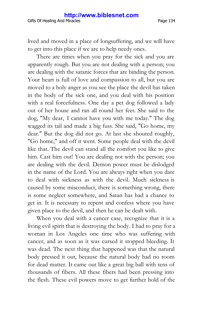lived and moved in a place of longsuffering, and we will have to get into this place if we are to help needy ones.

There are times when you pray for the sick and you are apparently rough. But you are not dealing with a person; you are dealing with the satanic forces that are binding the person. Your heart is full of love and compassion to all, but you are moved to a holy anger as you see the place the devil has taken in the body of the sick one, and you deal with his position with a real forcefulness. One day a pet dog followed a lady out of her house and ran all round her feet. She said to the dog, "My dear, I cannot have you with me today." The dog wagged its tail and made a big fuss. She said, "Go home, my dear." But the dog did not go. At last she shouted roughly, "Go home," and off it went. Some people deal with the devil like that. The devil can stand all the comfort you like to give him. Cast him out! You are dealing not with the person; you are dealing with the devil. Demon power must be dislodged in the name of the Lord. You are always right when you dare to deal with sickness as with the devil. Much sickness is caused by some misconduct, there is something wrong, there is some neglect somewhere, and Satan has had a chance to get in. It is necessary to repent and confess where you have given place to the devil, and then he can be dealt with.

When you deal with a cancer case, recognize that it is a living evil spirit that is destroying the body. I had to pray for a woman in Los Angeles one time who was suffering with cancer, and as soon as it was cursed it stopped bleeding. It was dead. The next thing that happened was that the natural body pressed it out, because the natural body had no room for dead matter. It came out like a great big ball with tens of thousands of fibers. All these fibers had been pressing into the flesh. These evil powers move to get further hold of the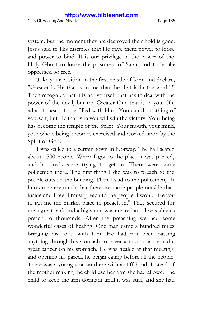system, but the moment they are destroyed their hold is gone. Jesus said to His disciples that He gave them power to loose and power to bind. It is our privilege in the power of the Holy Ghost to loose the prisoners of Satan and to let the oppressed go free.

Take your position in the first epistle of John and declare, "Greater is He that is in me than he that is in the world." Then recognize that it is not yourself that has to deal with the power of the devil, but the Greater One that is in you. Oh, what it means to be filled with Him. You can do nothing of yourself, but He that is in you will win the victory. Your being has become the temple of the Spirit. Your mouth, your mind, your whole being becomes exercised and worked upon by the Spirit of God.

I was called to a certain town in Norway. The hall seated about 1500 people. When I got to the place it was packed, and hundreds were trying to get in. There were some policemen there. The first thing I did was to preach to the people outside the building. Then I said to the policemen, "It hurts me very much that there are more people outside than inside and I feel I must preach to the people. I would like you to get me the market place to preach in." They secured for me a great park and a big stand was erected and I was able to preach to thousands. After the preaching we had some wonderful cases of healing. One man came a hundred miles bringing his food with him. He had not been passing anything through his stomach for over a month as he had a great cancer on his stomach. He was healed at that meeting, and opening his parcel, he began eating before all the people. There was a young woman there with a stiff hand. Instead of the mother making the child use her arm she had allowed the child to keep the arm dormant until it was stiff, and she had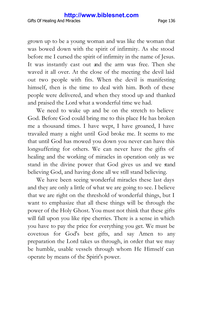grown up to be a young woman and was like the woman that was bowed down with the spirit of infirmity. As she stood before me I cursed the spirit of infirmity in the name of Jesus. It was instantly cast out and the arm was free. Then she waved it all over. At the close of the meeting the devil laid out two people with fits. When the devil is manifesting himself, then is the time to deal with him. Both of these people were delivered, and when they stood up and thanked and praised the Lord what a wonderful time we had.

We need to wake up and be on the stretch to believe God. Before God could bring me to this place He has broken me a thousand times. I have wept, I have groaned, I have travailed many a night until God broke me. It seems to me that until God has mowed you down you never can have this longsuffering for others. We can never have the gifts of healing and the working of miracles in operation only as we stand in the divine power that God gives us and we stand believing God, and having done all we still stand believing.

We have been seeing wonderful miracles these last days and they are only a little of what we are going to see. I believe that we are right on the threshold of wonderful things, but I want to emphasize that all these things will be through the power of the Holy Ghost. You must not think that these gifts will fall upon you like ripe cherries. There is a sense in which you have to pay the price for everything you get. We must be covetous for God's best gifts, and say Amen to any preparation the Lord takes us through, in order that we may be humble, usable vessels through whom He Himself can operate by means of the Spirit's power.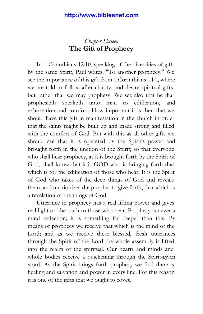## *Chapter Sixteen* **The Gift of Prophecy**

In 1 Corinthians 12:10, speaking of the diversities of gifts by the same Spirit, Paul writes, "To another prophecy." We see the importance of this gift from 1 Corinthians 14:1, where we are told to follow after charity, and desire spiritual gifts, but rather that we may prophesy. We see also that he that prophesieth speaketh unto man to edification, and exhortation and comfort. How important it is then that we should have this gift in manifestation in the church in order that the saints might be built up and made strong and filled with the comfort of God. But with this as all other gifts we should see that it is operated by the Spirit's power and brought forth in the unction of the Spirit; so that everyone who shall hear prophecy, as it is brought forth by the Spirit of God, shall know that it is GOD who is bringing forth that which is for the edification of those who hear. It is the Spirit of God who takes of the deep things of God and reveals them, and unctionizes the prophet to give forth, that which is a revelation of the things of God.

Utterance in prophecy has a real lifting power and gives real light on the truth to those who hear. Prophecy is never a mind reflection; it is something far deeper than this. By means of prophecy we receive that which is the mind of the Lord; and as we receive these blessed, fresh utterances through the Spirit of the Lord the whole assembly is lifted into the realm of the spiritual. Our hearts and minds and whole bodies receive a quickening through the Spirit-given word. As the Spirit brings forth prophecy we find there is healing and salvation and power in every line. For this reason it is one of the gifts that we ought to covet.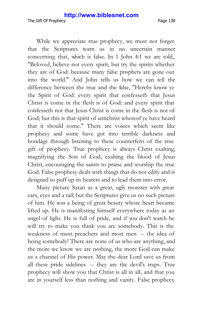The Gift Of Prophecy **Page 138** 

While we appreciate true prophecy, we must not forget that the Scriptures warn us in no uncertain manner concerning that, which is false. In 1 John 4:1 we are told, "Beloved, believe not every spirit, but try the spirits whether they are of God: because many false prophets are gone out into the world." And John tells us how we can tell the difference between the true and the false, "Hereby know ye the Spirit of God: every spirit that confesseth that Jesus Christ is come in the flesh is of God: and every spirit that confesseth not that Jesus Christ is come in the flesh is not of God; but this is that spirit of antichrist whereof ye have heard that it should come." There are voices which seem like prophecy and some have got into terrible darkness and bondage through listening to these counterfeits of the true gift of prophecy. True prophecy is always Christ exalting, magnifying the Son of God, exalting the blood of Jesus Christ, encouraging the saints to praise and worship the true God. False prophesy deals with things that do not edify and is designed to puff up its hearers and to lead them into error.

Many picture Satan as a great, ugly monster with great ears, eyes and a tail; but the Scriptures give us no such picture of him. He was a being of great beauty whose heart became lifted up. He is manifesting himself everywhere today as an angel of light. He is full of pride, and if you don't watch he will try to make you think you are somebody. This is the weakness of most preachers and most men -- the idea of being somebody! There are none of us who are anything, and the more we know we are nothing, the more God can make us a channel of His power. May the dear Lord save us from all these pride sidelines -- they are the devil's traps. True prophecy will show you that Christ is all in all, and that you are in yourself less than nothing and vanity. False prophecy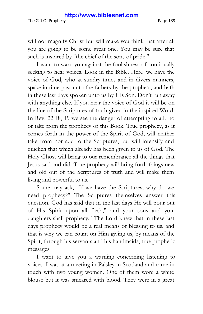The Gift Of Prophecy **Page 139** 

will not magnify Christ but will make you think that after all you are going to be some great one. You may be sure that such is inspired by "the chief of the sons of pride."

I want to warn you against the foolishness of continually seeking to hear voices. Look in the Bible. Here we have the voice of God, who at sundry times and in divers manners, spake in time past unto the fathers by the prophets, and hath in these last days spoken unto us by His Son. Don't run away with anything else. If you hear the voice of God it will be on the line of the Scriptures of truth given in the inspired Word. In Rev. 22:18, 19 we see the danger of attempting to add to or take from the prophecy of this Book. True prophecy, as it comes forth in the power of the Spirit of God, will neither take from nor add to the Scriptures, but will intensify and quicken that which already has been given to us of God. The Holy Ghost will bring to our remembrance all the things that Jesus said and did. True prophecy will bring forth things new and old out of the Scriptures of truth and will make them living and powerful to us.

Some may ask, "If we have the Scriptures, why do we need prophecy?" The Scriptures themselves answer this question. God has said that in the last days He will pour out of His Spirit upon all flesh," and your sons and your daughters shall prophecy." The Lord knew that in these last days prophecy would be a real means of blessing to us, and that is why we can count on Him giving us, by means of the Spirit, through his servants and his handmaids, true prophetic messages.

I want to give you a warning concerning listening to voices. I was at a meeting in Paisley in Scotland and came in touch with two young women. One of them wore a white blouse but it was smeared with blood. They were in a great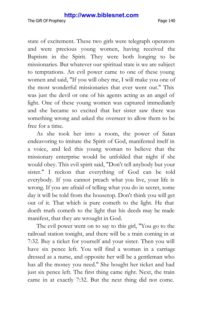state of excitement. These two girls were telegraph operators and were precious young women, having received the Baptism in the Spirit. They were both longing to be missionaries. But whatever our spiritual state is we are subject to temptations. An evil power came to one of these young women and said, "If you will obey me, I will make you one of the most wonderful missionaries that ever went out." This was just the devil or one of his agents acting as an angel of light. One of these young women was captured immediately and she became so excited that her sister saw there was something wrong and asked the overseer to allow them to be free for a time.

As she took her into a room, the power of Satan endeavoring to imitate the Spirit of God, manifested itself in a voice, and led this young woman to believe that the missionary enterprise would be unfolded that night if she would obey. This evil spirit said, "Don't tell anybody but your sister." I reckon that everything of God can be told everybody. If you cannot preach what you live, your life is wrong. If you are afraid of telling what you do in secret, some day it will be told from the housetop. Don't think you will get out of it. That which is pure cometh to the light. He that doeth truth cometh to the light that his deeds may be made manifest, that they are wrought in God.

The evil power went on to say to this girl, "You go to the railroad station tonight, and there will be a train coming in at 7:32. Buy a ticket for yourself and your sister. Then you will have six pence left. You will find a woman in a carriage dressed as a nurse, and opposite her will be a gentleman who has all the money you need." She bought her ticket and had just six pence left. The first thing came right. Next, the train came in at exactly 7:32. But the next thing did not come.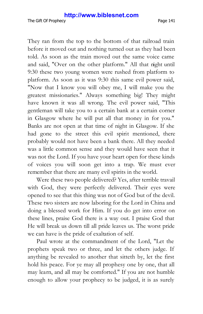The Gift Of Prophecy **Page 141** 

They ran from the top to the bottom of that railroad train before it moved out and nothing turned out as they had been told. As soon as the train moved out the same voice came and said, "Over on the other platform." All that night until 9:30 these two young women were rushed from platform to platform. As soon as it was 9:30 this same evil power said, "Now that I know you will obey me, I will make you the greatest missionaries." Always something big! They might have known it was all wrong. The evil power said, "This gentleman will take you to a certain bank at a certain corner in Glasgow where he will put all that money in for you." Banks are not open at that time of night in Glasgow. If she had gone to the street this evil spirit mentioned, there probably would not have been a bank there. All they needed was a little common sense and they would have seen that it was not the Lord. If you have your heart open for these kinds of voices you will soon get into a trap. We must ever remember that there are many evil spirits in the world.

Were these two people delivered? Yes, after terrible travail with God, they were perfectly delivered. Their eyes were opened to see that this thing was not of God but of the devil. These two sisters are now laboring for the Lord in China and doing a blessed work for Him. If you do get into error on these lines, praise God there is a way out. I praise God that He will break us down till all pride leaves us. The worst pride we can have is the pride of exaltation of self.

Paul wrote at the commandment of the Lord, "Let the prophets speak two or three, and let the others judge. If anything be revealed to another that sitteth by, let the first hold his peace. For ye may all prophesy one by one, that all may learn, and all may be comforted." If you are not humble enough to allow your prophecy to be judged, it is as surely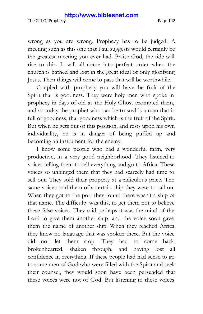wrong as you are wrong. Prophecy has to be judged. A meeting such as this one that Paul suggests would certainly be the greatest meeting you ever had. Praise God, the tide will rise to this. It will all come into perfect order when the church is bathed and lost in the great ideal of only glorifying Jesus. Then things will come to pass that will be worthwhile.

Coupled with prophecy you will have the fruit of the Spirit that is goodness. They were holy men who spoke in prophecy in days of old as the Holy Ghost prompted them, and so today the prophet who can be trusted is a man that is full of goodness, that goodness which is the fruit of the Spirit. But when he gets out of this position, and rests upon his own individuality, he is in danger of being puffed up and becoming an instrument for the enemy.

I know some people who had a wonderful farm, very productive, in a very good neighborhood. They listened to voices telling them to sell everything and go to Africa. These voices so unhinged them that they had scarcely had time to sell out. They sold their property at a ridiculous price. The same voices told them of a certain ship they were to sail on. When they got to the port they found there wasn't a ship of that name. The difficulty was this, to get them not to believe these false voices. They said perhaps it was the mind of the Lord to give them another ship, and the voice soon gave them the name of another ship. When they reached Africa they knew no language that was spoken there. But the voice did not let them stop. They had to come back, brokenhearted, shaken through, and having lost all confidence in everything. If these people had had sense to go to some men of God who were filled with the Spirit and seek their counsel, they would soon have been persuaded that these voices were not of God. But listening to these voices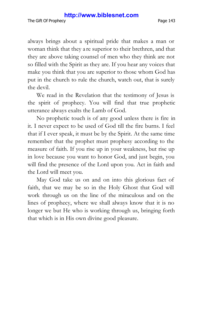always brings about a spiritual pride that makes a man or woman think that they a re superior to their brethren, and that they are above taking counsel of men who they think are not so filled with the Spirit as they are. If you hear any voices that make you think that you are superior to those whom God has put in the church to rule the church, watch out, that is surely the devil.

We read in the Revelation that the testimony of Jesus is the spirit of prophecy. You will find that true prophetic utterance always exalts the Lamb of God.

No prophetic touch is of any good unless there is fire in it. I never expect to be used of God till the fire burns. I feel that if I ever speak, it must be by the Spirit. At the same time remember that the prophet must prophesy according to the measure of faith. If you rise up in your weakness, but rise up in love because you want to honor God, and just begin, you will find the presence of the Lord upon you. Act in faith and the Lord will meet you.

May God take us on and on into this glorious fact of faith, that we may be so in the Holy Ghost that God will work through us on the line of the miraculous and on the lines of prophecy, where we shall always know that it is no longer we but He who is working through us, bringing forth that which is in His own divine good pleasure.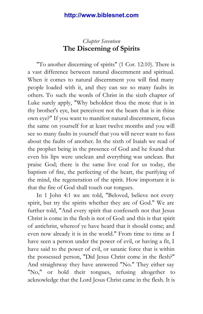# *Chapter Seventeen* **The Discerning of Spirits**

"To another discerning of spirits" (1 Cor. 12:10). There is a vast difference between natural discernment and spiritual. When it comes to natural discernment you will find many people loaded with it, and they can see so many faults in others. To such the words of Christ in the sixth chapter of Luke surely apply, "Why beholdest thou the mote that is in thy brother's eye, but perceivest not the beam that is in thine own eye?" If you want to manifest natural discernment, focus the same on yourself for at least twelve months and you will see so many faults in yourself that you will never want to fuss about the faults of another. In the sixth of Isaiah we read of the prophet being in the presence of God and he found that even his lips were unclean and everything was unclean. But praise God; there is the same live coal for us today, the baptism of fire, the perfecting of the heart, the purifying of the mind, the regeneration of the spirit. How important it is that the fire of God shall touch our tongues.

In 1 John 4:1 we are told, "Beloved, believe not every spirit, but try the spirits whether they are of God." We are further told, "And every spirit that confesseth not that Jesus Christ is come in the flesh is not of God: and this is that spirit of antichrist, whereof ye have heard that it should come; and even now already it is in the world." From time to time as I have seen a person under the power of evil, or having a fit, I have said to the power of evil, or satanic force that is within the possessed person, "Did Jesus Christ come in the flesh?" And straightway they have answered "No." They either say "No," or hold their tongues, refusing altogether to acknowledge that the Lord Jesus Christ came in the flesh. It is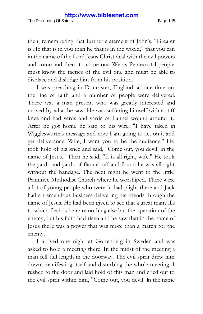then, remembering that further statement of John's, "Greater is He that is in you than he that is in the world," that you can in the name of the Lord Jesus Christ deal with the evil powers and command them to come out. We as Pentecostal people must know the tactics of the evil one and must be able to displace and dislodge him from his position.

I was preaching in Doncaster, England, at one time on the line of faith and a number of people were delivered. There was a man present who was greatly interested and moved by what he saw. He was suffering himself with a stiff knee and had yards and yards of flannel wound around it. After he got home he said to his wife, "I have taken in Wigglesworth's message and now I am going to act on it and get deliverance. Wife, I want you to be the audience." He took hold of his knee and said, "Come out, you devil, in the name of Jesus." Then he said, "It is all right, wife." He took the yards and yards of flannel off and found he was all right without the bandage. The next night he went to the little Primitive Methodist Church where he worshiped. There were a lot of young people who were in bad plight there and Jack had a tremendous business delivering his friends through the name of Jesus. He had been given to see that a great many ills to which flesh is heir are nothing else but the operation of the enemy, but his faith had risen and he saw that in the name of Jesus there was a power that was more than a match for the enemy.

I arrived one night at Gottenberg in Sweden and was asked to hold a meeting there. In the midst of the meeting a man fell full length in the doorway. The evil spirit drew him down, manifesting itself and disturbing the whole meeting. I rushed to the door and laid hold of this man and cried out to the evil spirit within him, "Come out, you devil! In the name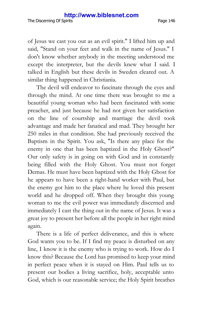of Jesus we cast you out as an evil spirit." I lifted him up and said, "Stand on your feet and walk in the name of Jesus." I don't know whether anybody in the meeting understood me except the interpreter, but the devils knew what I said. I talked in English but these devils in Sweden cleared out. A similar thing happened in Christiania.

The devil will endeavor to fascinate through the eyes and through the mind. At one time there was brought to me a beautiful young woman who had been fascinated with some preacher, and just because he had not given her satisfaction on the line of courtship and marriage the devil took advantage and made her fanatical and mad. They brought her 250 miles in that condition. She had previously received the Baptism in the Spirit. You ask, "Is there any place for the enemy in one that has been baptized in the Holy Ghost?" Our only safety is in going on with God and in constantly being filled with the Holy Ghost. You must not forget Demas. He must have been baptized with the Holy Ghost for he appears to have been a right-hand worker with Paul, but the enemy got him to the place where he loved this present world and he dropped off. When they brought this young woman to me the evil power was immediately discerned and immediately I cast the thing out in the name of Jesus. It was a great joy to present her before all the people in her right mind again.

There is a life of perfect deliverance, and this is where God wants you to be. If I find my peace is disturbed on any line, I know it is the enemy who is trying to work. How do I know this? Because the Lord has promised to keep your mind in perfect peace when it is stayed on Him. Paul tells us to present our bodies a living sacrifice, holy, acceptable unto God, which is our reasonable service; the Holy Spirit breathes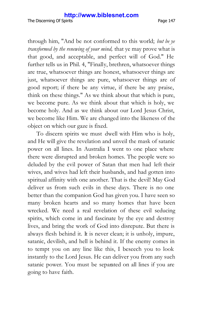The Discerning Of Spirits **Page 147** 

through him, "And be not conformed to this world; *but be ye transformed by the renewing of your mind,* that ye may prove what is that good, and acceptable, and perfect will of God." He further tells us in Phil. 4, "Finally, brethren, whatsoever things are true, whatsoever things are honest, whatsoever things are just, whatsoever things are pure, whatsoever things are of good report; if there be any virtue, if there be any praise, think on these things." As we think about that which is pure, we become pure. As we think about that which is holy, we become holy. And as we think about our Lord Jesus Christ, we become like Him. We are changed into the likeness of the object on which our gaze is fixed.

To discern spirits we must dwell with Him who is holy, and He will give the revelation and unveil the mask of satanic power on all lines. In Australia I went to one place where there were disrupted and broken homes. The people were so deluded by the evil power of Satan that men had left their wives, and wives had left their husbands, and had gotten into spiritual affinity with one another. That is the devil! May God deliver us from such evils in these days. There is no one better than the companion God has given you. I have seen so many broken hearts and so many homes that have been wrecked. We need a real revelation of these evil seducing spirits, which come in and fascinate by the eye and destroy lives, and bring the work of God into disrepute. But there is always flesh behind it. It is never clean; it is unholy, impure, satanic, devilish, and hell is behind it. If the enemy comes in to tempt you on any line like this, I beseech you to look instantly to the Lord Jesus. He can deliver you from any such satanic power. You must be separated on all lines if you are going to have faith.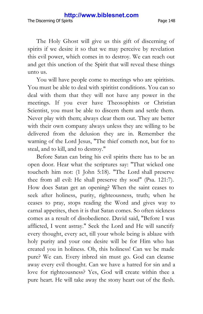The Discerning Of Spirits **Page 148** 

The Holy Ghost will give us this gift of discerning of spirits if we desire it so that we may perceive by revelation this evil power, which comes in to destroy. We can reach out and get this unction of the Spirit that will reveal these things unto us.

You will have people come to meetings who are spiritists. You must be able to deal with spiritist conditions. You can so deal with them that they will not have any power in the meetings. If you ever have Theosophists or Christian Scientist, you must be able to discern them and settle them. Never play with them; always clear them out. They are better with their own company always unless they are willing to be delivered from the delusion they are in. Remember the warning of the Lord Jesus, "The thief cometh not, but for to steal, and to kill, and to destroy."

Before Satan can bring his evil spirits there has to be an open door. Hear what the scriptures say: "That wicked one toucheth him not: (1 John 5:18). "The Lord shall preserve thee from all evil: He shall preserve thy soul" (Psa. 121:7). How does Satan get an opening? When the saint ceases to seek after holiness, purity, righteousness, truth; when he ceases to pray, stops reading the Word and gives way to carnal appetites, then it is that Satan comes. So often sickness comes as a result of disobedience. David said, "Before I was afflicted, I went astray." Seek the Lord and He will sanctify every thought, every act, till your whole being is ablaze with holy purity and your one desire will be for Him who has created you in holiness. Oh, this holiness! Can we be made pure? We can. Every inbred sin must go. God can cleanse away every evil thought. Can we have a hatred for sin and a love for righteousness? Yes, God will create within thee a pure heart. He will take away the stony heart out of the flesh.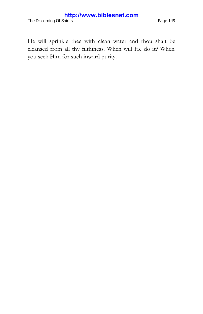The Discerning Of Spirits **Page 149** Page 149

He will sprinkle thee with clean water and thou shalt be cleansed from all thy filthiness. When will He do it? When you seek Him for such inward purity.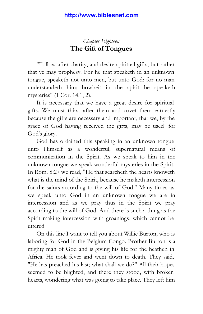### *Chapter Eighteen* **The Gift of Tongues**

"Follow after charity, and desire spiritual gifts, but rather that ye may prophesy. For he that speaketh in an unknown tongue, speaketh not unto men, but unto God: for no man understandeth him; howbeit in the spirit he speaketh mysteries" (1 Cor. 14:1, 2).

It is necessary that we have a great desire for spiritual gifts. We must thirst after them and covet them earnestly because the gifts are necessary and important, that we, by the grace of God having received the gifts, may be used for God's glory.

God has ordained this speaking in an unknown tongue unto Himself as a wonderful, supernatural means of communication in the Spirit. As we speak to him in the unknown tongue we speak wonderful mysteries in the Spirit. In Rom. 8:27 we read, "He that searcheth the hearts knoweth what is the mind of the Spirit, because he maketh intercession for the saints according to the will of God." Many times as we speak unto God in an unknown tongue we are in intercession and as we pray thus in the Spirit we pray according to the will of God. And there is such a thing as the Spirit making intercession with groanings, which cannot be uttered.

On this line I want to tell you about Willie Burton, who is laboring for God in the Belgium Congo. Brother Burton is a mighty man of God and is giving his life for the heathen in Africa. He took fever and went down to death. They said, "He has preached his last; what shall we do?" All their hopes seemed to be blighted, and there they stood, with broken hearts, wondering what was going to take place. They left him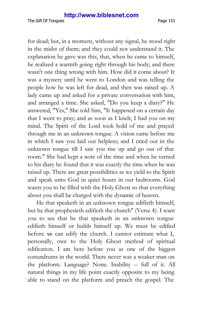The Gift Of Tongues **Page 151** 

for dead; but, in a moment, without any signal, he stood right in the midst of them; and they could not understand it. The explanation he gave was this, that, when he came to himself, he realized a warmth going right through his body; and there wasn't one thing wrong with him. How did it come about? It was a mystery until he went to London and was telling the people how he was left for dead, and then was raised up. A lady came up and asked for a private conversation with him, and arranged a time. She asked, "Do you keep a diary?" He answered, "Yes," She told him, "It happened on a certain day that I went to pray; and as soon as I knelt, I had you on my mind. The Spirit of the Lord took hold of me and prayed through me in an unknown tongue. A vision came before me in which I saw you laid out helpless; and I cried out in the unknown tongue till I saw you rise up and go out of that room." She had kept a note of the time and when he turned to his diary he found that it was exactly the time when he was raised up. There are great possibilities as we yield to the Spirit and speak unto God in quiet hours in our bedrooms. God wants you to be filled with the Holy Ghost so that everything about you shall be charged with the dynamic of heaven.

He that speaketh in an unknown tongue edifieth himself; but he that prophesieth edifieth the church" (Verse 4). I want you to see that he that speaketh in an unknown tongue edifieth himself or builds himself up. We must be edified before we can edify the church. I cannot estimate what I, personally, owe to the Holy Ghost method of spiritual edification. I am here before you as one of the biggest conundrums in the world. There never was a weaker man on the platform. Language? None. Inability -- full of it. All natural things in my life point exactly opposite to my being able to stand on the platform and preach the gospel. The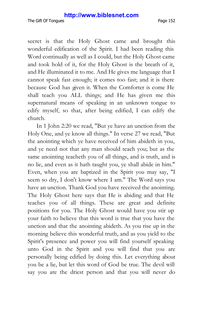secret is that the Holy Ghost came and brought this wonderful edification of the Spirit. I had been reading this Word continually as well as I could, but the Holy Ghost came and took hold of it, for the Holy Ghost is the breath of it, and He illuminated it to me. And He gives me language that I cannot speak fast enough; it comes too fast; and it is there because God has given it. When the Comforter is come He shall teach you ALL things; and He has given me this supernatural means of speaking in an unknown tongue to edify myself, so that, after being edified, I can edify the church.

In 1 John 2:20 we read, "But ye have an unction from the Holy One, and ye know all things." In verse 27 we read, "But the anointing which ye have received of him abideth in you, and ye need not that any man should teach you; but as the same anointing teacheth you of all things, and is truth, and is no lie, and even as it hath taught you, ye shall abide in him." Even, when you are baptized in the Spirit you may say, "I seem so dry, I don't know where I am." The Word says you have an unction. Thank God you have received the anointing. The Holy Ghost here says that He is abiding and that He teaches you of all things. These are great and definite positions for you. The Holy Ghost would have you stir up your faith to believe that this word is true that you have the unction and that the anointing abideth. As you rise up in the morning believe this wonderful truth, and as you yield to the Spirit's presence and power you will find yourself speaking unto God in the Spirit and you will find that you are personally being edified by doing this. Let everything about you be a lie, but let this word of God be true. The devil will say you are the driest person and that you will never do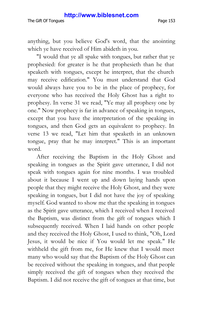anything, but you believe God's word, that the anointing which ye have received of Him abideth in you.

"I would that ye all spake with tongues, but rather that ye prophesied: for greater is he that prophesieth than he that speaketh with tongues, except he interpret, that the church may receive edification." You must understand that God would always have you to be in the place of prophecy, for everyone who has received the Holy Ghost has a right to prophesy. In verse 31 we read, "Ye may all prophesy one by one." Now prophecy is far in advance of speaking in tongues, except that you have the interpretation of the speaking in tongues, and then God gets an equivalent to prophecy. In verse 13 we read, "Let him that speaketh in an unknown tongue, pray that he may interpret." This is an important word.

After receiving the Baptism in the Holy Ghost and speaking in tongues as the Spirit gave utterance, I did not speak with tongues again for nine months. I was troubled about it because I went up and down laying hands upon people that they might receive the Holy Ghost, and they were speaking in tongues, but I did not have the joy of speaking myself. God wanted to show me that the speaking in tongues as the Spirit gave utterance, which I received when I received the Baptism, was distinct from the gift of tongues which I subsequently received. When I laid hands on other people and they received the Holy Ghost, I used to think, "Oh, Lord Jesus, it would be nice if You would let me speak." He withheld the gift from me, for He knew that I would meet many who would say that the Baptism of the Holy Ghost can be received without the speaking in tongues, and that people simply received the gift of tongues when they received the Baptism. I did not receive the gift of tongues at that time, but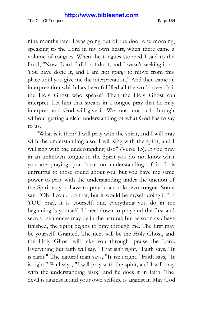nine months later I was going out of the door one morning, speaking to the Lord in my own heart, when there came a volume of tongues. When the tongues stopped I said to the Lord, "Now, Lord, I did not do it, and I wasn't seeking it; so You have done it, and I am not going to move from this place until you give me the interpretation." And then came an interpretation which has been fulfilled all the world over. Is it the Holy Ghost who speaks? Then the Holy Ghost can interpret. Let him that speaks in a tongue pray that he may interpret, and God will give it. We must not rush through without getting a clear understanding of what God has to say to us.

"What is it then? I will pray with the spirit, and I will pray with the understanding also: I will sing with the spirit, and I will sing with the understanding also" (Verse 15). If you pray in an unknown tongue in the Spirit you do not know what you are praying; you have no understanding of it. It is unfruitful to those round about you; but you have the same power to pray with the understanding under the unction of the Spirit as you have to pray in an unknown tongue. Some say, "Oh, I could do that, but it would be myself doing it." If YOU pray, it is yourself, and everything you do in the beginning is yourself. I kneel down to pray and the first and second sentences may be in the natural; but as soon as *I* have finished, the Spirit begins to pray through me. The first may be yourself. Granted. The next will be the Holy Ghost, and the Holy Ghost will take you through, praise the Lord. Everything but faith will say, "That isn't right." Faith says, "It is right." The natural man says, "It isn't right." Faith says, "It is right." Paul says, "I will pray with the spirit, and I will pray with the understanding also;" and he does it in faith. The devil is against it and your own self-life is against it. May God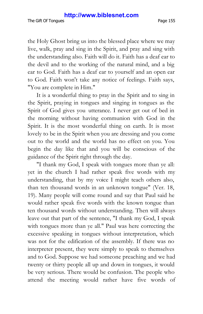the Holy Ghost bring us into the blessed place where we may live, walk, pray and sing in the Spirit, and pray and sing with the understanding also. Faith will do it. Faith has a deaf ear to the devil and to the working of the natural mind, and a big ear to God. Faith has a deaf ear to yourself and an open ear to God. Faith won't take any notice of feelings. Faith says, "You are complete in Him."

It is a wonderful thing to pray in the Spirit and to sing in the Spirit, praying in tongues and singing in tongues as the Spirit of God gives you utterance. I never get out of bed in the morning without having communion with God in the Spirit. It is the most wonderful thing on earth. It is most lovely to be in the Spirit when you are dressing and you come out to the world and the world has no effect on you. You begin the day like that and you will be conscious of the guidance of the Spirit right through the day.

"I thank my God, I speak with tongues more than ye all: yet in the church I had rather speak five words with my understanding, that by my voice I might teach others also, than ten thousand words in an unknown tongue" (Ver. 18, 19). Many people will come round and say that Paul said he would rather speak five words with the known tongue than ten thousand words without understanding. Then will always leave out that part of the sentence, "I thank my God, I speak with tongues more than ye all." Paul was here correcting the excessive speaking in tongues without interpretation, which was not for the edification of the assembly. If there was no interpreter present, they were simply to speak to themselves and to God. Suppose we had someone preaching and we had twenty or thirty people all up and down in tongues, it would be very serious. There would be confusion. The people who attend the meeting would rather have five words of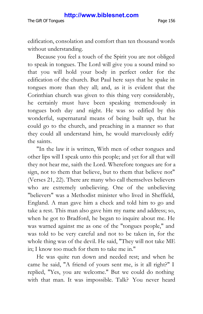edification, consolation and comfort than ten thousand words without understanding.

Because you feel a touch of the Spirit you are not obliged to speak in tongues. The Lord will give you a sound mind so that you will hold your body in perfect order for the edification of the church. But Paul here says that he spake in tongues more than they all; and, as it is evident that the Corinthian church was given to this thing very considerably, he certainly must have been speaking tremendously in tongues both day and night. He was so edified by this wonderful, supernatural means of being built up, that he could go to the church, and preaching in a manner so that they could all understand him, he would marvelously edify the saints.

"In the law it is written, With men of other tongues and other lips will I speak unto this people; and yet for all that will they not hear me, saith the Lord. Wherefore tongues are for a sign, not to them that believe, but to them that believe not" (Verses 21, 22). There are many who call themselves believers who are extremely unbelieving. One of the unbelieving "believers" was a Methodist minister who lived in Sheffield, England. A man gave him a check and told him to go and take a rest. This man also gave him my name and address; so, when he got to Bradford, he began to inquire about me. He was warned against me as one of the "tongues people," and was told to be very careful and not to be taken in, for the whole thing was of the devil. He said, "They will not take ME in; I know too much for them to take me in."

He was quite run down and needed rest; and when he came he said, "A friend of yours sent me, is it all right?" I replied, "Yes, you are welcome." But we could do nothing with that man. It was impossible. Talk? You never heard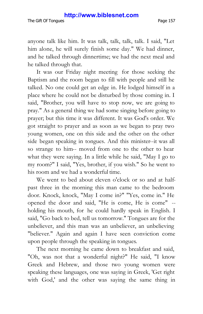The Gift Of Tongues **Page 157** 

anyone talk like him. It was talk, talk, talk, talk. I said, "Let him alone, he will surely finish some day." We had dinner, and he talked through dinnertime; we had the next meal and he talked through that.

It was our Friday night meeting for those seeking the Baptism and the room began to fill with people and still he talked. No one could get an edge in. He lodged himself in a place where he could not be disturbed by those coming in. I said, "Brother, you will have to stop now, we are going to pray." As a general thing we had some singing before going to prayer; but this time it was different. It was God's order. We got straight to prayer and as soon as we began to pray two young women, one on this side and the other on the other side began speaking in tongues. And this minister--it was all so strange to him-- moved from one to the other to hear what they were saying. In a little while he said, "May I go to my room?" I said, "Yes, brother, if you wish." So he went to his room and we had a wonderful time.

We went to bed about eleven o'clock or so and at halfpast three in the morning this man came to the bedroom door. Knock, knock, "May I come in?" "Yes, come in." He opened the door and said, "He is come, He is come" - holding his mouth, for he could hardly speak in English. I said, "Go back to bed, tell us tomorrow." Tongues are for the unbeliever, and this man was an unbeliever, an unbelieving "believer." Again and again I have seen conviction come upon people through the speaking in tongues.

The next morning he came down to breakfast and said, "Oh, was not that a wonderful night?" He said, "I know Greek and Hebrew, and those two young women were speaking these languages, one was saying in Greek, 'Get right with God,' and the other was saying the same thing in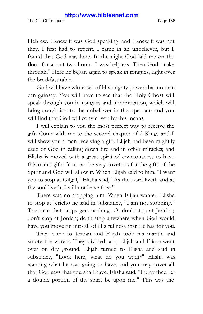Hebrew. I knew it was God speaking, and I knew it was not they. I first had to repent. I came in an unbeliever, but I found that God was here. In the night God laid me on the floor for about two hours. I was helpless. Then God broke through." Here he began again to speak in tongues, right over the breakfast table.

God will have witnesses of His mighty power that no man can gainsay. You will have to see that the Holy Ghost will speak through you in tongues and interpretation, which will bring conviction to the unbeliever in the open air; and you will find that God will convict you by this means.

I will explain to you the most perfect way to receive the gift. Come with me to the second chapter of 2 Kings and I will show you a man receiving a gift. Elijah had been mightily used of God in calling down fire and in other miracles; and Elisha is moved with a great spirit of covetousness to have this man's gifts. You can be very covetous for the gifts of the Spirit and God will allow it. When Elijah said to him, "I want you to stop at Gilgal," Elisha said, "As the Lord liveth and as thy soul liveth, I will not leave thee."

There was no stopping him. When Elijah wanted Elisha to stop at Jericho he said in substance, "I am not stopping." The man that stops gets nothing. O, don't stop at Jericho; don't stop at Jordan; don't stop anywhere when God would have you move on into all of His fullness that He has for you.

They came to Jordan and Elijah took his mantle and smote the waters. They divided; and Elijah and Elisha went over on dry ground. Elijah turned to Elisha and said in substance, "Look here, what do you want?" Elisha was wanting what he was going to have, and you may covet all that God says that you shall have. Elisha said, "I pray thee, let a double portion of thy spirit be upon me." This was the